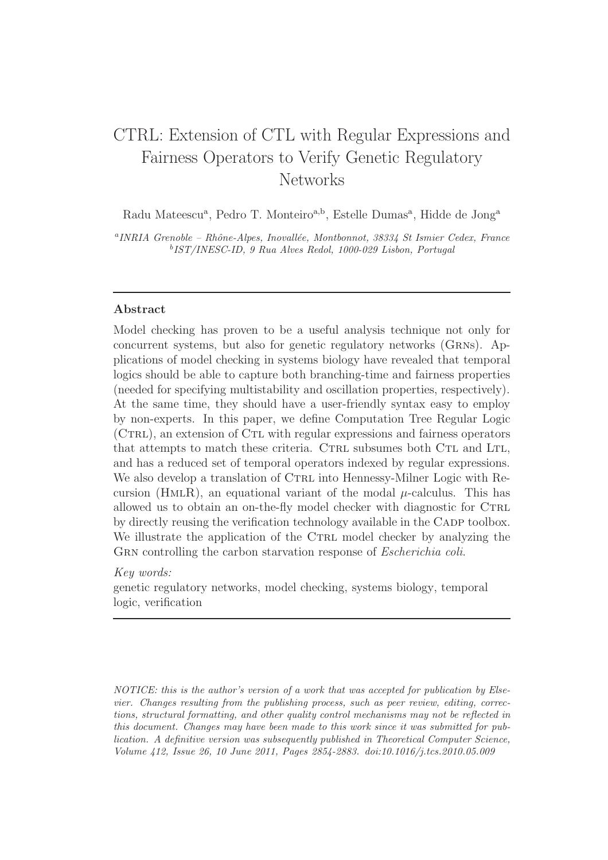# CTRL: Extension of CTL with Regular Expressions and Fairness Operators to Verify Genetic Regulatory Networks

Radu Mateescu<sup>a</sup>, Pedro T. Monteiro<sup>a,b</sup>, Estelle Dumas<sup>a</sup>, Hidde de Jong<sup>a</sup>

<sup>a</sup>INRIA Grenoble - Rhône-Alpes, Inovallée, Montbonnot, 38334 St Ismier Cedex, France b IST/INESC-ID, 9 Rua Alves Redol, 1000-029 Lisbon, Portugal

# Abstract

Model checking has proven to be a useful analysis technique not only for concurrent systems, but also for genetic regulatory networks (Grns). Applications of model checking in systems biology have revealed that temporal logics should be able to capture both branching-time and fairness properties (needed for specifying multistability and oscillation properties, respectively). At the same time, they should have a user-friendly syntax easy to employ by non-experts. In this paper, we define Computation Tree Regular Logic (CTRL), an extension of CTL with regular expressions and fairness operators that attempts to match these criteria. CTRL subsumes both CTL and LTL, and has a reduced set of temporal operators indexed by regular expressions. We also develop a translation of CTRL into Hennessy-Milner Logic with Recursion (HMLR), an equational variant of the modal  $\mu$ -calculus. This has allowed us to obtain an on-the-fly model checker with diagnostic for CTRL by directly reusing the verification technology available in the CADP toolbox. We illustrate the application of the CTRL model checker by analyzing the GRN controlling the carbon starvation response of *Escherichia coli*.

## Key words:

genetic regulatory networks, model checking, systems biology, temporal logic, verification

NOTICE: this is the author's version of a work that was accepted for publication by Elsevier. Changes resulting from the publishing process, such as peer review, editing, corrections, structural formatting, and other quality control mechanisms may not be reflected in this document. Changes may have been made to this work since it was submitted for publication. A definitive version was subsequently published in Theoretical Computer Science, Volume 412, Issue 26, 10 June 2011, Pages 2854-2883. doi:10.1016/j.tcs.2010.05.009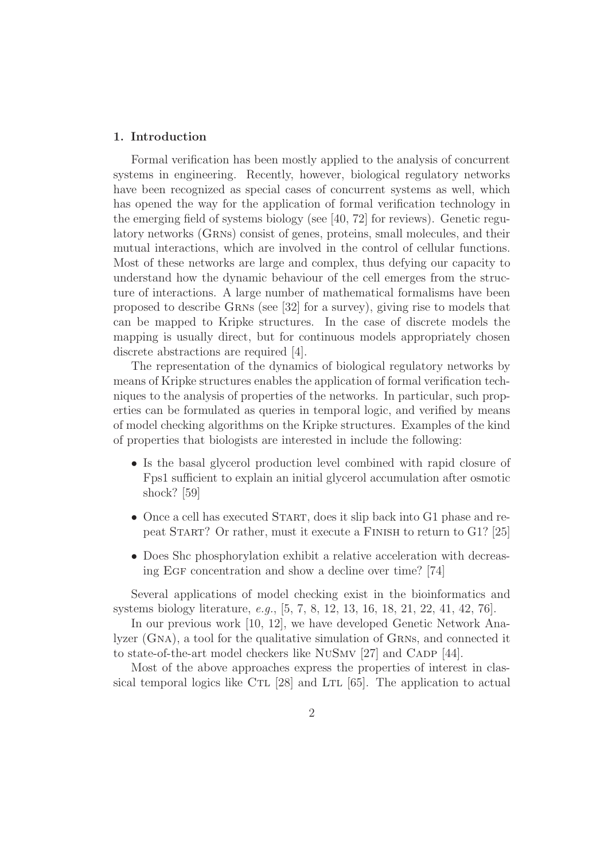#### 1. Introduction

Formal verification has been mostly applied to the analysis of concurrent systems in engineering. Recently, however, biological regulatory networks have been recognized as special cases of concurrent systems as well, which has opened the way for the application of formal verification technology in the emerging field of systems biology (see [40, 72] for reviews). Genetic regulatory networks (GRNs) consist of genes, proteins, small molecules, and their mutual interactions, which are involved in the control of cellular functions. Most of these networks are large and complex, thus defying our capacity to understand how the dynamic behaviour of the cell emerges from the structure of interactions. A large number of mathematical formalisms have been proposed to describe Grns (see [32] for a survey), giving rise to models that can be mapped to Kripke structures. In the case of discrete models the mapping is usually direct, but for continuous models appropriately chosen discrete abstractions are required [4].

The representation of the dynamics of biological regulatory networks by means of Kripke structures enables the application of formal verification techniques to the analysis of properties of the networks. In particular, such properties can be formulated as queries in temporal logic, and verified by means of model checking algorithms on the Kripke structures. Examples of the kind of properties that biologists are interested in include the following:

- Is the basal glycerol production level combined with rapid closure of Fps1 sufficient to explain an initial glycerol accumulation after osmotic shock? [59]
- Once a cell has executed START, does it slip back into G1 phase and repeat Start? Or rather, must it execute a Finish to return to G1? [25]
- Does Shc phosphorylation exhibit a relative acceleration with decreasing Egf concentration and show a decline over time? [74]

Several applications of model checking exist in the bioinformatics and systems biology literature, e.g., [5, 7, 8, 12, 13, 16, 18, 21, 22, 41, 42, 76].

In our previous work [10, 12], we have developed Genetic Network Analyzer (GNA), a tool for the qualitative simulation of GRNs, and connected it to state-of-the-art model checkers like NUSMV [27] and CADP [44].

Most of the above approaches express the properties of interest in classical temporal logics like CTL  $[28]$  and LTL  $[65]$ . The application to actual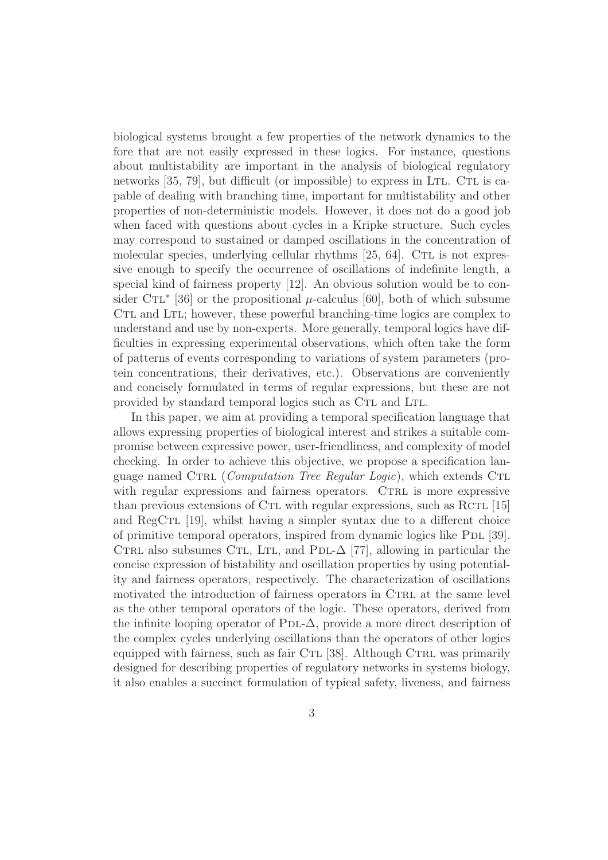biological systems brought a few properties of the network dynamics to the fore that are not easily expressed in these logics. For instance, questions about multistability are important in the analysis of biological regulatory networks  $[35, 79]$ , but difficult (or impossible) to express in LTL. CTL is capable of dealing with branching time, important for multistability and other properties of non-deterministic models. However, it does not do a good job when faced with questions about cycles in a Kripke structure. Such cycles may correspond to sustained or damped oscillations in the concentration of molecular species, underlying cellular rhythms  $[25, 64]$ . CTL is not expressive enough to specify the occurrence of oscillations of indefinite length, a special kind of fairness property [12]. An obvious solution would be to consider CTL<sup>\*</sup> [36] or the propositional  $\mu$ -calculus [60], both of which subsume CTL and LTL; however, these powerful branching-time logics are complex to understand and use by non-experts. More generally, temporal logics have difficulties in expressing experimental observations, which often take the form of patterns of events corresponding to variations of system parameters (protein concentrations, their derivatives, etc.). Observations are conveniently and concisely formulated in terms of regular expressions, but these are not provided by standard temporal logics such as CTL and LTL.

In this paper, we aim at providing a temporal specification language that allows expressing properties of biological interest and strikes a suitable compromise between expressive power, user-friendliness, and complexity of model checking. In order to achieve this objective, we propose a specification language named CTRL (*Computation Tree Regular Logic*), which extends CTL with regular expressions and fairness operators. CTRL is more expressive than previous extensions of C $TL$  with regular expressions, such as  $RCTL$  [15] and  $\text{RegCTL}$  [19], whilst having a simpler syntax due to a different choice of primitive temporal operators, inspired from dynamic logics like Pdl [39]. CTRL also subsumes CTL, LTL, and PDL- $\Delta$  [77], allowing in particular the concise expression of bistability and oscillation properties by using potentiality and fairness operators, respectively. The characterization of oscillations motivated the introduction of fairness operators in CTRL at the same level as the other temporal operators of the logic. These operators, derived from the infinite looping operator of PDL- $\Delta$ , provide a more direct description of the complex cycles underlying oscillations than the operators of other logics equipped with fairness, such as fair C $TL$  [38]. Although C $TRL$  was primarily designed for describing properties of regulatory networks in systems biology, it also enables a succinct formulation of typical safety, liveness, and fairness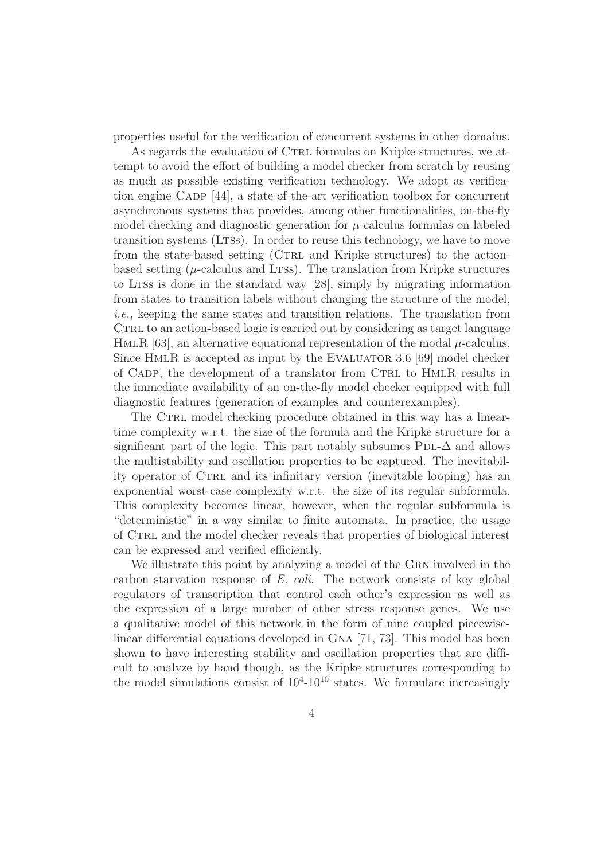properties useful for the verification of concurrent systems in other domains.

As regards the evaluation of CTRL formulas on Kripke structures, we attempt to avoid the effort of building a model checker from scratch by reusing as much as possible existing verification technology. We adopt as verification engine CADP [44], a state-of-the-art verification toolbox for concurrent asynchronous systems that provides, among other functionalities, on-the-fly model checking and diagnostic generation for  $\mu$ -calculus formulas on labeled transition systems (LTSs). In order to reuse this technology, we have to move from the state-based setting (CTRL and Kripke structures) to the actionbased setting  $(\mu$ -calculus and LTSs). The translation from Kripke structures to LTSs is done in the standard way [28], simply by migrating information from states to transition labels without changing the structure of the model, i.e., keeping the same states and transition relations. The translation from CTRL to an action-based logic is carried out by considering as target language HMLR [63], an alternative equational representation of the modal  $\mu$ -calculus. Since HMLR is accepted as input by the EVALUATOR 3.6 [69] model checker of CADP, the development of a translator from CTRL to HMLR results in the immediate availability of an on-the-fly model checker equipped with full diagnostic features (generation of examples and counterexamples).

The CTRL model checking procedure obtained in this way has a lineartime complexity w.r.t. the size of the formula and the Kripke structure for a significant part of the logic. This part notably subsumes  $PDL-\Delta$  and allows the multistability and oscillation properties to be captured. The inevitability operator of CTRL and its infinitary version (inevitable looping) has an exponential worst-case complexity w.r.t. the size of its regular subformula. This complexity becomes linear, however, when the regular subformula is "deterministic" in a way similar to finite automata. In practice, the usage of Ctrl and the model checker reveals that properties of biological interest can be expressed and verified efficiently.

We illustrate this point by analyzing a model of the GRN involved in the carbon starvation response of E. coli. The network consists of key global regulators of transcription that control each other's expression as well as the expression of a large number of other stress response genes. We use a qualitative model of this network in the form of nine coupled piecewiselinear differential equations developed in Gna [71, 73]. This model has been shown to have interesting stability and oscillation properties that are difficult to analyze by hand though, as the Kripke structures corresponding to the model simulations consist of  $10<sup>4</sup>$ -10<sup>10</sup> states. We formulate increasingly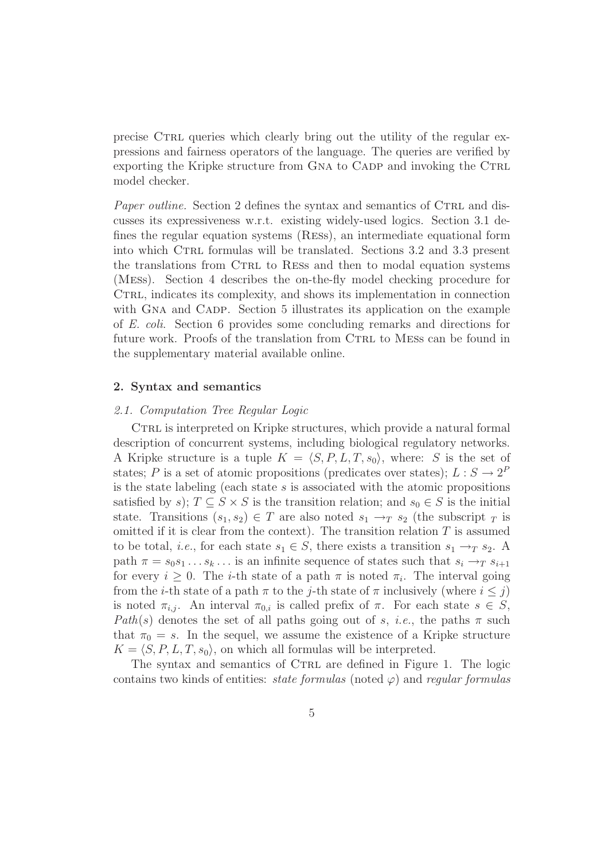precise CTRL queries which clearly bring out the utility of the regular expressions and fairness operators of the language. The queries are verified by exporting the Kripke structure from GNA to CADP and invoking the CTRL model checker.

Paper outline. Section 2 defines the syntax and semantics of CTRL and discusses its expressiveness w.r.t. existing widely-used logics. Section 3.1 defines the regular equation systems (Ress), an intermediate equational form into which CTRL formulas will be translated. Sections 3.2 and 3.3 present the translations from CTRL to RESS and then to modal equation systems (Mess). Section 4 describes the on-the-fly model checking procedure for CTRL, indicates its complexity, and shows its implementation in connection with GNA and CADP. Section 5 illustrates its application on the example of E. coli. Section 6 provides some concluding remarks and directions for future work. Proofs of the translation from CTRL to MESS can be found in the supplementary material available online.

# 2. Syntax and semantics

#### 2.1. Computation Tree Regular Logic

CTRL is interpreted on Kripke structures, which provide a natural formal description of concurrent systems, including biological regulatory networks. A Kripke structure is a tuple  $K = \langle S, P, L, T, s_0 \rangle$ , where: S is the set of states; P is a set of atomic propositions (predicates over states);  $L : S \to 2^P$ is the state labeling (each state  $s$  is associated with the atomic propositions satisfied by s);  $T \subseteq S \times S$  is the transition relation; and  $s_0 \in S$  is the initial state. Transitions  $(s_1, s_2) \in T$  are also noted  $s_1 \rightarrow_T s_2$  (the subscript  $_T$  is omitted if it is clear from the context). The transition relation  $T$  is assumed to be total, *i.e.*, for each state  $s_1 \in S$ , there exists a transition  $s_1 \rightarrow_T s_2$ . A path  $\pi = s_0 s_1 \dots s_k \dots$  is an infinite sequence of states such that  $s_i \rightarrow_T s_{i+1}$ for every  $i \geq 0$ . The *i*-th state of a path  $\pi$  is noted  $\pi_i$ . The interval going from the *i*-th state of a path  $\pi$  to the *j*-th state of  $\pi$  inclusively (where  $i \leq j$ ) is noted  $\pi_{i,j}$ . An interval  $\pi_{0,i}$  is called prefix of  $\pi$ . For each state  $s \in S$ , Path(s) denotes the set of all paths going out of s, *i.e.*, the paths  $\pi$  such that  $\pi_0 = s$ . In the sequel, we assume the existence of a Kripke structure  $K = \langle S, P, L, T, s_0 \rangle$ , on which all formulas will be interpreted.

The syntax and semantics of CTRL are defined in Figure 1. The logic contains two kinds of entities: *state formulas* (noted  $\varphi$ ) and *regular formulas*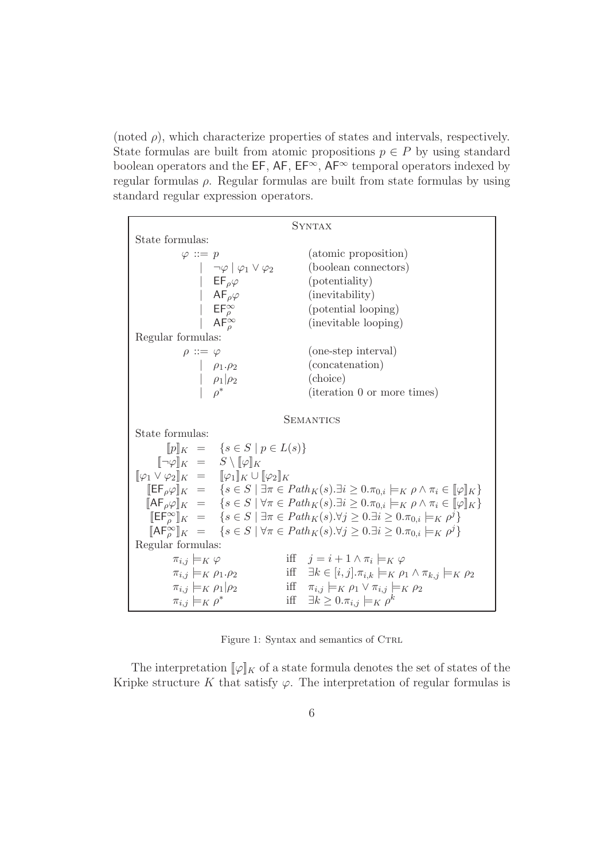(noted  $\rho$ ), which characterize properties of states and intervals, respectively. State formulas are built from atomic propositions  $p \in P$  by using standard boolean operators and the EF, AF,  $EF^{\infty}$ ,  $AF^{\infty}$  temporal operators indexed by regular formulas ρ. Regular formulas are built from state formulas by using standard regular expression operators.

| <b>SYNTAX</b>                                                                                    |  |                                                                                                                                                                      |  |
|--------------------------------------------------------------------------------------------------|--|----------------------------------------------------------------------------------------------------------------------------------------------------------------------|--|
| State formulas:                                                                                  |  |                                                                                                                                                                      |  |
| $\varphi ::= p$                                                                                  |  | (atomic proposition)                                                                                                                                                 |  |
| $ \neg \varphi  \varphi_1 \vee \varphi_2$                                                        |  | (boolean connectors)                                                                                                                                                 |  |
| $\mathsf{EF}_{\rho}\varphi$                                                                      |  | (potentiality)                                                                                                                                                       |  |
| $\begin{array}{ccc} & AF_{\rho}\varphi\\  &EF_{\rho}^{\infty}\\  &AF_{\rho}^{\infty}\end{array}$ |  | (inevitability)                                                                                                                                                      |  |
|                                                                                                  |  | (potential looping)                                                                                                                                                  |  |
|                                                                                                  |  | (inevitable looping)                                                                                                                                                 |  |
| Regular formulas:                                                                                |  |                                                                                                                                                                      |  |
| $\rho ::= \varphi$                                                                               |  | (one-step interval)                                                                                                                                                  |  |
|                                                                                                  |  | (concatenation)                                                                                                                                                      |  |
| $\begin{array}{c c}\n & \rho_1.\rho_2 \\  & \rho_1 \rho_2 \\  & \rho^*\n\end{array}$             |  | (choice)                                                                                                                                                             |  |
|                                                                                                  |  | (iteration 0 or more times)                                                                                                                                          |  |
|                                                                                                  |  |                                                                                                                                                                      |  |
|                                                                                                  |  | <b>SEMANTICS</b>                                                                                                                                                     |  |
| State formulas:                                                                                  |  |                                                                                                                                                                      |  |
| $[p]_K = \{s \in S \mid p \in L(s)\}\$                                                           |  |                                                                                                                                                                      |  |
| $[\![\neg \varphi]\!]_K = S \setminus [\![\varphi]\!]_K$                                         |  |                                                                                                                                                                      |  |
| $[\![\varphi_1\vee\varphi_2]\!]_K \ = \ \ [\![\varphi_1]\!]_K \cup [\![\varphi_2]\!]_K$          |  |                                                                                                                                                                      |  |
|                                                                                                  |  | $\mathbb{E} \mathsf{F}_{\rho} \varphi \ _{K} = \{ s \in S \mid \exists \pi \in Path_K(s). \exists i \geq 0. \pi_{0,i} \models_K \rho \land \pi_i \in [\varphi]_K \}$ |  |
|                                                                                                  |  | $[\![\mathsf{AF}_{\rho}\varphi]\!]_K = \{s \in S \mid \forall \pi \in Path_K(s).\exists i \geq 0.\pi_{0,i} \models_K \rho \land \pi_i \in [\![\varphi]\!]_K\}$       |  |
|                                                                                                  |  | $[\mathsf{EF}_{\rho}^{\infty}]_K = \{ s \in S \mid \exists \pi \in Path_K(s). \forall j \geq 0. \exists i \geq 0. \pi_{0,i} \models_K \rho^j \}$                     |  |
|                                                                                                  |  | $[\mathsf{AF}_{\rho}^{\infty}]_K = \{ s \in S \mid \forall \pi \in Path_K(s). \forall j \geq 0. \exists i \geq 0. \pi_{0,i} \models_K \rho^j \}$                     |  |
| Regular formulas:                                                                                |  |                                                                                                                                                                      |  |
| $\pi_{i,j} \models_K \varphi$                                                                    |  | iff $j = i + 1 \wedge \pi_i \models_K \varphi$                                                                                                                       |  |
| $\pi_{i,j} \models_K \rho_1.\rho_2$                                                              |  | iff $\exists k \in [i, j] \ldotp \pi_{i,k} \models_K \rho_1 \land \pi_{k,j} \models_K \rho_2$                                                                        |  |
| $\pi_{i,j} \models_K \rho_1   \rho_2$                                                            |  | iff $\pi_{i,j} \models_K \rho_1 \lor \pi_{i,j} \models_K \rho_2$                                                                                                     |  |
| $\pi_{i,j} \models_K \rho^*$                                                                     |  | iff $\exists k \geq 0 \ldots \pi_{i,j} \models_K \rho^k$                                                                                                             |  |

Figure 1: Syntax and semantics of CTRL

The interpretation  $[\![\varphi]\!]_K$  of a state formula denotes the set of states of the Kripke structure K that satisfy  $\varphi$ . The interpretation of regular formulas is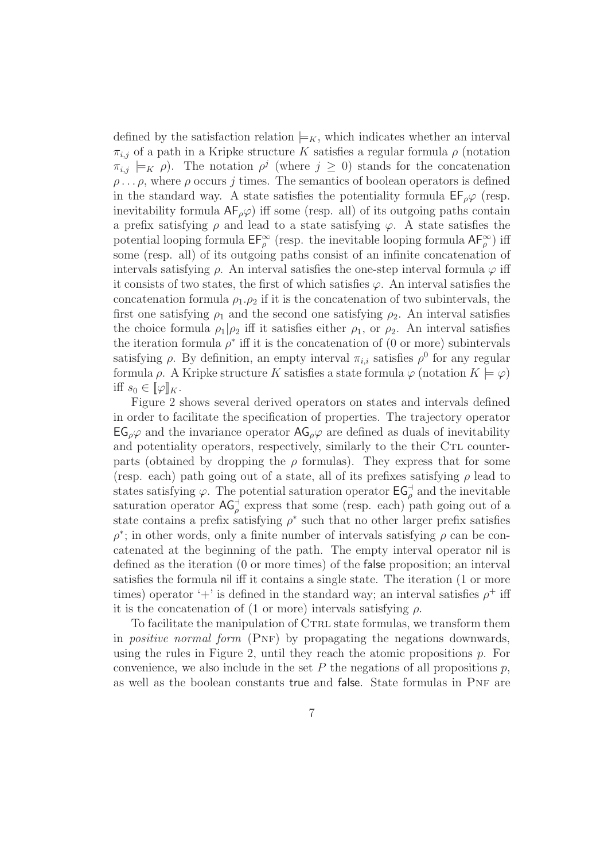defined by the satisfaction relation  $\models K$ , which indicates whether an interval  $\pi_{i,j}$  of a path in a Kripke structure K satisfies a regular formula  $\rho$  (notation  $\pi_{i,j} \models_K \rho$ ). The notation  $\rho^j$  (where  $j \geq 0$ ) stands for the concatenation  $\rho \ldots \rho$ , where  $\rho$  occurs j times. The semantics of boolean operators is defined in the standard way. A state satisfies the potentiality formula  $E_{\rho}\varphi$  (resp. inevitability formula  $AF_\rho\varphi$  iff some (resp. all) of its outgoing paths contain a prefix satisfying  $\rho$  and lead to a state satisfying  $\varphi$ . A state satisfies the potential looping formula  $\mathsf{EF}_{\rho}^{\infty}$  (resp. the inevitable looping formula  $\mathsf{AF}_{\rho}^{\infty}$ ) iff some (resp. all) of its outgoing paths consist of an infinite concatenation of intervals satisfying  $\rho$ . An interval satisfies the one-step interval formula  $\varphi$  iff it consists of two states, the first of which satisfies  $\varphi$ . An interval satisfies the concatenation formula  $\rho_1 \cdot \rho_2$  if it is the concatenation of two subintervals, the first one satisfying  $\rho_1$  and the second one satisfying  $\rho_2$ . An interval satisfies the choice formula  $\rho_1|\rho_2$  iff it satisfies either  $\rho_1$ , or  $\rho_2$ . An interval satisfies the iteration formula  $\rho^*$  iff it is the concatenation of (0 or more) subintervals satisfying  $\rho$ . By definition, an empty interval  $\pi_{i,i}$  satisfies  $\rho^0$  for any regular formula  $\rho$ . A Kripke structure K satisfies a state formula  $\varphi$  (notation  $K \models \varphi$ ) iff  $s_0 \in [\![\varphi]\!]_K$ .

Figure 2 shows several derived operators on states and intervals defined in order to facilitate the specification of properties. The trajectory operator  $EG_{\rho}\varphi$  and the invariance operator  $AG_{\rho}\varphi$  are defined as duals of inevitability and potentiality operators, respectively, similarly to the their CTL counterparts (obtained by dropping the  $\rho$  formulas). They express that for some (resp. each) path going out of a state, all of its prefixes satisfying  $\rho$  lead to states satisfying  $\varphi$ . The potential saturation operator  $\mathsf{EG}^{\dashv}_{\rho}$  and the inevitable saturation operator  $AG_{\rho}^{\dagger}$  express that some (resp. each) path going out of a state contains a prefix satisfying  $\rho^*$  such that no other larger prefix satisfies  $\rho^*$ ; in other words, only a finite number of intervals satisfying  $\rho$  can be concatenated at the beginning of the path. The empty interval operator nil is defined as the iteration (0 or more times) of the false proposition; an interval satisfies the formula nil iff it contains a single state. The iteration (1 or more times) operator '+' is defined in the standard way; an interval satisfies  $\rho^+$  iff it is the concatenation of (1 or more) intervals satisfying  $\rho$ .

To facilitate the manipulation of CTRL state formulas, we transform them in *positive normal form*  $(PNF)$  by propagating the negations downwards, using the rules in Figure 2, until they reach the atomic propositions  $p$ . For convenience, we also include in the set P the negations of all propositions  $p$ , as well as the boolean constants true and false. State formulas in PNF are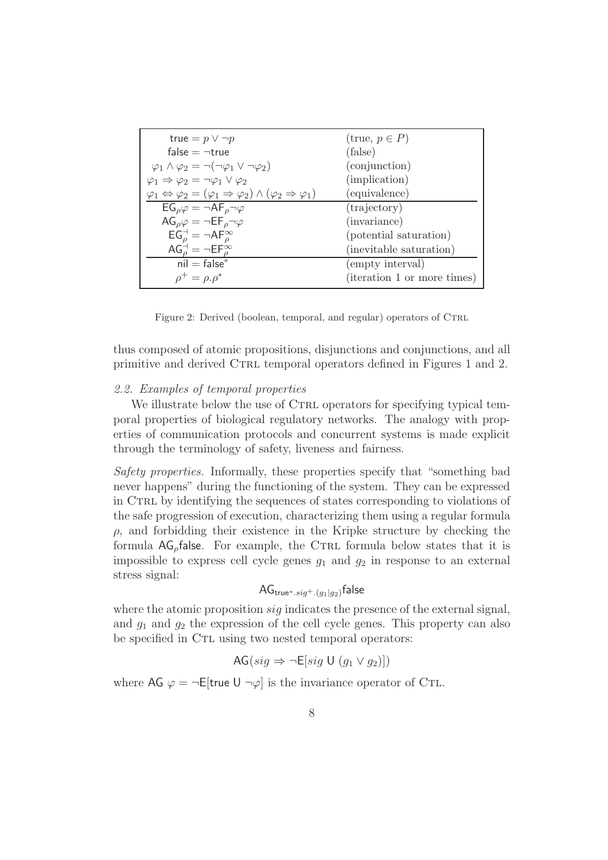| true = $p \vee \neg p$                                                                                             | $(\text{true}, p \in P)$    |
|--------------------------------------------------------------------------------------------------------------------|-----------------------------|
| false $=$ $\neg$ true                                                                                              | (false)                     |
| $\varphi_1 \wedge \varphi_2 = \neg(\neg \varphi_1 \vee \neg \varphi_2)$                                            | (conjunction)               |
| $\varphi_1 \Rightarrow \varphi_2 = \neg \varphi_1 \vee \varphi_2$                                                  | (implication)               |
| $\varphi_1 \Leftrightarrow \varphi_2 = (\varphi_1 \Rightarrow \varphi_2) \wedge (\varphi_2 \Rightarrow \varphi_1)$ | (equivalence)               |
| $EG_{\rho}\varphi = \neg AF_{\rho}\neg\varphi$                                                                     | (trajectory)                |
| $AG_{\rho}\varphi = \neg EF_{\rho}\neg\varphi$                                                                     | (invariance)                |
| $EG_{\rho}^{\dashv} = \neg AF_{\rho}^{\infty}$                                                                     | (potential saturation)      |
| $AG_{\rho}^{\dagger} = \neg EF_{\rho}^{\infty}$                                                                    | (inevitable saturation)     |
| $nil = false^*$                                                                                                    | (empty interval)            |
| $\rho^+ = \rho \cdot \rho^*$                                                                                       | (iteration 1 or more times) |

Figure 2: Derived (boolean, temporal, and regular) operators of CTRL

thus composed of atomic propositions, disjunctions and conjunctions, and all primitive and derived CTRL temporal operators defined in Figures 1 and 2.

## 2.2. Examples of temporal properties

We illustrate below the use of CTRL operators for specifying typical temporal properties of biological regulatory networks. The analogy with properties of communication protocols and concurrent systems is made explicit through the terminology of safety, liveness and fairness.

Safety properties. Informally, these properties specify that "something bad never happens" during the functioning of the system. They can be expressed in CTRL by identifying the sequences of states corresponding to violations of the safe progression of execution, characterizing them using a regular formula  $\rho$ , and forbidding their existence in the Kripke structure by checking the formula  $AG_\rho$  false. For example, the CTRL formula below states that it is impossible to express cell cycle genes  $g_1$  and  $g_2$  in response to an external stress signal:

# $AG_{\text{true}^*,sig^+.(g_1|g_2)}$ false

where the atomic proposition  $sig$  indicates the presence of the external signal, and  $g_1$  and  $g_2$  the expression of the cell cycle genes. This property can also be specified in C<sub>TL</sub> using two nested temporal operators:

$$
AG(sign \Rightarrow \neg E[sig \cup (g_1 \vee g_2)])
$$

where AG  $\varphi = \neg E$ [true U  $\neg \varphi$ ] is the invariance operator of CTL.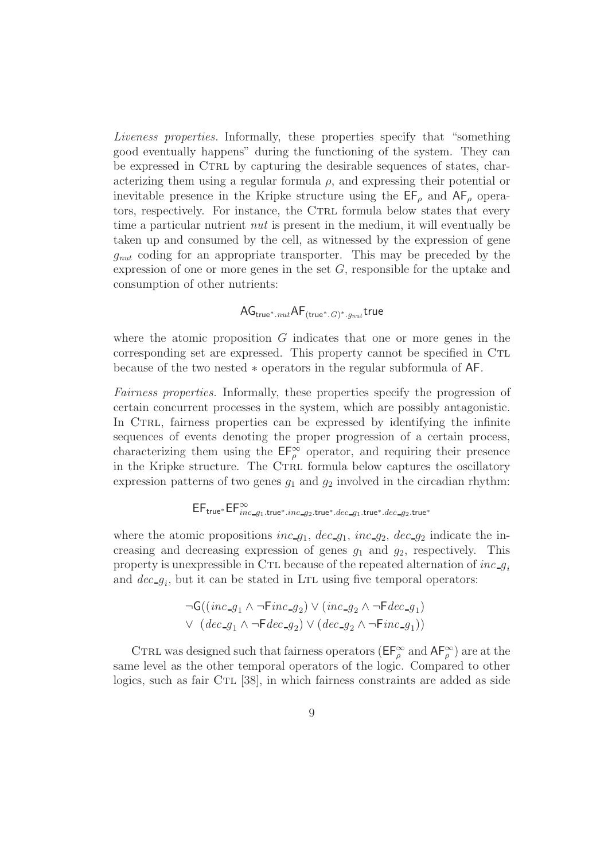Liveness properties. Informally, these properties specify that "something good eventually happens" during the functioning of the system. They can be expressed in CTRL by capturing the desirable sequences of states, characterizing them using a regular formula  $\rho$ , and expressing their potential or inevitable presence in the Kripke structure using the  $\mathsf{EF}_{\rho}$  and  $\mathsf{AF}_{\rho}$  operators, respectively. For instance, the CTRL formula below states that every time a particular nutrient nut is present in the medium, it will eventually be taken up and consumed by the cell, as witnessed by the expression of gene  $g_{nut}$  coding for an appropriate transporter. This may be preceded by the expression of one or more genes in the set  $G$ , responsible for the uptake and consumption of other nutrients:

# $\mathsf{AG}_{\mathsf{true}^*.nut}\mathsf{AF}_{(\mathsf{true}^*.G)^*.g_{nut}}$ true

where the atomic proposition  $G$  indicates that one or more genes in the corresponding set are expressed. This property cannot be specified in CTL because of the two nested ∗ operators in the regular subformula of AF.

Fairness properties. Informally, these properties specify the progression of certain concurrent processes in the system, which are possibly antagonistic. In CTRL, fairness properties can be expressed by identifying the infinite sequences of events denoting the proper progression of a certain process, characterizing them using the  $\mathsf{EF}_{\rho}^{\infty}$  operator, and requiring their presence in the Kripke structure. The CTRL formula below captures the oscillatory expression patterns of two genes  $g_1$  and  $g_2$  involved in the circadian rhythm:

# $\mathsf{EF}_{\mathsf{true}^*}\mathsf{EF}_{\mathit{inc\_g_1}.\mathsf{true}^*.inc\_g_2.\mathsf{true}^*.dec\_g_1.\mathsf{true}^*.dec\_g_2.\mathsf{true}^*$

where the atomic propositions inc  $g_1$ ,  $dec_{-}g_1$ , inc  $g_2$ ,  $dec_{-}g_2$  indicate the increasing and decreasing expression of genes  $g_1$  and  $g_2$ , respectively. This property is unexpressible in CTL because of the repeated alternation of  $inc_{\mathcal{G}_i}$ and  $dec_{g_i}$ , but it can be stated in LTL using five temporal operators:

$$
\neg\mathsf{G}((\mathit{inc}\_g_1 \land \neg \mathsf{F} \mathit{inc}\_g_2) \lor (\mathit{inc}\_g_2 \land \neg \mathsf{F} \mathit{dec}\_g_1)
$$
  

$$
\lor (\mathit{dec}\_g_1 \land \neg \mathsf{F} \mathit{dec}\_g_2) \lor (\mathit{dec}\_g_2 \land \neg \mathsf{F} \mathit{inc}\_g_1))
$$

CTRL was designed such that fairness operators ( $E F_\rho^\infty$  and  $A F_\rho^\infty$ ) are at the same level as the other temporal operators of the logic. Compared to other logics, such as fair  $\text{CTL}$  [38], in which fairness constraints are added as side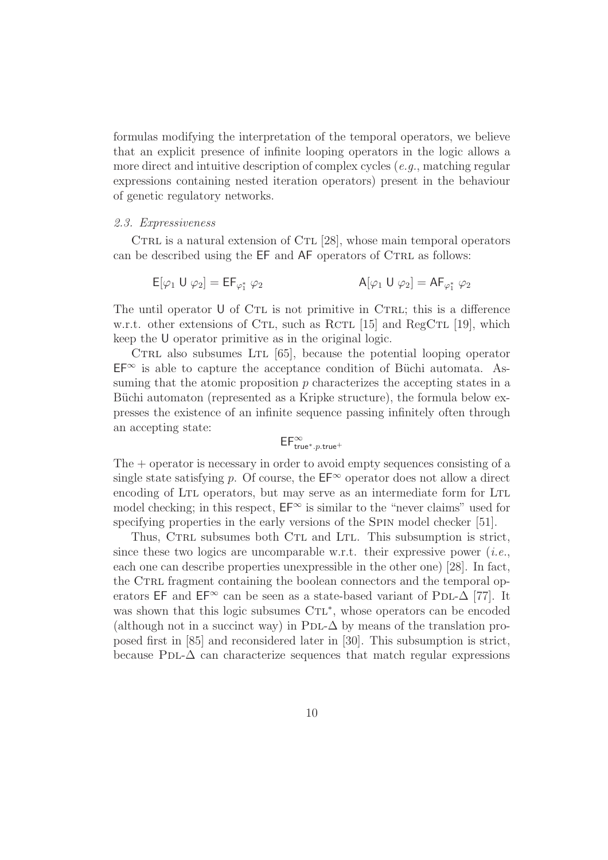formulas modifying the interpretation of the temporal operators, we believe that an explicit presence of infinite looping operators in the logic allows a more direct and intuitive description of complex cycles (e.g., matching regular expressions containing nested iteration operators) present in the behaviour of genetic regulatory networks.

#### 2.3. Expressiveness

CTRL is a natural extension of CTL [28], whose main temporal operators can be described using the EF and AF operators of CTRL as follows:

$$
E[\varphi_1 \cup \varphi_2] = EF_{\varphi_1^*} \varphi_2
$$
  
 
$$
A[\varphi_1 \cup \varphi_2] = AF_{\varphi_1^*} \varphi_2
$$

The until operator  $U$  of CTL is not primitive in CTRL; this is a difference w.r.t. other extensions of CTL, such as RCTL [15] and RegCTL [19], which keep the U operator primitive as in the original logic.

CTRL also subsumes LTL  $[65]$ , because the potential looping operator  $EF^{\infty}$  is able to capture the acceptance condition of Büchi automata. Assuming that the atomic proposition  $p$  characterizes the accepting states in a Büchi automaton (represented as a Kripke structure), the formula below expresses the existence of an infinite sequence passing infinitely often through an accepting state:

$$
\mathsf{EF}^{\infty}_{\mathsf{true}^*.p.\mathsf{true}^+}
$$

The  $+$  operator is necessary in order to avoid empty sequences consisting of a single state satisfying p. Of course, the  $\mathsf{EF}^{\infty}$  operator does not allow a direct encoding of LTL operators, but may serve as an intermediate form for LTL model checking; in this respect,  $E\mathbf{F}^{\infty}$  is similar to the "never claims" used for specifying properties in the early versions of the SPIN model checker [51].

Thus, CTRL subsumes both CTL and LTL. This subsumption is strict, since these two logics are uncomparable w.r.t. their expressive power (*i.e.*, each one can describe properties unexpressible in the other one) [28]. In fact, the CTRL fragment containing the boolean connectors and the temporal operators EF and EF∞ can be seen as a state-based variant of PDL- $\Delta$  [77]. It was shown that this logic subsumes CTL<sup>\*</sup>, whose operators can be encoded (although not in a succinct way) in PDL- $\Delta$  by means of the translation proposed first in [85] and reconsidered later in [30]. This subsumption is strict, because PDL- $\Delta$  can characterize sequences that match regular expressions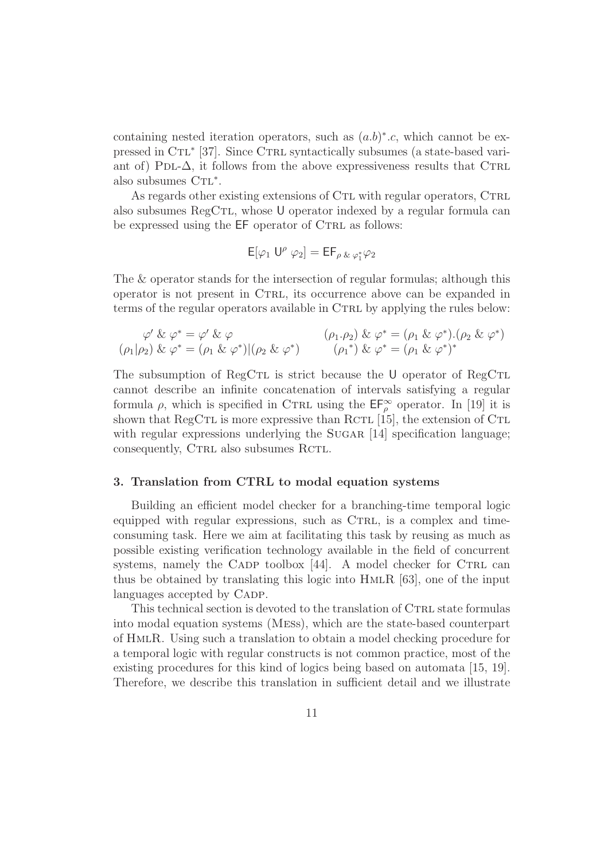containing nested iteration operators, such as  $(a.b)^*$ .c, which cannot be expressed in CTL<sup>\*</sup> [37]. Since CTRL syntactically subsumes (a state-based variant of) PDL- $\Delta$ , it follows from the above expressiveness results that CTRL also subsumes  $\operatorname{CTL}^*.$ 

As regards other existing extensions of CTL with regular operators, CTRL also subsumes  $RegCTL$ , whose U operator indexed by a regular formula can be expressed using the  $EF$  operator of CTRL as follows:

$$
\mathsf{E}[\varphi_1\ \mathsf{U}^\rho\ \varphi_2] = \mathsf{E}\mathsf{F}_{\rho\ \&\ \varphi_1^*\varphi_2}
$$

The & operator stands for the intersection of regular formulas; although this operator is not present in Ctrl, its occurrence above can be expanded in terms of the regular operators available in CTRL by applying the rules below:

$$
\varphi' \& \varphi^* = \varphi' \& \varphi
$$
  
\n
$$
(\rho_1 \cdot \rho_2) \& \varphi^* = (\rho_1 \& \varphi^*) \big( (\rho_2 \& \varphi^*) \big) \qquad (\rho_1^*) \& \varphi^* = (\rho_1 \& \varphi^*)^* \big( (\rho_2 \& \varphi^*) \big)
$$

The subsumption of RegCTL is strict because the U operator of RegCTL cannot describe an infinite concatenation of intervals satisfying a regular formula  $\rho$ , which is specified in CTRL using the  $\mathsf{EF}_{\rho}^{\infty}$  operator. In [19] it is shown that RegCTL is more expressive than RCTL  $[15]$ , the extension of CTL with regular expressions underlying the SUGAR [14] specification language; consequently, CTRL also subsumes RCTL.

# 3. Translation from CTRL to modal equation systems

Building an efficient model checker for a branching-time temporal logic equipped with regular expressions, such as CTRL, is a complex and timeconsuming task. Here we aim at facilitating this task by reusing as much as possible existing verification technology available in the field of concurrent systems, namely the CADP toolbox  $[44]$ . A model checker for CTRL can thus be obtained by translating this logic into  $HMLR$  [63], one of the input languages accepted by CADP.

This technical section is devoted to the translation of CTRL state formulas into modal equation systems (Mess), which are the state-based counterpart of HmlR. Using such a translation to obtain a model checking procedure for a temporal logic with regular constructs is not common practice, most of the existing procedures for this kind of logics being based on automata [15, 19]. Therefore, we describe this translation in sufficient detail and we illustrate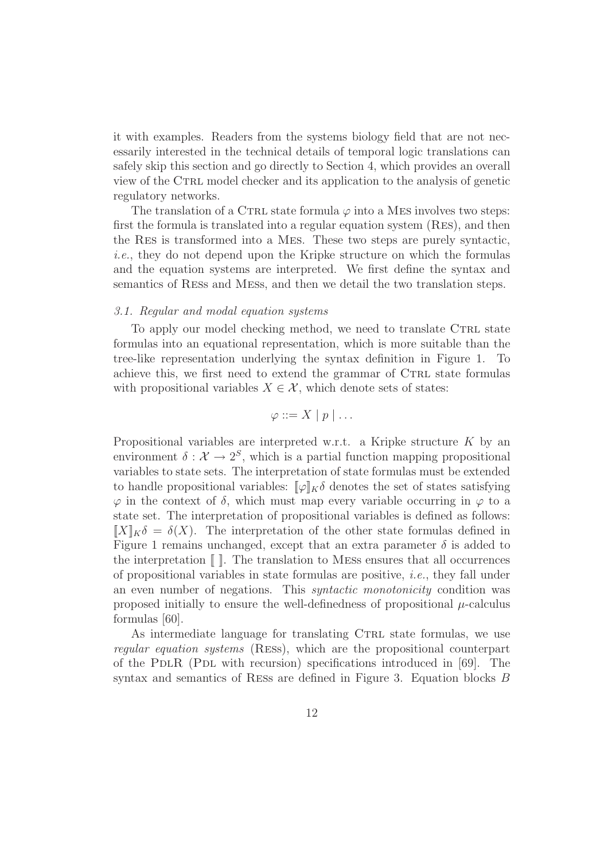it with examples. Readers from the systems biology field that are not necessarily interested in the technical details of temporal logic translations can safely skip this section and go directly to Section 4, which provides an overall view of the CTRL model checker and its application to the analysis of genetic regulatory networks.

The translation of a CTRL state formula  $\varphi$  into a MES involves two steps: first the formula is translated into a regular equation system (Res), and then the Res is transformed into a Mes. These two steps are purely syntactic, i.e., they do not depend upon the Kripke structure on which the formulas and the equation systems are interpreted. We first define the syntax and semantics of Ress and Mess, and then we detail the two translation steps.

#### 3.1. Regular and modal equation systems

To apply our model checking method, we need to translate CTRL state formulas into an equational representation, which is more suitable than the tree-like representation underlying the syntax definition in Figure 1. To achieve this, we first need to extend the grammar of CTRL state formulas with propositional variables  $X \in \mathcal{X}$ , which denote sets of states:

$$
\varphi ::= X \mid p \mid \ldots
$$

Propositional variables are interpreted w.r.t. a Kripke structure K by an environment  $\delta: \mathcal{X} \to 2^S$ , which is a partial function mapping propositional variables to state sets. The interpretation of state formulas must be extended to handle propositional variables:  $[\varphi]_K \delta$  denotes the set of states satisfying  $\varphi$  in the context of  $\delta$ , which must map every variable occurring in  $\varphi$  to a state set. The interpretation of propositional variables is defined as follows:  $[X]_K\delta = \delta(X)$ . The interpretation of the other state formulas defined in Figure 1 remains unchanged, except that an extra parameter  $\delta$  is added to the interpretation  $\llbracket \cdot \rrbracket$ . The translation to MESS ensures that all occurrences of propositional variables in state formulas are positive, i.e., they fall under an even number of negations. This *syntactic monotonicity* condition was proposed initially to ensure the well-definedness of propositional  $\mu$ -calculus formulas [60].

As intermediate language for translating CTRL state formulas, we use regular equation systems (Ress), which are the propositional counterpart of the PDLR (PDL with recursion) specifications introduced in  $[69]$ . The syntax and semantics of Ress are defined in Figure 3. Equation blocks B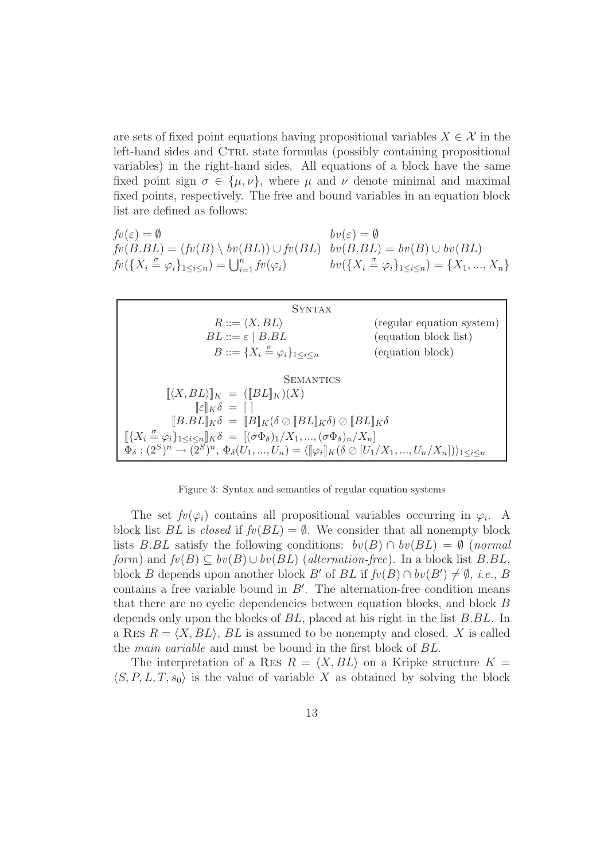are sets of fixed point equations having propositional variables  $X \in \mathcal{X}$  in the left-hand sides and CTRL state formulas (possibly containing propositional variables) in the right-hand sides. All equations of a block have the same fixed point sign  $\sigma \in {\{\mu,\nu\}}$ , where  $\mu$  and  $\nu$  denote minimal and maximal fixed points, respectively. The free and bound variables in an equation block list are defined as follows:

$$
fv(\varepsilon) = \emptyset
$$
  
\n
$$
fv(B.BL) = (fv(B) \setminus bv(BL)) \cup fv(BL)
$$
  
\n
$$
fv(B.BL) = bv(B) \cup bv(BL)
$$
  
\n
$$
fv({X_i \xrightarrow{\sigma} \varphi_i}_{1 \leq i \leq n}) = \bigcup_{i=1}^n fv(\varphi_i)
$$
  
\n
$$
bv(B.BL) = bv(B) \cup bv(BL)
$$
  
\n
$$
bv({X_i \xrightarrow{\sigma} \varphi_i}_{1 \leq i \leq n}) = \{X_1, ..., X_n\}
$$



Figure 3: Syntax and semantics of regular equation systems

The set  $f\psi(\varphi_i)$  contains all propositional variables occurring in  $\varphi_i$ . A block list BL is closed if  $fv(BL) = \emptyset$ . We consider that all nonempty block lists B.BL satisfy the following conditions:  $bv(B) \cap bv(BL) = \emptyset$  (normal form) and  $fv(B) \subseteq bv(B) \cup bv(BL)$  (alternation-free). In a block list B.BL, block B depends upon another block B' of BL if  $fv(B) \cap bv(B') \neq \emptyset$ , *i.e.*, B contains a free variable bound in  $B'$ . The alternation-free condition means that there are no cyclic dependencies between equation blocks, and block B depends only upon the blocks of BL, placed at his right in the list B.BL. In a RES  $R = \langle X, BL \rangle$ , BL is assumed to be nonempty and closed. X is called the main variable and must be bound in the first block of BL.

The interpretation of a RES  $R = \langle X, BL \rangle$  on a Kripke structure  $K =$  $\langle S, P, L, T, s_0 \rangle$  is the value of variable X as obtained by solving the block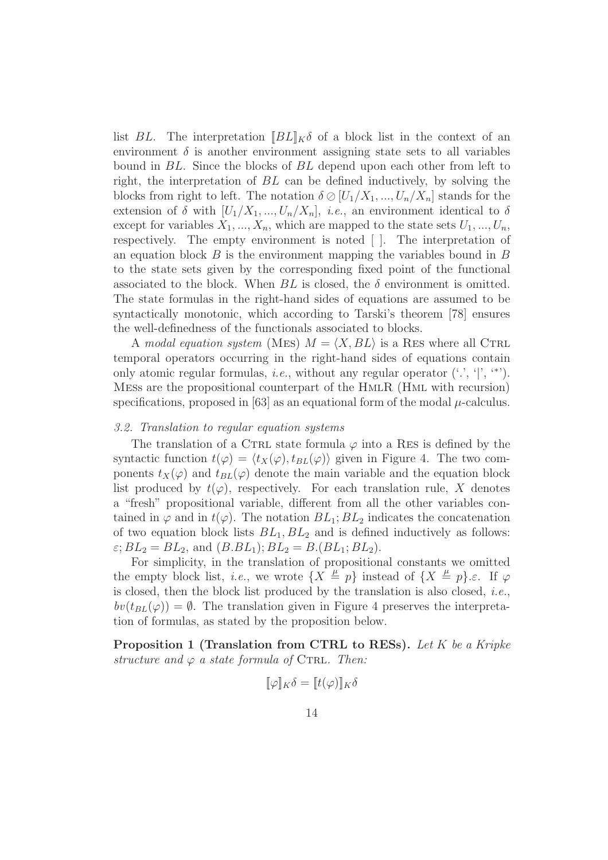list BL. The interpretation  $\Vert BL \Vert_K \delta$  of a block list in the context of an environment  $\delta$  is another environment assigning state sets to all variables bound in BL. Since the blocks of BL depend upon each other from left to right, the interpretation of BL can be defined inductively, by solving the blocks from right to left. The notation  $\delta \oslash [U_1/X_1, ..., U_n/X_n]$  stands for the extension of  $\delta$  with  $[U_1/X_1, ..., U_n/X_n], i.e.,$  an environment identical to  $\delta$ except for variables  $X_1, ..., X_n$ , which are mapped to the state sets  $U_1, ..., U_n$ , respectively. The empty environment is noted [ ]. The interpretation of an equation block  $B$  is the environment mapping the variables bound in  $B$ to the state sets given by the corresponding fixed point of the functional associated to the block. When  $BL$  is closed, the  $\delta$  environment is omitted. The state formulas in the right-hand sides of equations are assumed to be syntactically monotonic, which according to Tarski's theorem [78] ensures the well-definedness of the functionals associated to blocks.

A modal equation system (MES)  $M = \langle X, BL \rangle$  is a RES where all CTRL temporal operators occurring in the right-hand sides of equations contain only atomic regular formulas, *i.e.*, without any regular operator  $(., ' | ', ''))$ . Mess are the propositional counterpart of the HmlR (Hml with recursion) specifications, proposed in  $[63]$  as an equational form of the modal  $\mu$ -calculus.

#### 3.2. Translation to regular equation systems

The translation of a CTRL state formula  $\varphi$  into a RES is defined by the syntactic function  $t(\varphi) = \langle t_X(\varphi), t_{BL}(\varphi) \rangle$  given in Figure 4. The two components  $t_X(\varphi)$  and  $t_{BL}(\varphi)$  denote the main variable and the equation block list produced by  $t(\varphi)$ , respectively. For each translation rule, X denotes a "fresh" propositional variable, different from all the other variables contained in  $\varphi$  and in  $t(\varphi)$ . The notation  $BL_1; BL_2$  indicates the concatenation of two equation block lists  $BL_1, BL_2$  and is defined inductively as follows:  $\varepsilon$ ;  $BL_2 = BL_2$ , and  $(B.BL_1)$ ;  $BL_2 = B.(BL_1; BL_2)$ .

For simplicity, in the translation of propositional constants we omitted the empty block list, *i.e.*, we wrote  $\{X \stackrel{\mu}{=} p\}$  instead of  $\{X \stackrel{\mu}{=} p\}.\varepsilon$ . If  $\varphi$ is closed, then the block list produced by the translation is also closed, i.e.,  $bv(t_{BL}(\varphi)) = \emptyset$ . The translation given in Figure 4 preserves the interpretation of formulas, as stated by the proposition below.

Proposition 1 (Translation from CTRL to RESs). Let K be a Kripke structure and  $\varphi$  a state formula of CTRL. Then:

$$
[\![\varphi]\!]_K \delta = [\![t(\varphi)]\!]_K \delta
$$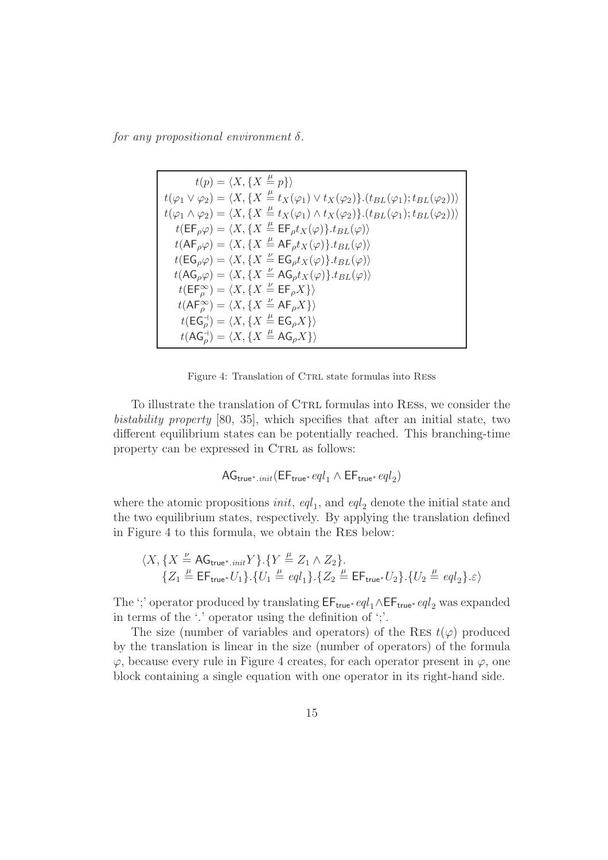for any propositional environment  $\delta$ .

$$
t(p) = \langle X, \{X \stackrel{\mu}{=} p\} \rangle
$$
  
\n
$$
t(\varphi_1 \vee \varphi_2) = \langle X, \{X \stackrel{\mu}{=} t_X(\varphi_1) \vee t_X(\varphi_2)\} . (t_{BL}(\varphi_1); t_{BL}(\varphi_2)) \rangle
$$
  
\n
$$
t(\varphi_1 \wedge \varphi_2) = \langle X, \{X \stackrel{\mu}{=} t_X(\varphi_1) \wedge t_X(\varphi_2)\} . (t_{BL}(\varphi_1); t_{BL}(\varphi_2)) \rangle
$$
  
\n
$$
t(\mathsf{EF}_{\rho}\varphi) = \langle X, \{X \stackrel{\mu}{=} \mathsf{EF}_{\rho} t_X(\varphi)\} . t_{BL}(\varphi) \rangle
$$
  
\n
$$
t(\mathsf{AG}_{\rho}\varphi) = \langle X, \{X \stackrel{\mu}{=} \mathsf{AG}_{\rho} t_X(\varphi)\} . t_{BL}(\varphi) \rangle
$$
  
\n
$$
t(\mathsf{AG}_{\rho}\varphi) = \langle X, \{X \stackrel{\mu}{=} \mathsf{EG}_{\rho} t_X(\varphi)\} . t_{BL}(\varphi) \rangle
$$
  
\n
$$
t(\mathsf{AF}_{\rho}^{\infty}) = \langle X, \{X \stackrel{\mu}{=} \mathsf{AG}_{\rho} t_X(\varphi)\} . t_{BL}(\varphi) \rangle
$$
  
\n
$$
t(\mathsf{EF}_{\rho}^{\infty}) = \langle X, \{X \stackrel{\mu}{=} \mathsf{EF}_{\rho} X\} \rangle
$$
  
\n
$$
t(\mathsf{AG}_{\rho}^{\perp}) = \langle X, \{X \stackrel{\mu}{=} \mathsf{EG}_{\rho} X\} \rangle
$$
  
\n
$$
t(\mathsf{AG}_{\rho}^{\perp}) = \langle X, \{X \stackrel{\mu}{=} \mathsf{EG}_{\rho} X\} \rangle
$$
  
\n
$$
t(\mathsf{AG}_{\rho}^{\perp}) = \langle X, \{X \stackrel{\mu}{=} \mathsf{AG}_{\rho} X\} \rangle
$$

Figure 4: Translation of CTRL state formulas into RESS

To illustrate the translation of CTRL formulas into RESS, we consider the bistability property [80, 35], which specifies that after an initial state, two different equilibrium states can be potentially reached. This branching-time property can be expressed in CTRL as follows:

$$
\mathsf{AG}_{\mathsf{true}^*.init}(\mathsf{EF}_{\mathsf{true}^*}\,eql_1 \land \mathsf{EF}_{\mathsf{true}^*}\,eql_2)
$$

where the atomic propositions *init*,  $\text{eql}_1$ , and  $\text{eql}_2$  denote the initial state and the two equilibrium states, respectively. By applying the translation defined in Figure 4 to this formula, we obtain the Res below:

$$
\begin{array}{l}\langle X, \{X\stackrel{\nu}{=} \mathsf{AG}_{\mathsf{true}^*.\mathit{init}}Y\}.\{Y\stackrel{\mu}{=} Z_1 \land Z_2\}.\cr \{Z_1\stackrel{\mu}{=} \mathsf{EF}_{\mathsf{true}^*}U_1\}.\{U_1\stackrel{\mu}{=} \mathit{eql}_1\}.\{Z_2\stackrel{\mu}{=} \mathsf{EF}_{\mathsf{true}^*}U_2\}.\{U_2\stackrel{\mu}{=} \mathit{eql}_2\}.\varepsilon\rangle\end{array}
$$

The ';' operator produced by translating  $\mathsf{EF}_{\mathsf{true}^*} \, \mathit{eql}_1 \wedge \mathsf{EF}_{\mathsf{true}^*} \, \mathit{eql}_2$  was expanded in terms of the '.' operator using the definition of ';'.

The size (number of variables and operators) of the RES  $t(\varphi)$  produced by the translation is linear in the size (number of operators) of the formula  $\varphi$ , because every rule in Figure 4 creates, for each operator present in  $\varphi$ , one block containing a single equation with one operator in its right-hand side.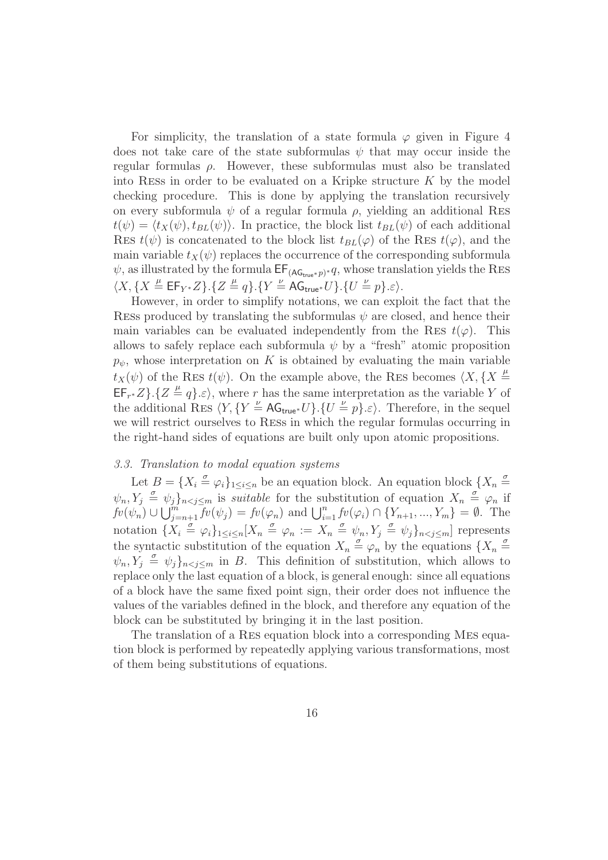For simplicity, the translation of a state formula  $\varphi$  given in Figure 4 does not take care of the state subformulas  $\psi$  that may occur inside the regular formulas  $\rho$ . However, these subformulas must also be translated into RESS in order to be evaluated on a Kripke structure  $K$  by the model checking procedure. This is done by applying the translation recursively on every subformula  $\psi$  of a regular formula  $\rho$ , yielding an additional RES  $t(\psi) = \langle t_X(\psi), t_{BL}(\psi) \rangle$ . In practice, the block list  $t_{BL}(\psi)$  of each additional RES  $t(\psi)$  is concatenated to the block list  $t_{BL}(\varphi)$  of the RES  $t(\varphi)$ , and the main variable  $t_X(\psi)$  replaces the occurrence of the corresponding subformula  $\psi$ , as illustrated by the formula  $\mathsf{EF}_{(\mathsf{AG}_{\mathsf{true}^*} p)^*} q$ , whose translation yields the RES  $\langle X, \{X \stackrel{\mu}{=} \mathsf{EF}_{Y^*}Z\}. \{Z \stackrel{\mu}{=} q\}.\{Y \stackrel{\nu}{=} \mathsf{AG}_{\mathsf{true}^*}U\}.\{U \stackrel{\nu}{=} p\}.\varepsilon \rangle.$ 

However, in order to simplify notations, we can exploit the fact that the RESS produced by translating the subformulas  $\psi$  are closed, and hence their main variables can be evaluated independently from the RES  $t(\varphi)$ . This allows to safely replace each subformula  $\psi$  by a "fresh" atomic proposition  $p_{\psi}$ , whose interpretation on K is obtained by evaluating the main variable  $t_X(\psi)$  of the RES  $t(\psi)$ . On the example above, the RES becomes  $\langle X, \{X \stackrel{\mu}{=} \}$  $\mathsf{EF}_{r^*}Z\}.$  { $Z \stackrel{\mu}{=} q\}.\varepsilon$ }, where r has the same interpretation as the variable Y of the additional RES  $\langle Y, \{Y \stackrel{\nu}{=} \mathsf{AG}_{\mathsf{true}*} U\}.\{U \stackrel{\nu}{=} p\}.\varepsilon\rangle$ . Therefore, in the sequel we will restrict ourselves to Ress in which the regular formulas occurring in the right-hand sides of equations are built only upon atomic propositions.

# 3.3. Translation to modal equation systems

Let  $B = \{X_i \stackrel{\sigma}{=} \varphi_i\}_{1 \leq i \leq n}$  be an equation block. An equation block  $\{X_n \stackrel{\sigma}{=} \varphi_i\}_{1 \leq i \leq n}$  $\psi_n, Y_j \triangleq \psi_j\}_{n \leq j \leq m}$  is *suitable* for the substitution of equation  $X_n \triangleq \varphi_n$  if  $fv(\psi_n) \cup \bigcup_{j=n+1}^m \overline{f}v(\psi_j) = fv(\varphi_n)$  and  $\bigcup_{i=1}^n fv(\varphi_i) \cap \{Y_{n+1}, ..., Y_m\} = \emptyset$ . The notation  $\{X_i \stackrel{\sigma}{=} \varphi_i\}_{1 \leq i \leq n}$   $[X_n \stackrel{\sigma}{=} \varphi_n := X_n \stackrel{\sigma}{=} \psi_n, Y_j \stackrel{\sigma}{=} \psi_j\}_{n \leq j \leq m}]$  represents the syntactic substitution of the equation  $X_n \stackrel{\sigma}{=} \varphi_n$  by the equations  $\{X_n \stackrel{\sigma}{=} \varphi_n\}$  $\psi_n, Y_j \triangleq \psi_j\}_{n < j \leq m}$  in B. This definition of substitution, which allows to replace only the last equation of a block, is general enough: since all equations of a block have the same fixed point sign, their order does not influence the values of the variables defined in the block, and therefore any equation of the block can be substituted by bringing it in the last position.

The translation of a Res equation block into a corresponding Mes equation block is performed by repeatedly applying various transformations, most of them being substitutions of equations.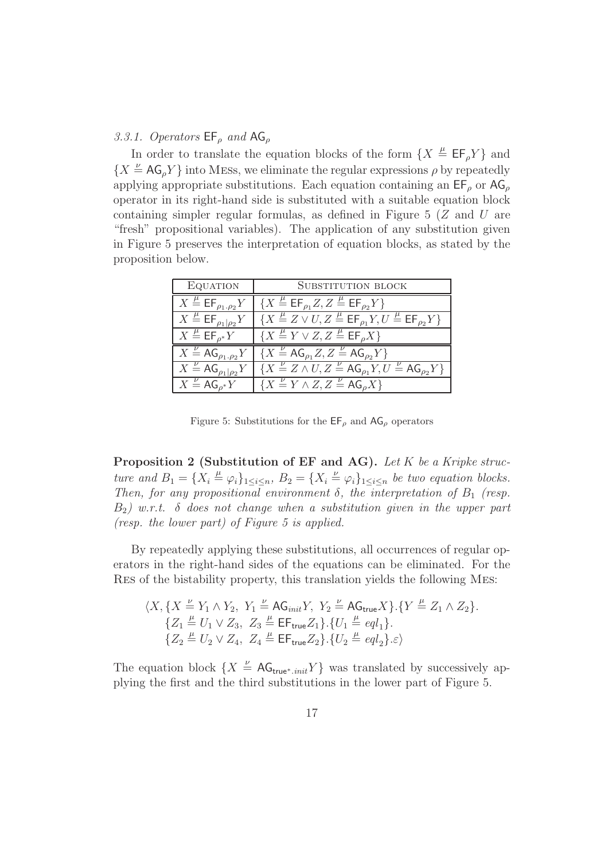# 3.3.1. Operators  $\mathsf{EF}_{\rho}$  and  $\mathsf{AG}_{\rho}$

In order to translate the equation blocks of the form  $\{X \stackrel{\mu}{=} \mathsf{EF}_{\rho}Y\}$  and  ${X \overset{\nu}{=} AG_{\rho}Y}$  into MESs, we eliminate the regular expressions  $\rho$  by repeatedly applying appropriate substitutions. Each equation containing an  $E_{\rho}$  or  $AG_{\rho}$ operator in its right-hand side is substituted with a suitable equation block containing simpler regular formulas, as defined in Figure  $5/Z$  and U are "fresh" propositional variables). The application of any substitution given in Figure 5 preserves the interpretation of equation blocks, as stated by the proposition below.

| EQUATION                                            | <b>SUBSTITUTION BLOCK</b>                                                                                                   |
|-----------------------------------------------------|-----------------------------------------------------------------------------------------------------------------------------|
| $X \stackrel{\mu}{=} \mathsf{EF}_{\rho_1,\rho_2} Y$ | ${X \triangleq \mathsf{EF}_{\rho_1} Z, Z \triangleq \mathsf{EF}_{\rho_2} Y}$                                                |
| $X \stackrel{\mu}{=} \mathsf{EF}_{\rho_1 \rho_2} Y$ | $\{X \stackrel{\mu}{=} Z \vee U, Z \stackrel{\mu}{=} \mathsf{EF}_{\rho_1}Y, U \stackrel{\mu}{=} \mathsf{EF}_{\rho_2}Y\}$    |
| $X \stackrel{\mu}{=} \mathsf{EF}_{\rho^*} Y$        | ${X \stackrel{\mu}{=} Y \vee Z, Z \stackrel{\mu}{=} \mathsf{EF}_\rho X}$                                                    |
| $X \stackrel{\nu}{=} \mathsf{AG}_{\rho_1,\rho_2} Y$ | $\{X \stackrel{\nu}{=} AG_{\rho_1}Z, Z \stackrel{\nu}{=} AG_{\rho_2}Y\}$                                                    |
| $X \stackrel{\nu}{=} \mathsf{AG}_{\rho_1 \rho_2}Y$  | $\left[ \{ X \stackrel{\nu}{=} Z \wedge U, Z \stackrel{\nu}{=} AG_{\rho_1} Y, U \stackrel{\nu}{=} AG_{\rho_2} Y \} \right]$ |
| $X = AG_{\rho^*}Y$                                  | ${X \stackrel{\nu}{=} Y \wedge Z, Z \stackrel{\nu}{=} AG_{\rho}X}$                                                          |

Figure 5: Substitutions for the  $\mathsf{EF}_{\rho}$  and  $\mathsf{AG}_{\rho}$  operators

Proposition 2 (Substitution of EF and AG). Let K be a Kripke structure and  $B_1 = \{X_i \stackrel{\mu}{=} \varphi_i\}_{1 \leq i \leq n}$ ,  $B_2 = \{X_i \stackrel{\nu}{=} \varphi_i\}_{1 \leq i \leq n}$  be two equation blocks. Then, for any propositional environment  $\delta$ , the interpretation of  $B_1$  (resp.  $B_2$ ) w.r.t. δ does not change when a substitution given in the upper part (resp. the lower part) of Figure 5 is applied.

By repeatedly applying these substitutions, all occurrences of regular operators in the right-hand sides of the equations can be eliminated. For the Res of the bistability property, this translation yields the following Mes:

$$
\begin{array}{l}\langle X, \{X\stackrel{\nu}{=} Y_1\wedge Y_2,\ Y_1\stackrel{\nu}{=} \mathsf{AG}_{\mathit{init}} Y,\ Y_2\stackrel{\nu}{=} \mathsf{AG}_{\mathit{true}} X\}.\{Y\stackrel{\mu}{=} Z_1\wedge Z_2\}.\\\ \{Z_1\stackrel{\mu}{=} U_1\vee Z_3,\ Z_3\stackrel{\mu}{=} \mathsf{EF}_{\mathsf{true}} Z_1\}.\{U_1\stackrel{\mu}{=} e q l_1\}.\\\ \{Z_2\stackrel{\mu}{=} U_2\vee Z_4,\ Z_4\stackrel{\mu}{=} \mathsf{EF}_{\mathsf{true}} Z_2\}.\{U_2\stackrel{\mu}{=} e q l_2\}.\varepsilon\rangle\end{array}
$$

The equation block  $\{X \stackrel{\nu}{=} \mathsf{AG}_{\mathsf{true}^*, init}Y\}$  was translated by successively applying the first and the third substitutions in the lower part of Figure 5.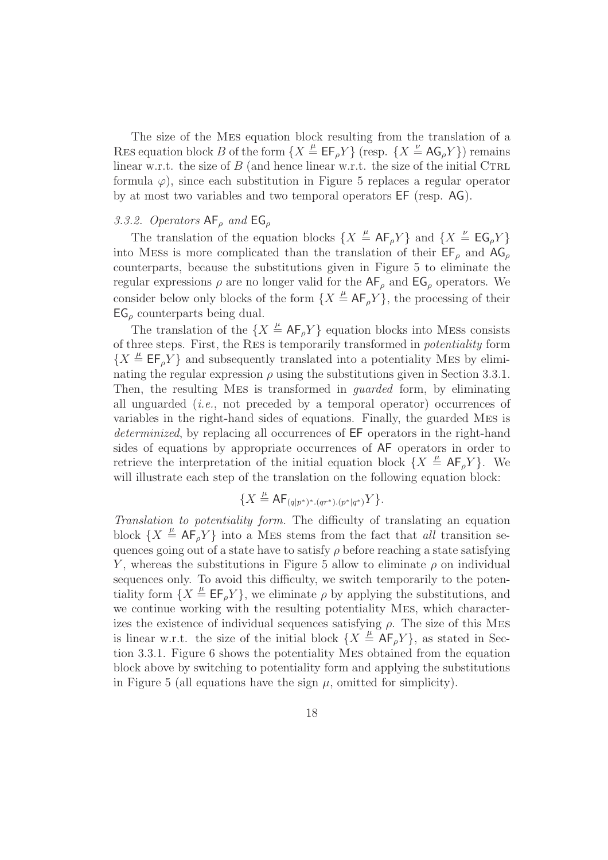The size of the Mes equation block resulting from the translation of a RES equation block B of the form  $\{X \stackrel{\mu}{=} \mathsf{EF}_{\rho}Y\}$  (resp.  $\{X \stackrel{\nu}{=} \mathsf{AG}_{\rho}Y\}$ ) remains linear w.r.t. the size of  $B$  (and hence linear w.r.t. the size of the initial CTRL formula  $\varphi$ ), since each substitution in Figure 5 replaces a regular operator by at most two variables and two temporal operators EF (resp. AG).

# 3.3.2. Operators  $AF_\rho$  and  $EG_\rho$

The translation of the equation blocks  $\{X \stackrel{\mu}{=} AF_{\rho}Y\}$  and  $\{X \stackrel{\nu}{=} FG_{\rho}Y\}$ into MESs is more complicated than the translation of their  $E_{\rho}$  and  $AG_{\rho}$ counterparts, because the substitutions given in Figure 5 to eliminate the regular expressions  $\rho$  are no longer valid for the  $AF_\rho$  and  $EG_\rho$  operators. We consider below only blocks of the form  $\{X \stackrel{\mu}{=} \mathsf{AF}_\rho Y\}$ , the processing of their  $EG_{\rho}$  counterparts being dual.

The translation of the  $\{X \stackrel{\mu}{=} AF_{\rho}Y\}$  equation blocks into MESS consists of three steps. First, the Res is temporarily transformed in potentiality form  ${X \triangleq \mathsf{EF}_{\rho} Y}$  and subsequently translated into a potentiality MES by eliminating the regular expression  $\rho$  using the substitutions given in Section 3.3.1. Then, the resulting Mes is transformed in guarded form, by eliminating all unguarded  $(i.e., not preceded by a temporal operator) occurrences of$ variables in the right-hand sides of equations. Finally, the guarded Mes is determinized, by replacing all occurrences of EF operators in the right-hand sides of equations by appropriate occurrences of AF operators in order to retrieve the interpretation of the initial equation block  $\{X \stackrel{\mu}{=} AF_{\rho}Y\}$ . We will illustrate each step of the translation on the following equation block:

$$
\{X \stackrel{\mu}{=} \mathsf{AF}_{(q|p^*)^*.(q r^*).(p^*|q^*)}Y\}.
$$

Translation to potentiality form. The difficulty of translating an equation block  $\{X \stackrel{\mu}{=} \mathsf{AF}_\rho Y\}$  into a MES stems from the fact that all transition sequences going out of a state have to satisfy  $\rho$  before reaching a state satisfying Y, whereas the substitutions in Figure 5 allow to eliminate  $\rho$  on individual sequences only. To avoid this difficulty, we switch temporarily to the potentiality form  $\{X \stackrel{\mu}{=} \mathsf{EF}_{\rho}Y\}$ , we eliminate  $\rho$  by applying the substitutions, and we continue working with the resulting potentiality Mes, which characterizes the existence of individual sequences satisfying  $\rho$ . The size of this MES is linear w.r.t. the size of the initial block  $\{X \stackrel{\mu}{=} AF_{\rho}Y\}$ , as stated in Section 3.3.1. Figure 6 shows the potentiality Mes obtained from the equation block above by switching to potentiality form and applying the substitutions in Figure 5 (all equations have the sign  $\mu$ , omitted for simplicity).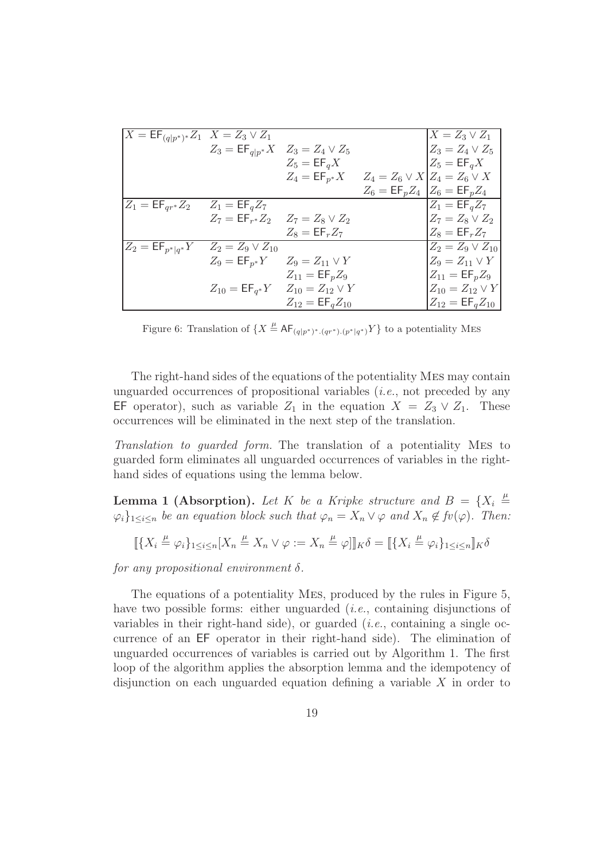| $X = \mathsf{EF}_{(q p^*)^*} Z_1$ $X = Z_3 \vee Z_1$       |                                                        |                                                                   | $X = Z_3 \vee Z_1$                                       |
|------------------------------------------------------------|--------------------------------------------------------|-------------------------------------------------------------------|----------------------------------------------------------|
|                                                            | $Z_3 = \mathsf{EF}_{q p^*} X \quad Z_3 = Z_4 \vee Z_5$ |                                                                   | $Z_3 = Z_4 \vee Z_5$                                     |
|                                                            |                                                        | $Z_5 = \mathsf{EF}_q X$                                           | $Z_5 = \mathsf{EF}_q X$                                  |
|                                                            |                                                        | $Z_4 = \mathsf{EF}_{p^*} X$ $Z_4 = Z_6 \vee X   Z_4 = Z_6 \vee X$ |                                                          |
|                                                            |                                                        |                                                                   | $Z_6 = \mathsf{EF}_p Z_4 \;   Z_6 = \mathsf{EF}_p Z_4  $ |
| $Z_1 = \mathsf{EF}_{qr^*} Z_2$ $Z_1 = \mathsf{EF}_{q} Z_7$ |                                                        |                                                                   | $Z_1 = \mathsf{EF}_q Z_7$                                |
|                                                            | $Z_7 = \mathsf{EF}_{r^*} Z_2$ $Z_7 = Z_8 \vee Z_2$     |                                                                   | $Z_7 = Z_8 \vee Z_2$                                     |
|                                                            |                                                        | $Z_8 = \mathsf{EF}_r Z_7$                                         | $Z_8 = \mathsf{EF}_r Z_7$                                |
| $Z_2 = \mathsf{EF}_{p^* q^*}Y$                             | $Z_2 = Z_9 \vee Z_{10}$                                |                                                                   | $Z_2 = Z_9 \vee Z_{10}$                                  |
|                                                            | $Z_9 = \mathsf{EF}_{p^*} Y$ $Z_9 = Z_{11} \vee Y$      |                                                                   | $Z_9 = Z_{11} \vee Y$                                    |
|                                                            |                                                        | $Z_{11} = \textsf{EF}_p Z_9$                                      | $Z_{11} = \textsf{EF}_p Z_9$                             |
|                                                            |                                                        | $Z_{10} = \mathsf{EF}_{q^*} Y$ $Z_{10} = Z_{12} \vee Y$           | $Z_{10} = Z_{12} \vee Y$                                 |
|                                                            |                                                        | $Z_{12} = \mathsf{EF}_{q}Z_{10}$                                  | $Z_{12} = \textsf{EF}_{q} Z_{10}$                        |

Figure 6: Translation of  $\{X \stackrel{\mu}{=} AF_{(q|p^*)^*.(qr^*).(p^*|q^*)}Y\}$  to a potentiality MES

The right-hand sides of the equations of the potentiality Mes may contain unguarded occurrences of propositional variables  $(i.e., not preceded by any$ EF operator), such as variable  $Z_1$  in the equation  $X = Z_3 \vee Z_1$ . These occurrences will be eliminated in the next step of the translation.

Translation to guarded form. The translation of a potentiality Mes to guarded form eliminates all unguarded occurrences of variables in the righthand sides of equations using the lemma below.

**Lemma 1 (Absorption).** Let K be a Kripke structure and  $B = \{X_i \stackrel{\mu}{=} \}$  $\{\varphi_i\}_{1\leq i\leq n}$  be an equation block such that  $\varphi_n = X_n \vee \varphi$  and  $X_n \notin f_v(\varphi)$ . Then:

$$
\llbracket \{ X_i \stackrel{\mu}{=} \varphi_i \}_{1 \leq i \leq n} [X_n \stackrel{\mu}{=} X_n \vee \varphi := X_n \stackrel{\mu}{=} \varphi] \rrbracket_K \delta = \llbracket \{ X_i \stackrel{\mu}{=} \varphi_i \}_{1 \leq i \leq n} \rrbracket_K \delta
$$

for any propositional environment  $\delta$ .

The equations of a potentiality Mes, produced by the rules in Figure 5, have two possible forms: either unguarded *(i.e.*, containing disjunctions of variables in their right-hand side), or guarded  $(i.e.,$  containing a single occurrence of an EF operator in their right-hand side). The elimination of unguarded occurrences of variables is carried out by Algorithm 1. The first loop of the algorithm applies the absorption lemma and the idempotency of disjunction on each unguarded equation defining a variable  $X$  in order to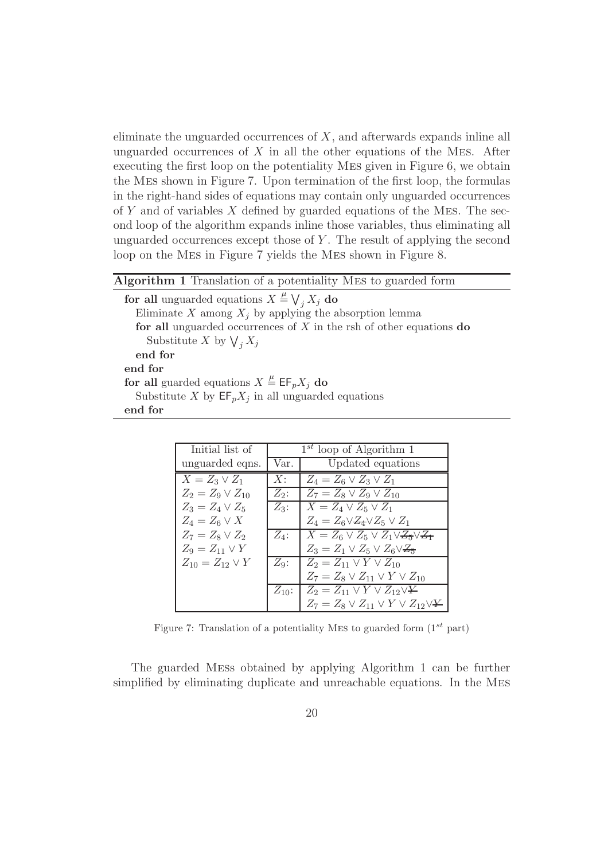eliminate the unguarded occurrences of  $X$ , and afterwards expands inline all unguarded occurrences of  $X$  in all the other equations of the MES. After executing the first loop on the potentiality Mes given in Figure 6, we obtain the Mes shown in Figure 7. Upon termination of the first loop, the formulas in the right-hand sides of equations may contain only unguarded occurrences of Y and of variables  $X$  defined by guarded equations of the MES. The second loop of the algorithm expands inline those variables, thus eliminating all unguarded occurrences except those of  $Y$ . The result of applying the second loop on the Mes in Figure 7 yields the Mes shown in Figure 8.

# Algorithm 1 Translation of a potentiality Mes to guarded form

for all unguarded equations  $X \stackrel{\mu}{=} \bigvee_j X_j$  do Eliminate X among  $X_j$  by applying the absorption lemma for all unguarded occurrences of  $X$  in the rsh of other equations do Substitute X by  $\bigvee_j X_j$ end for end for for all guarded equations  $X \stackrel{\mu}{=} \mathsf{EF}_p X_j$  do Substitute X by  $\mathsf{EF}_p X_j$  in all unguarded equations end for

| Initial list of          | $1^{st}$ loop of Algorithm 1 |                                                     |
|--------------------------|------------------------------|-----------------------------------------------------|
| unguarded eqns.          | Updated equations<br>Var.    |                                                     |
| $X = Z_3 \vee Z_1$       | X:                           | $Z_4 = Z_6 \vee Z_3 \vee Z_1$                       |
| $Z_2 = Z_9 \vee Z_{10}$  | $Z_2$ :                      | $Z_7 = Z_8 \vee Z_9 \vee Z_{10}$                    |
| $Z_3 = Z_4 \vee Z_5$     | $Z_3$ :                      | $X = Z_4 \vee Z_5 \vee Z_1$                         |
| $Z_4 = Z_6 \vee X$       |                              | $Z_4 = Z_6 \vee Z_4 \vee Z_5 \vee Z_1$              |
| $Z_7 = Z_8 \vee Z_2$     | $Z_4$ :                      | $X = Z_6 \vee Z_5 \vee Z_1 \vee Z_5 \vee Z_7$       |
| $Z_9 = Z_{11} \vee Y$    |                              | $Z_3 = Z_1 \vee Z_5 \vee Z_6 \vee Z_5$              |
| $Z_{10} = Z_{12} \vee Y$ | $Z_9$ :                      | $Z_2 = Z_{11} \vee Y \vee Z_{10}$                   |
|                          |                              | $Z_7 = Z_8 \vee Z_{11} \vee Y \vee Z_{10}$          |
|                          |                              | $Z_{10}$ : $Z_2 = Z_{11} \vee Y \vee Z_{12} \vee Y$ |
|                          |                              | $Z_7 = Z_8 \vee Z_{11} \vee Y \vee Z_{12} \vee Y$   |

Figure 7: Translation of a potentiality MES to guarded form  $(1^{st}$  part)

The guarded Mess obtained by applying Algorithm 1 can be further simplified by eliminating duplicate and unreachable equations. In the Mes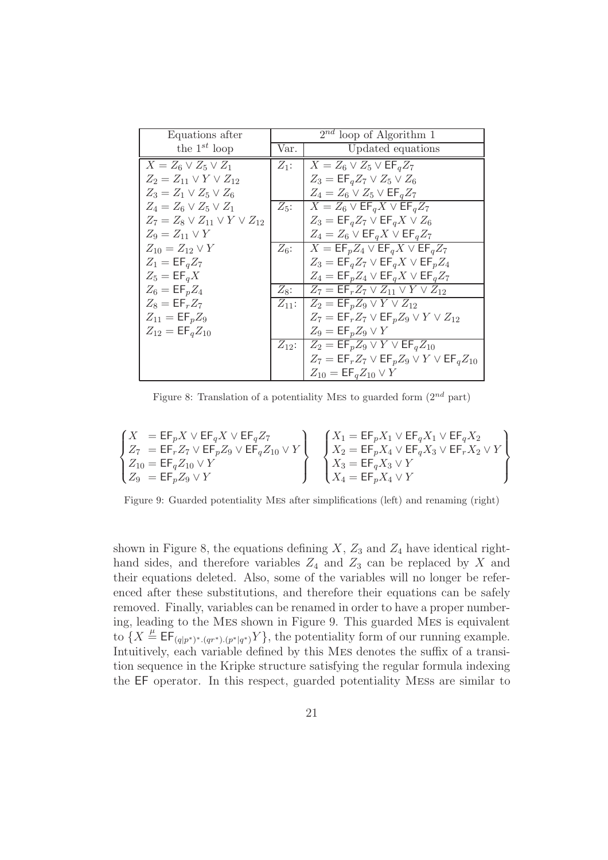| Equations after                            | $2^{nd}$ loop of Algorithm 1 |                                                                                   |
|--------------------------------------------|------------------------------|-----------------------------------------------------------------------------------|
| the $1^{st}$ loop                          | Var.                         | Updated equations                                                                 |
| $X = Z_6 \vee Z_5 \vee Z_1$                | $Z_1$ :                      | $X = Z_6 \vee Z_5 \vee \textsf{EF}_q Z_7$                                         |
| $Z_2 = Z_{11} \vee Y \vee Z_{12}$          |                              | $Z_3 = \mathsf{EF}_q Z_7 \vee Z_5 \vee Z_6$                                       |
| $Z_3 = Z_1 \vee Z_5 \vee Z_6$              |                              | $Z_4 = Z_6 \vee Z_5 \vee \textsf{EF}_q Z_7$                                       |
| $Z_4 = Z_6 \vee Z_5 \vee Z_1$              | $Z_5$ :                      | $X = Z_6 \vee \mathsf{EF}_q X \vee \mathsf{EF}_q Z_7$                             |
| $Z_7 = Z_8 \vee Z_{11} \vee Y \vee Z_{12}$ |                              | $Z_3 = \mathsf{EF}_q Z_7 \vee \mathsf{EF}_q X \vee Z_6$                           |
| $Z_9 = Z_{11} \vee Y$                      |                              | $Z_4 = Z_6 \vee \mathsf{EF}_q X \vee \mathsf{EF}_q Z_7$                           |
| $Z_{10} = Z_{12} \vee Y$                   | $Z_6$ :                      | $X = \mathsf{EF}_p Z_4 \vee \mathsf{EF}_q X \vee \mathsf{EF}_q Z_7$               |
| $Z_1 = \mathsf{EF}_q Z_7$                  |                              | $Z_3 = \mathsf{EF}_q Z_7 \vee \mathsf{EF}_q X \vee \mathsf{EF}_p Z_4$             |
| $Z_5 = \mathsf{EF}_q X$                    |                              | $Z_4 = \mathsf{EF}_p Z_4 \vee \mathsf{EF}_q X \vee \mathsf{EF}_q Z_7$             |
| $Z_6 = \mathsf{EF}_p Z_4$                  | $Z_8$ :                      | $Z_7 = \mathsf{EF}_r Z_7 \vee Z_{11} \vee Y \vee Z_{12}$                          |
| $Z_8 = \mathsf{EF}_r Z_7$                  |                              | $Z_{11}: \mathbb{Z}_2 = \mathsf{EF}_p Z_9 \vee Y \vee Z_{12}$                     |
| $Z_{11} = \text{EF}_p Z_9$                 |                              | $Z_7 = \mathsf{EF}_r Z_7 \vee \mathsf{EF}_p Z_9 \vee Y \vee Z_{12}$               |
| $Z_{12} = EF_{q}Z_{10}$                    |                              | $Z_9 = \mathsf{EF}_p Z_9 \vee Y$                                                  |
|                                            |                              | $Z_{12}: \mid Z_2 = \mathsf{EF}_p Z_9 \vee Y \vee \mathsf{EF}_q Z_{10}$           |
|                                            |                              | $Z_7 = \mathsf{EF}_r Z_7 \vee \mathsf{EF}_p Z_9 \vee Y \vee \mathsf{EF}_q Z_{10}$ |
|                                            |                              | $Z_{10} = \mathsf{EF}_{q} Z_{10} \vee Y$                                          |

Figure 8: Translation of a potentiality MES to guarded form  $(2^{nd}$  part)

$$
\begin{Bmatrix} X&= \mathsf{EF}_pX\vee \mathsf{EF}_qX\vee \mathsf{EF}_qZ_7 \\ Z_7&= \mathsf{EF}_rZ_7\vee \mathsf{EF}_pZ_9\vee \mathsf{EF}_qZ_{10}\vee Y \\ Z_{10}&= \mathsf{EF}_qZ_{10}\vee Y \\ Z_9&= \mathsf{EF}_pZ_9\vee Y \end{Bmatrix} \quad \begin{Bmatrix} X_1= \mathsf{EF}_pX_1\vee \mathsf{EF}_qX_1\vee \mathsf{EF}_qX_2 \\ X_2= \mathsf{EF}_pX_4\vee \mathsf{EF}_qX_3\vee \mathsf{EF}_rX_2\vee Y \\ X_3= \mathsf{EF}_qX_3\vee Y \\ X_4= \mathsf{EF}_pX_4\vee Y \end{Bmatrix}
$$

Figure 9: Guarded potentiality Mes after simplifications (left) and renaming (right)

shown in Figure 8, the equations defining  $X$ ,  $Z_3$  and  $Z_4$  have identical righthand sides, and therefore variables  $Z_4$  and  $Z_3$  can be replaced by X and their equations deleted. Also, some of the variables will no longer be referenced after these substitutions, and therefore their equations can be safely removed. Finally, variables can be renamed in order to have a proper numbering, leading to the Mes shown in Figure 9. This guarded Mes is equivalent to  $\{X \stackrel{\mu}{=} \mathsf{EF}_{(q|p^*)^*.(qr^*).(p^*|q^*)}Y\}$ , the potentiality form of our running example. Intuitively, each variable defined by this Mes denotes the suffix of a transition sequence in the Kripke structure satisfying the regular formula indexing the EF operator. In this respect, guarded potentiality Mess are similar to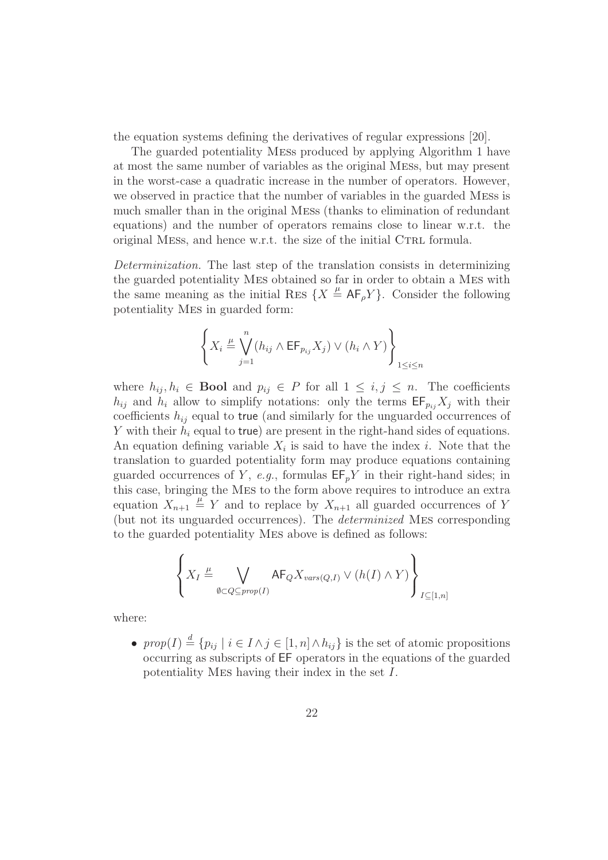the equation systems defining the derivatives of regular expressions [20].

The guarded potentiality Mess produced by applying Algorithm 1 have at most the same number of variables as the original Mess, but may present in the worst-case a quadratic increase in the number of operators. However, we observed in practice that the number of variables in the guarded Mess is much smaller than in the original Mess (thanks to elimination of redundant equations) and the number of operators remains close to linear w.r.t. the original MESS, and hence w.r.t. the size of the initial CTRL formula.

Determinization. The last step of the translation consists in determinizing the guarded potentiality Mes obtained so far in order to obtain a Mes with the same meaning as the initial RES  $\{X \stackrel{\mu}{=} AF_{\rho}Y\}$ . Consider the following potentiality Mes in guarded form:

$$
\left\{ X_i \stackrel{\mu}{=} \bigvee_{j=1}^n (h_{ij} \wedge \mathsf{EF}_{p_{ij}} X_j) \vee (h_i \wedge Y) \right\}_{1 \le i \le n}
$$

where  $h_{ij}, h_i \in \mathbf{Bool}$  and  $p_{ij} \in P$  for all  $1 \leq i, j \leq n$ . The coefficients  $h_{ij}$  and  $h_i$  allow to simplify notations: only the terms  $\mathsf{EF}_{p_{ij}}X_j$  with their coefficients  $h_{ij}$  equal to true (and similarly for the unguarded occurrences of Y with their  $h_i$  equal to true) are present in the right-hand sides of equations. An equation defining variable  $X_i$  is said to have the index i. Note that the translation to guarded potentiality form may produce equations containing guarded occurrences of Y, e.g., formulas  $\mathsf{EF}_p$ Y in their right-hand sides; in this case, bringing the Mes to the form above requires to introduce an extra equation  $X_{n+1} \stackrel{\mu}{=} Y$  and to replace by  $X_{n+1}$  all guarded occurrences of Y (but not its unguarded occurrences). The determinized Mes corresponding to the guarded potentiality Mes above is defined as follows:

$$
\left\{X_I \stackrel{\underline{\mu}}{=} \bigvee_{\varnothing \subset Q \subseteq prop(I)} \mathsf{AF}_Q X_{vars(Q,I)} \vee (h(I) \wedge Y)\right\}_{I \subseteq [1,n]}
$$

where:

•  $prop(I) \stackrel{d}{=} \{p_{ij} \mid i \in I \land j \in [1, n] \land h_{ij}\}\$ is the set of atomic propositions occurring as subscripts of EF operators in the equations of the guarded potentiality Mes having their index in the set I.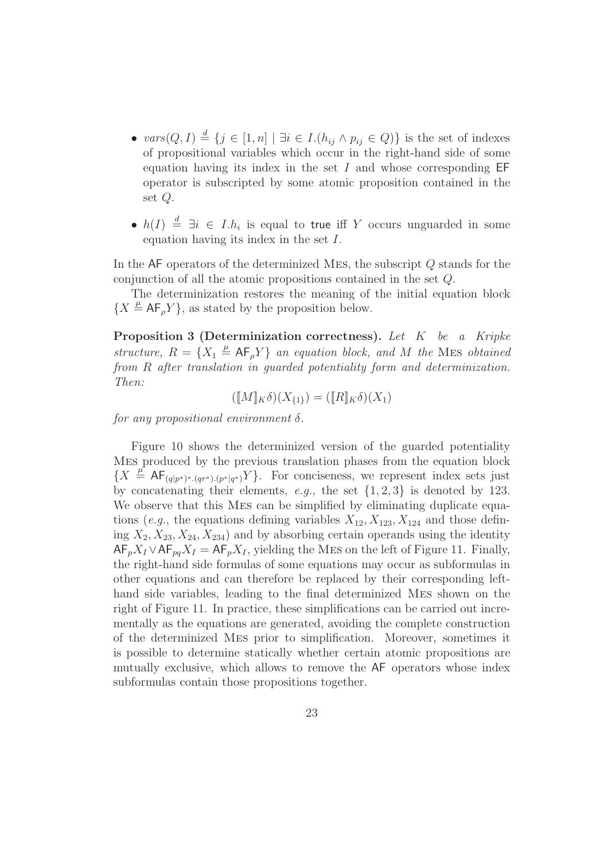- $vars(Q, I) \stackrel{d}{=} \{j \in [1, n] \mid \exists i \in I.(h_{ij} \wedge p_{ij} \in Q)\}\$ is the set of indexes of propositional variables which occur in the right-hand side of some equation having its index in the set  $I$  and whose corresponding  $EF$ operator is subscripted by some atomic proposition contained in the set Q.
- $h(I) \stackrel{d}{=} \exists i \in I.h_i$  is equal to true iff Y occurs unguarded in some equation having its index in the set I.

In the AF operators of the determinized Mes, the subscript Q stands for the conjunction of all the atomic propositions contained in the set Q.

The determinization restores the meaning of the initial equation block  ${X \triangleq \mathsf{AF}_\rho Y}$ , as stated by the proposition below.

Proposition 3 (Determinization correctness). Let K be a Kripke structure,  $R = \{X_1 \stackrel{\mu}{=} AF_\rho Y\}$  an equation block, and M the MES obtained from R after translation in guarded potentiality form and determinization. Then:

$$
([\![M]\!]_K \delta)(X_{\{1\}}) = ([\![R]\!]_K \delta)(X_1)
$$

for any propositional environment  $\delta$ .

Figure 10 shows the determinized version of the guarded potentiality Mes produced by the previous translation phases from the equation block  ${X \stackrel{\mu}{=} AF_{(q|p^*)^*.(q^*)^* (p^*|q^*)} Y}.$  For conciseness, we represent index sets just by concatenating their elements, e.g., the set  $\{1, 2, 3\}$  is denoted by 123. We observe that this Mes can be simplified by eliminating duplicate equations (e.g., the equations defining variables  $X_{12}, X_{123}, X_{124}$  and those defining  $X_2, X_{23}, X_{24}, X_{234}$  and by absorbing certain operands using the identity  $AF_pX_I \vee AF_{pq}X_I = AF_pX_I$ , yielding the MES on the left of Figure 11. Finally, the right-hand side formulas of some equations may occur as subformulas in other equations and can therefore be replaced by their corresponding lefthand side variables, leading to the final determinized Mes shown on the right of Figure 11. In practice, these simplifications can be carried out incrementally as the equations are generated, avoiding the complete construction of the determinized Mes prior to simplification. Moreover, sometimes it is possible to determine statically whether certain atomic propositions are mutually exclusive, which allows to remove the AF operators whose index subformulas contain those propositions together.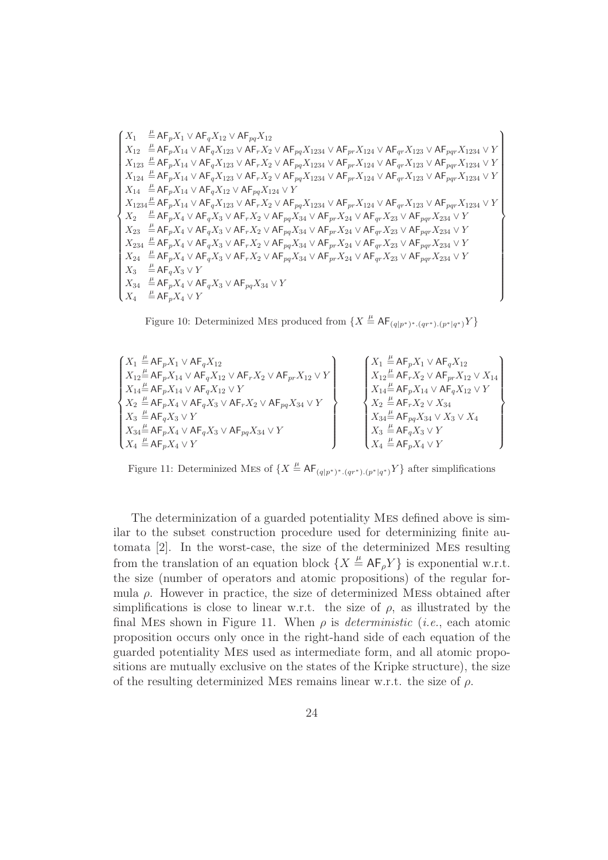$$
\left\{\begin{array}{lllllllllll}X_1&\stackrel{\mu}{\equiv} \mathsf{AF}_pX_1\vee\mathsf{AF}_qX_{12}\vee\mathsf{AF}_{pq}X_{12}\\X_{12}&\stackrel{\mu}{\equiv} \mathsf{AF}_pX_{14}\vee\mathsf{AF}_qX_{123}\vee\mathsf{AF}_rX_2\vee\mathsf{AF}_{pq}X_{1234}\vee\mathsf{AF}_{pr}X_{124}\vee\mathsf{AF}_{qr}X_{123}\vee\mathsf{AF}_{pq}X_{1234}\vee Y\\X_{123}&\stackrel{\mu}{\equiv} \mathsf{AF}_pX_{14}\vee\mathsf{AF}_qX_{123}\vee\mathsf{AF}_rX_2\vee\mathsf{AF}_{pq}X_{1234}\vee\mathsf{AF}_{pr}X_{124}\vee\mathsf{AF}_{pr}X_{123}\vee\mathsf{AF}_{pq}X_{1234}\vee Y\\X_{124}&\stackrel{\mu}{\equiv} \mathsf{AF}_pX_{14}\vee\mathsf{AF}_qX_{123}\vee\mathsf{AF}_rX_2\vee\mathsf{AF}_{pq}X_{1234}\vee\mathsf{AF}_{pr}X_{124}\vee\mathsf{AF}_{qr}X_{123}\vee\mathsf{AF}_{pq}X_{1234}\vee Y\\X_{1234}\stackrel{\mu}{\equiv} \mathsf{AF}_pX_{14}\vee\mathsf{AF}_qX_{12}\vee\mathsf{AF}_{pq}X_{124}\vee Y\\X_{1234}\stackrel{\mu}{\equiv} \mathsf{AF}_pX_{14}\vee\mathsf{AF}_qX_{123}\vee\mathsf{AF}_rX_2\vee\mathsf{AF}_{pq}X_{1234}\vee\mathsf{AF}_{pr}X_{124}\vee\mathsf{AF}_{qr}X_{123}\vee\mathsf{AF}_{pq}X_{1234}\vee Y\\X_2&\stackrel{\mu}{\equiv} \mathsf{AF}_pX_4\vee\mathsf{AF}_qX_3\vee\mathsf{AF}_rX_2\vee\mathsf{AF}_{pq}X_{34}\vee\mathsf{AF}_{pr}X_{24}\vee\mathsf{AF}_{qr}X_{23}\vee\mathsf{AF}_{pq}X_{234}\vee Y\\X_{234}&\stackrel{\mu}{\equiv} \math
$$

Figure 10: Determinized MES produced from  $\{X \stackrel{\mu}{=} \mathsf{AF}_{(q|p^*)^*.(qr^*).(p^*|q^*)}Y\}$ 

$$
\begin{bmatrix} X_1 \stackrel{\mu}{=} A F_p X_1 \vee A F_q X_{12} \\ X_{12} \stackrel{\mu}{=} A F_p X_{14} \vee A F_q X_{12} \vee A F_r X_2 \vee A F_{pr} X_{12} \vee Y \\ X_2 \stackrel{\mu}{=} A F_p X_4 \vee A F_q X_3 \vee A F_r X_2 \vee A F_{pq} X_{34} \vee Y \\ X_3 \stackrel{\mu}{=} A F_p X_4 \vee A F_q X_3 \vee A F_{pq} X_{34} \vee Y \\ X_4 \stackrel{\mu}{=} A F_p X_4 \vee A F_q X_3 \vee A F_{pq} X_{34} \vee Y \\ X_4 \stackrel{\mu}{=} A F_p X_4 \vee Y \\ X_5 \stackrel{\mu}{=} A F_p X_4 \vee Y \\ X_6 \stackrel{\mu}{=} A F_p X_4 \vee Y \\ X_7 \stackrel{\mu}{=} A F_p X_4 \vee Y \\ X_8 \stackrel{\mu}{=} A F_p X_4 \vee Y \\ X_9 \stackrel{\mu}{=} A F_p X_4 \vee Y \end{bmatrix} \qquad \begin{Bmatrix} X_1 \stackrel{\mu}{=} A F_p X_1 \vee A F_q X_{12} \\ X_{12} \stackrel{\mu}{=} A F_p X_1 \vee A F_q X_{12} \vee X_{14} \\ X_{13} \stackrel{\mu}{=} A F_p X_4 \vee X_3 \\ X_3 \stackrel{\mu}{=} A F_q X_3 \vee Y \\ X_4 \stackrel{\mu}{=} A F_p X_4 \vee Y \end{Bmatrix}
$$

Figure 11: Determinized MES of  $\{X \stackrel{\mu}{=} AF_{(q|p^*)^*.(qr^*).(p^*|q^*)}Y\}$  after simplifications

The determinization of a guarded potentiality Mes defined above is similar to the subset construction procedure used for determinizing finite automata [2]. In the worst-case, the size of the determinized Mes resulting from the translation of an equation block  $\{X \stackrel{\mu}{=} AF_{\rho}Y\}$  is exponential w.r.t. the size (number of operators and atomic propositions) of the regular formula  $\rho$ . However in practice, the size of determinized MESs obtained after simplifications is close to linear w.r.t. the size of  $\rho$ , as illustrated by the final MES shown in Figure 11. When  $\rho$  is *deterministic* (*i.e.*, each atomic proposition occurs only once in the right-hand side of each equation of the guarded potentiality Mes used as intermediate form, and all atomic propositions are mutually exclusive on the states of the Kripke structure), the size of the resulting determinized MES remains linear w.r.t. the size of  $\rho$ .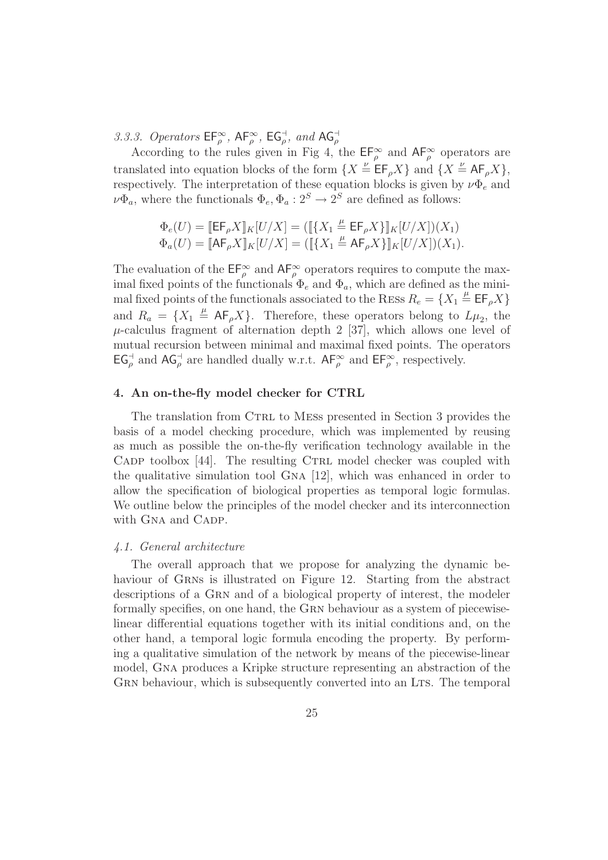3.3.3. Operators  $\mathsf{EF}_{\rho}^{\infty}$ ,  $\mathsf{AF}_{\rho}^{\infty}$ ,  $\mathsf{EG}_{\rho}^{+}$ , and  $\mathsf{AG}_{\rho}^{+}$ <br>According to the rules given in Fig 4, the  $\mathsf{EF}_{\rho}^{\infty}$  and  $\mathsf{AF}_{\rho}^{\infty}$  operators are translated into equation blocks of the form  $\{X \stackrel{\nu}{=} \mathsf{EF}_{\rho}X\}$  and  $\{X \stackrel{\nu}{=} \mathsf{AF}_{\rho}X\}$ , respectively. The interpretation of these equation blocks is given by  $\nu \Phi_e$  and  $\nu\Phi_a$ , where the functionals  $\Phi_e, \Phi_a: 2^S \to 2^S$  are defined as follows:

$$
\Phi_e(U) = [\![\mathsf{EF}_{\rho} X]\!]_K[U/X] = ([\![\{X_1 \stackrel{\mu}{=} \mathsf{EF}_{\rho} X\}]\!]_K[U/X])(X_1) \Phi_a(U) = [\![\mathsf{AF}_{\rho} X]\!]_K[U/X] = ([\![\{X_1 \stackrel{\mu}{=} \mathsf{AF}_{\rho} X\}]\!]_K[U/X])(X_1).
$$

The evaluation of the  $\mathsf{EF}_{\rho}^{\infty}$  and  $\mathsf{AF}_{\rho}^{\infty}$  operators requires to compute the maximal fixed points of the functionals  $\Phi_e$  and  $\Phi_a$ , which are defined as the minimal fixed points of the functionals associated to the RESs  $R_e = \{X_1 \stackrel{\mu}{=} \text{EF}_\rho X\}$ and  $R_a = \{X_1 \stackrel{\mu}{=} AF_\rho X\}$ . Therefore, these operators belong to  $L\mu_2$ , the  $\mu$ -calculus fragment of alternation depth 2 [37], which allows one level of mutual recursion between minimal and maximal fixed points. The operators  $EG_{\rho}^+$  and  $AG_{\rho}^+$  are handled dually w.r.t.  $AF_{\rho}^{\infty}$  and  $EF_{\rho}^{\infty}$ , respectively.

# 4. An on-the-fly model checker for CTRL

The translation from CTRL to MESS presented in Section 3 provides the basis of a model checking procedure, which was implemented by reusing as much as possible the on-the-fly verification technology available in the CADP toolbox  $[44]$ . The resulting CTRL model checker was coupled with the qualitative simulation tool Gna [12], which was enhanced in order to allow the specification of biological properties as temporal logic formulas. We outline below the principles of the model checker and its interconnection with GNA and CADP.

#### 4.1. General architecture

The overall approach that we propose for analyzing the dynamic behaviour of GRNs is illustrated on Figure 12. Starting from the abstract descriptions of a Grn and of a biological property of interest, the modeler formally specifies, on one hand, the GRN behaviour as a system of piecewiselinear differential equations together with its initial conditions and, on the other hand, a temporal logic formula encoding the property. By performing a qualitative simulation of the network by means of the piecewise-linear model, Gna produces a Kripke structure representing an abstraction of the GRN behaviour, which is subsequently converted into an LTS. The temporal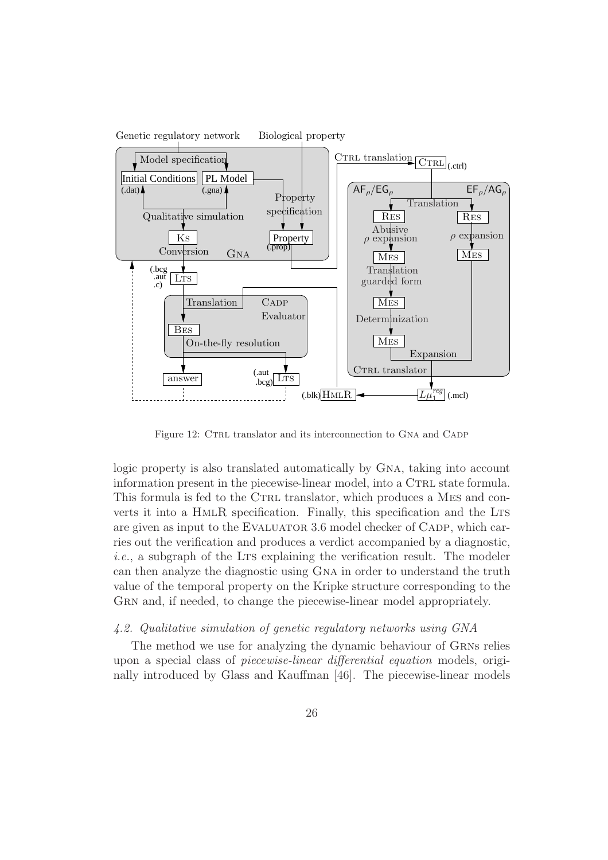

Figure 12: CTRL translator and its interconnection to GNA and CADP

logic property is also translated automatically by GNA, taking into account information present in the piecewise-linear model, into a CTRL state formula. This formula is fed to the CTRL translator, which produces a MES and converts it into a HmlR specification. Finally, this specification and the Lts are given as input to the EVALUATOR 3.6 model checker of CADP, which carries out the verification and produces a verdict accompanied by a diagnostic,  $i.e.,$  a subgraph of the LTS explaining the verification result. The modeler can then analyze the diagnostic using Gna in order to understand the truth value of the temporal property on the Kripke structure corresponding to the GRN and, if needed, to change the piecewise-linear model appropriately.

#### 4.2. Qualitative simulation of genetic regulatory networks using GNA

The method we use for analyzing the dynamic behaviour of Grns relies upon a special class of piecewise-linear differential equation models, originally introduced by Glass and Kauffman [46]. The piecewise-linear models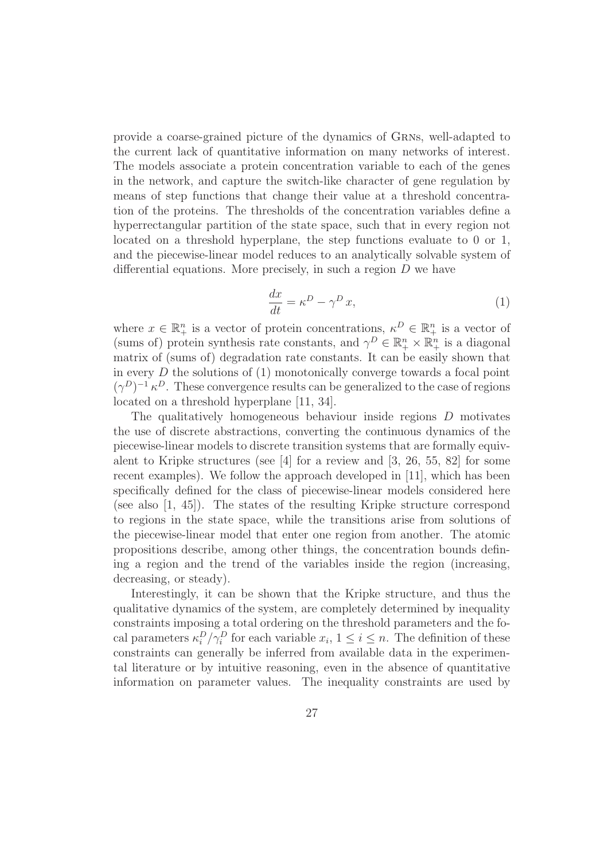provide a coarse-grained picture of the dynamics of Grns, well-adapted to the current lack of quantitative information on many networks of interest. The models associate a protein concentration variable to each of the genes in the network, and capture the switch-like character of gene regulation by means of step functions that change their value at a threshold concentration of the proteins. The thresholds of the concentration variables define a hyperrectangular partition of the state space, such that in every region not located on a threshold hyperplane, the step functions evaluate to 0 or 1, and the piecewise-linear model reduces to an analytically solvable system of differential equations. More precisely, in such a region D we have

$$
\frac{dx}{dt} = \kappa^D - \gamma^D x,\tag{1}
$$

where  $x \in \mathbb{R}^n_+$  is a vector of protein concentrations,  $\kappa^D \in \mathbb{R}^n_+$  is a vector of (sums of) protein synthesis rate constants, and  $\gamma^D \in \mathbb{R}^n_+ \times \mathbb{R}^n_+$  is a diagonal matrix of (sums of) degradation rate constants. It can be easily shown that in every  $D$  the solutions of  $(1)$  monotonically converge towards a focal point  $(\gamma^D)^{-1} \kappa^D$ . These convergence results can be generalized to the case of regions located on a threshold hyperplane [11, 34].

The qualitatively homogeneous behaviour inside regions D motivates the use of discrete abstractions, converting the continuous dynamics of the piecewise-linear models to discrete transition systems that are formally equivalent to Kripke structures (see  $[4]$  for a review and  $[3, 26, 55, 82]$  for some recent examples). We follow the approach developed in [11], which has been specifically defined for the class of piecewise-linear models considered here (see also [1, 45]). The states of the resulting Kripke structure correspond to regions in the state space, while the transitions arise from solutions of the piecewise-linear model that enter one region from another. The atomic propositions describe, among other things, the concentration bounds defining a region and the trend of the variables inside the region (increasing, decreasing, or steady).

Interestingly, it can be shown that the Kripke structure, and thus the qualitative dynamics of the system, are completely determined by inequality constraints imposing a total ordering on the threshold parameters and the focal parameters  $\kappa_i^D/\gamma_i^D$  for each variable  $x_i, 1 \leq i \leq n$ . The definition of these constraints can generally be inferred from available data in the experimental literature or by intuitive reasoning, even in the absence of quantitative information on parameter values. The inequality constraints are used by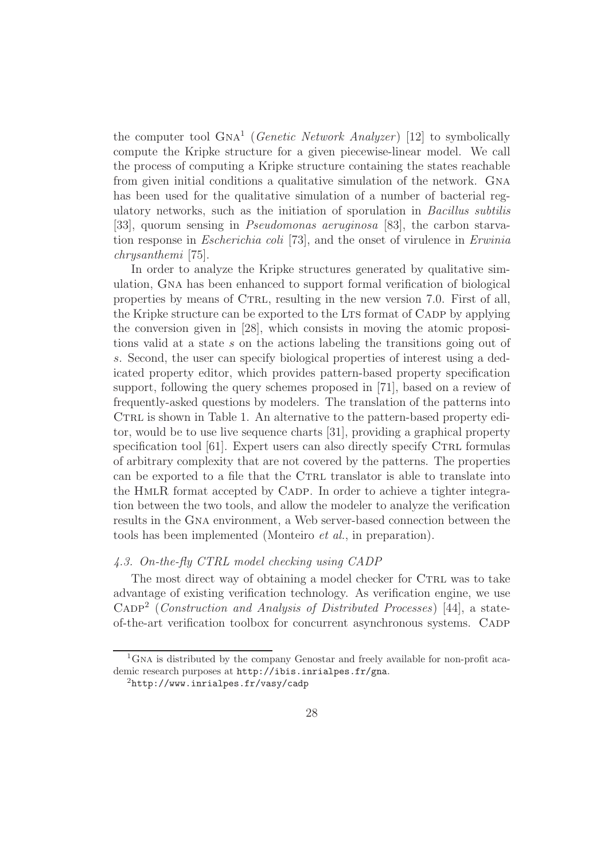the computer tool GNA<sup>1</sup> (*Genetic Network Analyzer*) [12] to symbolically compute the Kripke structure for a given piecewise-linear model. We call the process of computing a Kripke structure containing the states reachable from given initial conditions a qualitative simulation of the network. Gna has been used for the qualitative simulation of a number of bacterial regulatory networks, such as the initiation of sporulation in Bacillus subtilis [33], quorum sensing in Pseudomonas aeruginosa [83], the carbon starvation response in Escherichia coli [73], and the onset of virulence in Erwinia chrysanthemi [75].

In order to analyze the Kripke structures generated by qualitative simulation, Gna has been enhanced to support formal verification of biological properties by means of CTRL, resulting in the new version 7.0. First of all, the Kripke structure can be exported to the LTS format of CADP by applying the conversion given in [28], which consists in moving the atomic propositions valid at a state s on the actions labeling the transitions going out of s. Second, the user can specify biological properties of interest using a dedicated property editor, which provides pattern-based property specification support, following the query schemes proposed in [71], based on a review of frequently-asked questions by modelers. The translation of the patterns into CTRL is shown in Table 1. An alternative to the pattern-based property editor, would be to use live sequence charts [31], providing a graphical property specification tool  $[61]$ . Expert users can also directly specify CTRL formulas of arbitrary complexity that are not covered by the patterns. The properties can be exported to a file that the CTRL translator is able to translate into the HMLR format accepted by CADP. In order to achieve a tighter integration between the two tools, and allow the modeler to analyze the verification results in the Gna environment, a Web server-based connection between the tools has been implemented (Monteiro et al., in preparation).

# 4.3. On-the-fly CTRL model checking using CADP

The most direct way of obtaining a model checker for CTRL was to take advantage of existing verification technology. As verification engine, we use  $\text{CAP}^2$  (*Construction and Analysis of Distributed Processes*) [44], a stateof-the-art verification toolbox for concurrent asynchronous systems. Cadp

 ${}^{1}$ GNA is distributed by the company Genostar and freely available for non-profit academic research purposes at http://ibis.inrialpes.fr/gna.

<sup>2</sup>http://www.inrialpes.fr/vasy/cadp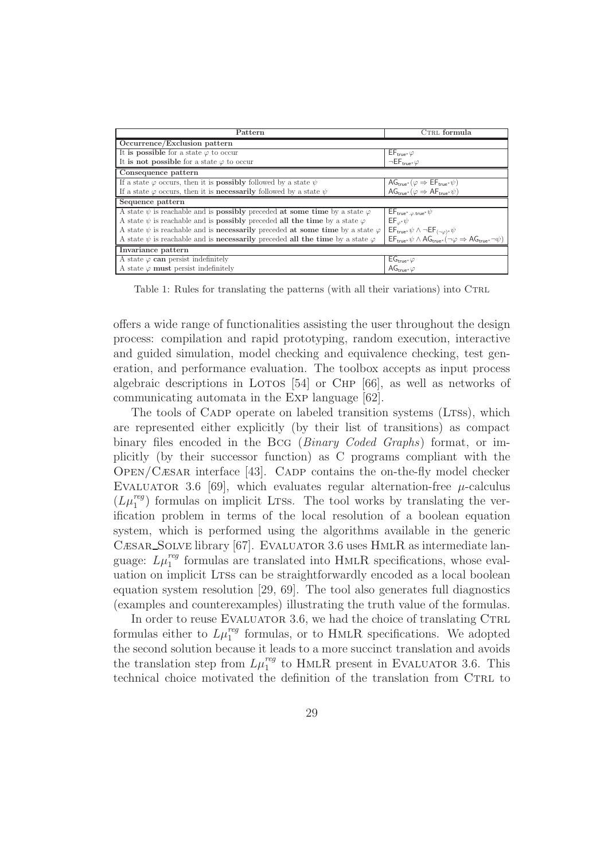| Pattern                                                                                          | CTRL formula                                                                                                                                                                                                  |  |
|--------------------------------------------------------------------------------------------------|---------------------------------------------------------------------------------------------------------------------------------------------------------------------------------------------------------------|--|
| Occurrence/Exclusion pattern                                                                     |                                                                                                                                                                                                               |  |
| It is possible for a state $\varphi$ to occur                                                    | $\mathsf{EF}_{\mathsf{true}^*}\varphi$                                                                                                                                                                        |  |
| It is not possible for a state $\varphi$ to occur                                                | $\neg \mathsf{EF}_{\mathsf{true}^*} \varphi$                                                                                                                                                                  |  |
| Consequence pattern                                                                              |                                                                                                                                                                                                               |  |
| If a state $\varphi$ occurs, then it is <b>possibly</b> followed by a state $\psi$               | $\begin{array}{c}\n\mathsf{AG}_{\mathsf{true}^*}(\varphi \Rightarrow \mathsf{EF}_{\mathsf{true}^*}\psi) \\ \mathsf{AG}_{\mathsf{true}^*}(\varphi \Rightarrow \mathsf{AF}_{\mathsf{true}^*}\psi)\n\end{array}$ |  |
| If a state $\varphi$ occurs, then it is <b>necessarily</b> followed by a state $\psi$            |                                                                                                                                                                                                               |  |
| Sequence pattern                                                                                 |                                                                                                                                                                                                               |  |
| A state $\psi$ is reachable and is <b>possibly</b> preceded at some time by a state $\varphi$    | $\mathsf{EF}_{\mathsf{true}^*,\varphi.\mathsf{true}^*} \psi$                                                                                                                                                  |  |
| A state $\psi$ is reachable and is <b>possibly</b> preceded all the time by a state $\varphi$    | $EF_{\varphi^*}\psi$                                                                                                                                                                                          |  |
| A state $\psi$ is reachable and is <b>necessarily</b> preceded at some time by a state $\varphi$ | $\mathsf{EF}_{\mathsf{true}^*}\psi \wedge \neg \mathsf{EF}_{(\neg \varphi)^*}\psi$                                                                                                                            |  |
| A state $\psi$ is reachable and is <b>necessarily</b> preceded all the time by a state $\varphi$ | $\mathsf{EF}_{\mathsf{true}^*}\psi \wedge \mathsf{AG}_{\mathsf{true}^*}(\neg \varphi \Rightarrow \mathsf{AG}_{\mathsf{true}^*} \neg \psi)$                                                                    |  |
| Invariance pattern                                                                               |                                                                                                                                                                                                               |  |
| A state $\varphi$ can persist indefinitely                                                       | $EG_{\mathsf{true}^*}\varphi$                                                                                                                                                                                 |  |
| A state $\varphi$ must persist indefinitely                                                      | AG <sub>true</sub> $\varphi$                                                                                                                                                                                  |  |

Table 1: Rules for translating the patterns (with all their variations) into CTRL

offers a wide range of functionalities assisting the user throughout the design process: compilation and rapid prototyping, random execution, interactive and guided simulation, model checking and equivalence checking, test generation, and performance evaluation. The toolbox accepts as input process algebraic descriptions in LOTOS  $[54]$  or CHP  $[66]$ , as well as networks of communicating automata in the Exp language [62].

The tools of CADP operate on labeled transition systems (LTSs), which are represented either explicitly (by their list of transitions) as compact binary files encoded in the Bcg (Binary Coded Graphs) format, or implicitly (by their successor function) as C programs compliant with the  $OPEN/CæSAR$  interface [43]. CADP contains the on-the-fly model checker EVALUATOR 3.6 [69], which evaluates regular alternation-free  $\mu$ -calculus  $(L\mu_1^{reg})$  formulas on implicit LTSs. The tool works by translating the verification problem in terms of the local resolution of a boolean equation system, which is performed using the algorithms available in the generic CÆSAR\_SOLVE library [67]. EVALUATOR 3.6 uses HMLR as intermediate language:  $L\mu_1^{reg}$  formulas are translated into HMLR specifications, whose evaluation on implicit LTSs can be straightforwardly encoded as a local boolean equation system resolution [29, 69]. The tool also generates full diagnostics (examples and counterexamples) illustrating the truth value of the formulas.

In order to reuse EVALUATOR 3.6, we had the choice of translating CTRL formulas either to  $L\mu_1^{reg}$  formulas, or to HMLR specifications. We adopted the second solution because it leads to a more succinct translation and avoids the translation step from  $L\mu_1^{reg}$  to HMLR present in EVALUATOR 3.6. This technical choice motivated the definition of the translation from CTRL to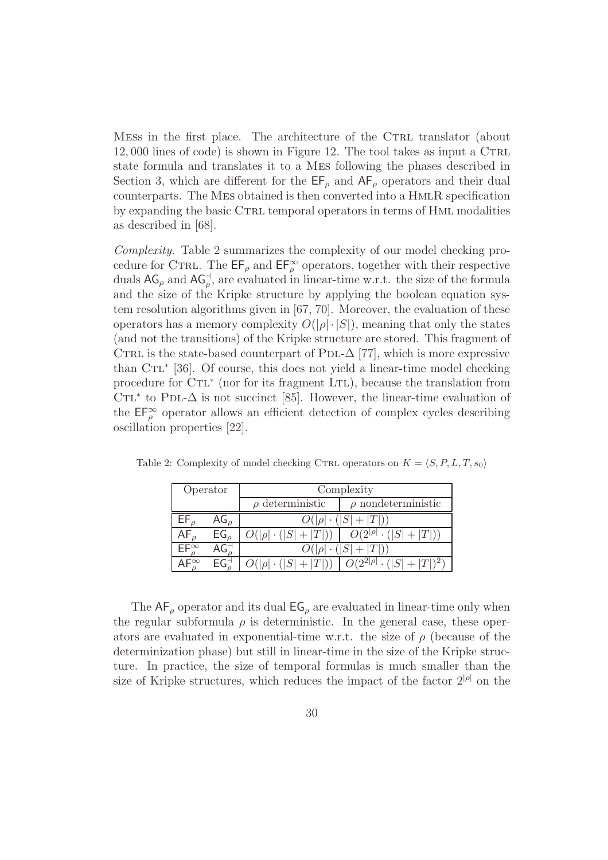MESS in the first place. The architecture of the CTRL translator (about  $12,000$  lines of code) is shown in Figure 12. The tool takes as input a CTRL state formula and translates it to a Mes following the phases described in Section 3, which are different for the  $\mathsf{EF}_{\rho}$  and  $\mathsf{AF}_{\rho}$  operators and their dual counterparts. The Mes obtained is then converted into a HmlR specification by expanding the basic CTRL temporal operators in terms of HML modalities as described in [68].

Complexity. Table 2 summarizes the complexity of our model checking procedure for CTRL. The  $\mathsf{EF}_{\rho}$  and  $\mathsf{EF}_{\rho}^{\infty}$  operators, together with their respective duals  $AG_{\rho}$  and  $AG_{\rho}^{\dagger}$ , are evaluated in linear-time w.r.t. the size of the formula and the size of the Kripke structure by applying the boolean equation system resolution algorithms given in [67, 70]. Moreover, the evaluation of these operators has a memory complexity  $O(|\rho| \cdot |S|)$ , meaning that only the states (and not the transitions) of the Kripke structure are stored. This fragment of CTRL is the state-based counterpart of PDL- $\Delta$  [77], which is more expressive than CTL<sup>∗</sup> [36]. Of course, this does not yield a linear-time model checking procedure for CTL<sup>\*</sup> (nor for its fragment LTL), because the translation from CTL<sup>\*</sup> to PDL- $\Delta$  is not succinct [85]. However, the linear-time evaluation of the  $\mathsf{EF}_{\rho}^{\infty}$  operator allows an efficient detection of complex cycles describing oscillation properties [22].

| Operator      |                 | Complexity                           |                                                                    |  |
|---------------|-----------------|--------------------------------------|--------------------------------------------------------------------|--|
|               |                 | $\rho$ deterministic                 | $\rho$ nondeterministic                                            |  |
|               | $\mathsf{AG}_o$ | $O( \rho  \cdot ( S  +  T ))$        |                                                                    |  |
|               | $EG_{\rho}$     | $O( \rho  \cdot ( S  +  T ))$        | $O(2^{ \rho } \cdot ( S  +  T ))$                                  |  |
| $FF^{\infty}$ |                 | $\overline{O( \rho }\cdot( S + T ))$ |                                                                    |  |
|               |                 |                                      | $O( \rho  \cdot ( S  +  T ))   O(2^{2 \rho } \cdot ( S  +  T )^2)$ |  |

Table 2: Complexity of model checking CTRL operators on  $K = \langle S, P, L, T, s_0 \rangle$ 

The  $AF_\rho$  operator and its dual  $EG_\rho$  are evaluated in linear-time only when the regular subformula  $\rho$  is deterministic. In the general case, these operators are evaluated in exponential-time w.r.t. the size of  $\rho$  (because of the determinization phase) but still in linear-time in the size of the Kripke structure. In practice, the size of temporal formulas is much smaller than the size of Kripke structures, which reduces the impact of the factor  $2^{|\rho|}$  on the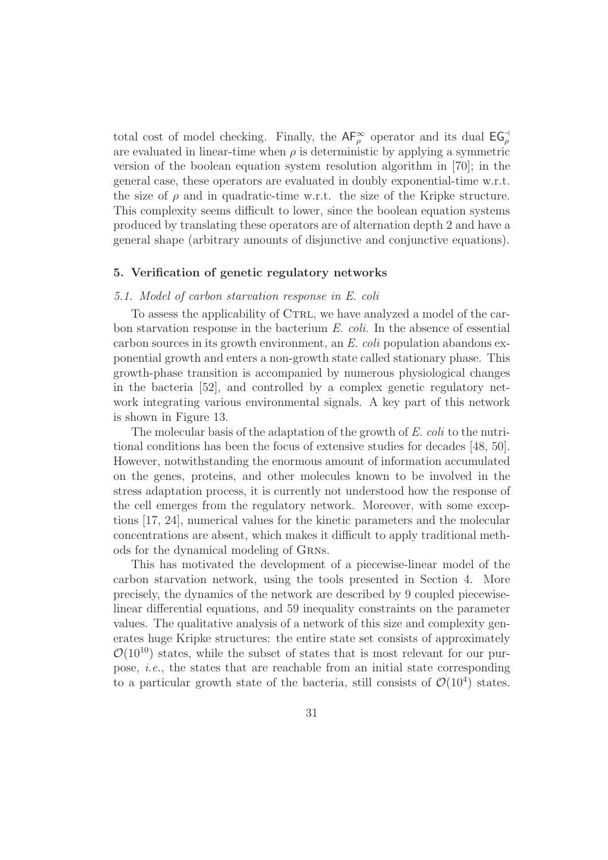total cost of model checking. Finally, the  $AF_{\rho}^{\infty}$  operator and its dual  $EG_{\rho}^{\dashv}$ are evaluated in linear-time when  $\rho$  is deterministic by applying a symmetric version of the boolean equation system resolution algorithm in [70]; in the general case, these operators are evaluated in doubly exponential-time w.r.t. the size of  $\rho$  and in quadratic-time w.r.t. the size of the Kripke structure. This complexity seems difficult to lower, since the boolean equation systems produced by translating these operators are of alternation depth 2 and have a general shape (arbitrary amounts of disjunctive and conjunctive equations).

#### 5. Verification of genetic regulatory networks

#### 5.1. Model of carbon starvation response in E. coli

To assess the applicability of CTRL, we have analyzed a model of the carbon starvation response in the bacterium E. coli. In the absence of essential carbon sources in its growth environment, an E. coli population abandons exponential growth and enters a non-growth state called stationary phase. This growth-phase transition is accompanied by numerous physiological changes in the bacteria [52], and controlled by a complex genetic regulatory network integrating various environmental signals. A key part of this network is shown in Figure 13.

The molecular basis of the adaptation of the growth of E. coli to the nutritional conditions has been the focus of extensive studies for decades [48, 50]. However, notwithstanding the enormous amount of information accumulated on the genes, proteins, and other molecules known to be involved in the stress adaptation process, it is currently not understood how the response of the cell emerges from the regulatory network. Moreover, with some exceptions [17, 24], numerical values for the kinetic parameters and the molecular concentrations are absent, which makes it difficult to apply traditional methods for the dynamical modeling of Grns.

This has motivated the development of a piecewise-linear model of the carbon starvation network, using the tools presented in Section 4. More precisely, the dynamics of the network are described by 9 coupled piecewiselinear differential equations, and 59 inequality constraints on the parameter values. The qualitative analysis of a network of this size and complexity generates huge Kripke structures: the entire state set consists of approximately  $\mathcal{O}(10^{10})$  states, while the subset of states that is most relevant for our purpose, *i.e.*, the states that are reachable from an initial state corresponding to a particular growth state of the bacteria, still consists of  $\mathcal{O}(10^4)$  states.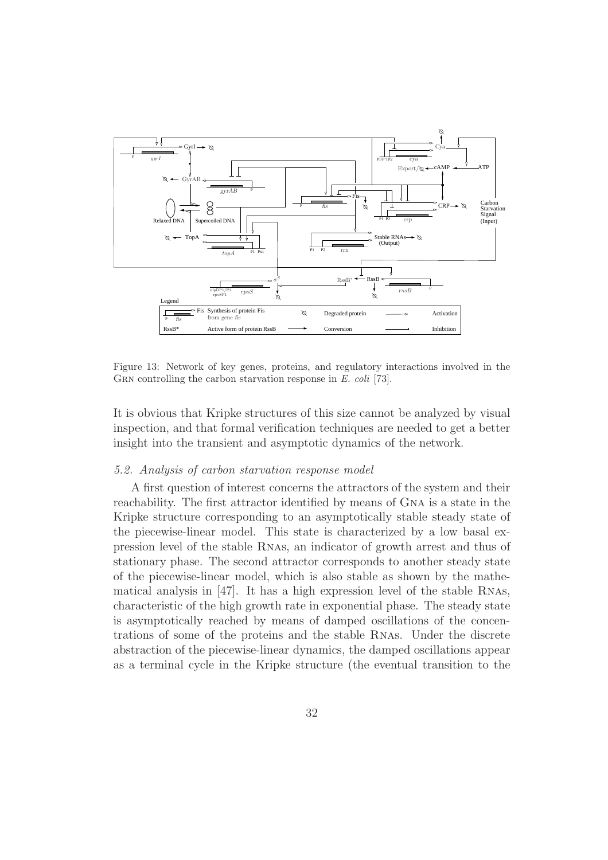

Figure 13: Network of key genes, proteins, and regulatory interactions involved in the GRN controlling the carbon starvation response in E. coli [73].

It is obvious that Kripke structures of this size cannot be analyzed by visual inspection, and that formal verification techniques are needed to get a better insight into the transient and asymptotic dynamics of the network.

#### 5.2. Analysis of carbon starvation response model

A first question of interest concerns the attractors of the system and their reachability. The first attractor identified by means of Gna is a state in the Kripke structure corresponding to an asymptotically stable steady state of the piecewise-linear model. This state is characterized by a low basal expression level of the stable Rnas, an indicator of growth arrest and thus of stationary phase. The second attractor corresponds to another steady state of the piecewise-linear model, which is also stable as shown by the mathematical analysis in [47]. It has a high expression level of the stable Rnas, characteristic of the high growth rate in exponential phase. The steady state is asymptotically reached by means of damped oscillations of the concentrations of some of the proteins and the stable Rnas. Under the discrete abstraction of the piecewise-linear dynamics, the damped oscillations appear as a terminal cycle in the Kripke structure (the eventual transition to the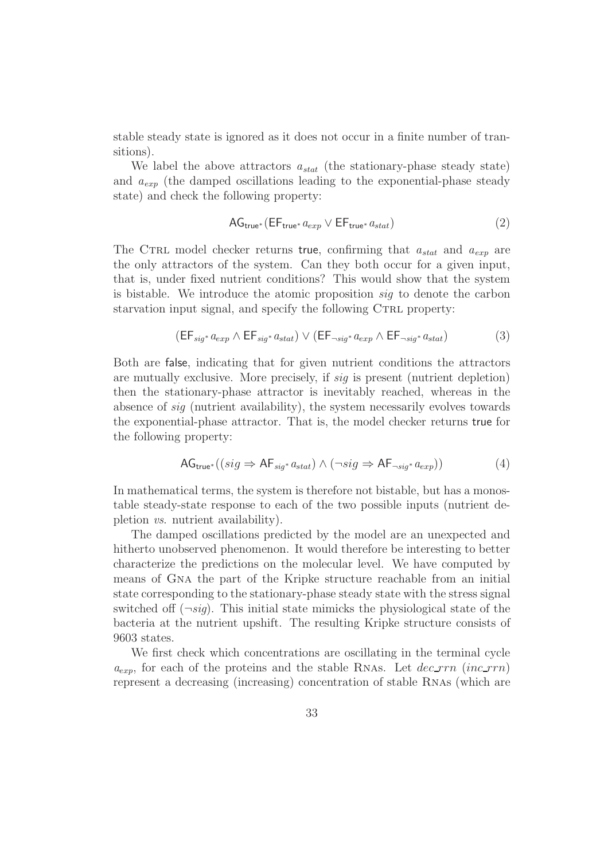stable steady state is ignored as it does not occur in a finite number of transitions).

We label the above attractors  $a_{stat}$  (the stationary-phase steady state) and  $a_{exp}$  (the damped oscillations leading to the exponential-phase steady state) and check the following property:

$$
AG_{true^*}(EF_{true^*} a_{exp} \vee EF_{true^*} a_{stat})
$$
\n(2)

The CTRL model checker returns true, confirming that  $a_{stat}$  and  $a_{exp}$  are the only attractors of the system. Can they both occur for a given input, that is, under fixed nutrient conditions? This would show that the system is bistable. We introduce the atomic proposition sig to denote the carbon starvation input signal, and specify the following CTRL property:

$$
(\mathsf{EF}_{\mathit{sig}^*}\,a_{\mathit{exp}}\wedge\mathsf{EF}_{\mathit{sig}^*}\,a_{\mathit{stat}})\vee(\mathsf{EF}_{\neg\mathit{sig}^*}\,a_{\mathit{exp}}\wedge\mathsf{EF}_{\neg\mathit{sig}^*}\,a_{\mathit{stat}})\tag{3}
$$

Both are false, indicating that for given nutrient conditions the attractors are mutually exclusive. More precisely, if sig is present (nutrient depletion) then the stationary-phase attractor is inevitably reached, whereas in the absence of sig (nutrient availability), the system necessarily evolves towards the exponential-phase attractor. That is, the model checker returns true for the following property:

$$
AG_{true^*}((sig \Rightarrow AF_{sig^*}a_{stat}) \land (\neg sig \Rightarrow AF_{\neg sig^*}a_{exp}))
$$
\n(4)

In mathematical terms, the system is therefore not bistable, but has a monostable steady-state response to each of the two possible inputs (nutrient depletion vs. nutrient availability).

The damped oscillations predicted by the model are an unexpected and hitherto unobserved phenomenon. It would therefore be interesting to better characterize the predictions on the molecular level. We have computed by means of Gna the part of the Kripke structure reachable from an initial state corresponding to the stationary-phase steady state with the stress signal switched of  $(\neg sig)$ . This initial state mimicks the physiological state of the bacteria at the nutrient upshift. The resulting Kripke structure consists of 9603 states.

We first check which concentrations are oscillating in the terminal cycle  $a_{exp}$ , for each of the proteins and the stable RNAs. Let  $dec\_rrn$  (inc\_rrn) represent a decreasing (increasing) concentration of stable Rnas (which are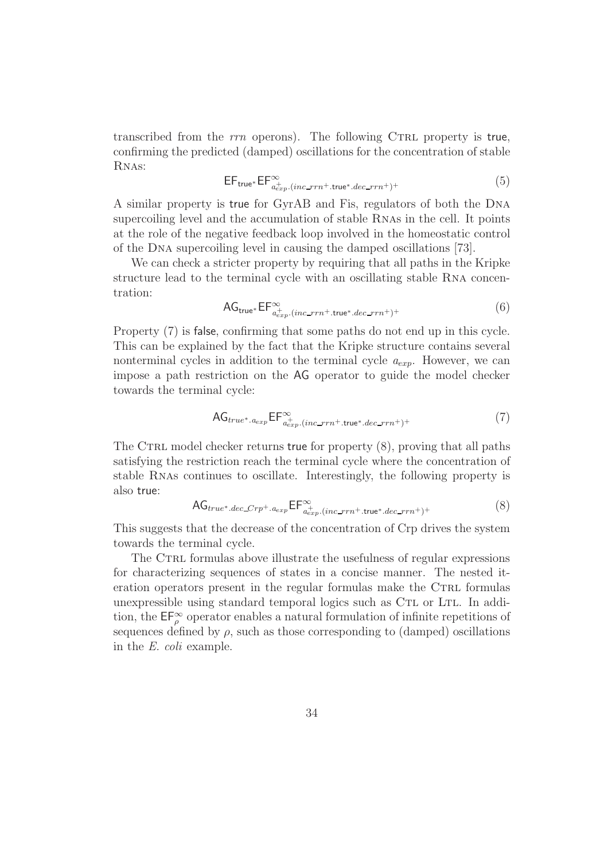transcribed from the  $rrn$  operons). The following CTRL property is true, confirming the predicted (damped) oscillations for the concentration of stable Rnas:

$$
EF_{true^*} EF^{\infty}_{a_{exp}^+(inc\_rrn^+.\text{true}^*.dec\_rrn^+)^+}
$$
 (5)

A similar property is true for GyrAB and Fis, regulators of both the Dna supercoiling level and the accumulation of stable Rnas in the cell. It points at the role of the negative feedback loop involved in the homeostatic control of the Dna supercoiling level in causing the damped oscillations [73].

We can check a stricter property by requiring that all paths in the Kripke structure lead to the terminal cycle with an oscillating stable Rna concentration:

$$
AG_{true^*} \mathsf{EF}^{\infty}_{a_{exp}^+ (inc\_rrn^+, true^*, dec\_rrn^+)^+}
$$
 (6)

Property (7) is false, confirming that some paths do not end up in this cycle. This can be explained by the fact that the Kripke structure contains several nonterminal cycles in addition to the terminal cycle  $a_{exp}$ . However, we can impose a path restriction on the AG operator to guide the model checker towards the terminal cycle:

$$
AG_{true^*.a_{exp}} \mathsf{EF}^{\infty}_{a_{exp}^+ (inc\_rrn^+.true^*.dec\_rrn^+)^+}
$$
 (7)

The CTRL model checker returns true for property  $(8)$ , proving that all paths satisfying the restriction reach the terminal cycle where the concentration of stable Rnas continues to oscillate. Interestingly, the following property is also true:

$$
AG_{true^*.dec\_Crp^+.a_{exp}} \mathsf{EF}^{\infty}_{a_{exp}^+ (inc\_rrn^+.true^*.dec\_rrn^+)^+}
$$
 (8)

This suggests that the decrease of the concentration of Crp drives the system towards the terminal cycle.

The CTRL formulas above illustrate the usefulness of regular expressions for characterizing sequences of states in a concise manner. The nested iteration operators present in the regular formulas make the CTRL formulas unexpressible using standard temporal logics such as CTL or LTL. In addition, the  $\mathsf{EF}_{\rho}^{\infty}$  operator enables a natural formulation of infinite repetitions of sequences defined by  $\rho$ , such as those corresponding to (damped) oscillations in the E. coli example.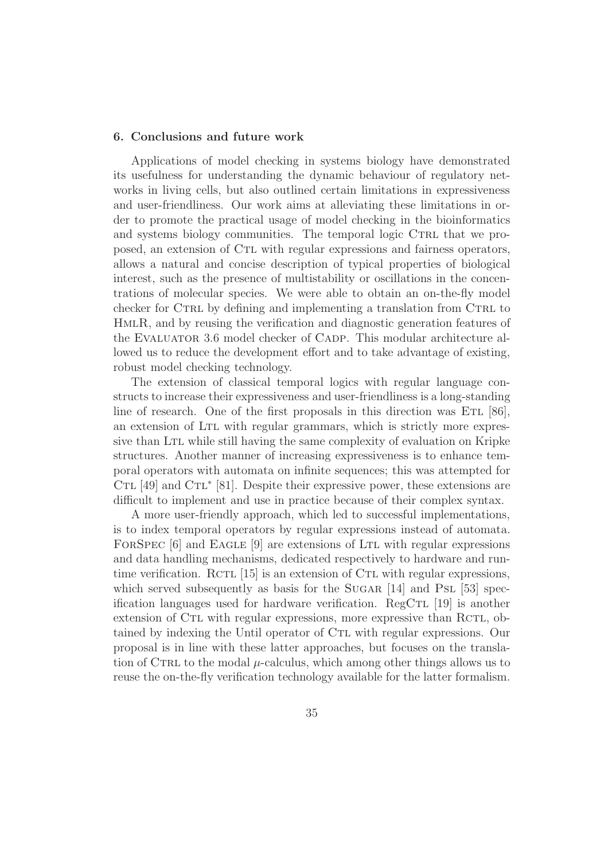### 6. Conclusions and future work

Applications of model checking in systems biology have demonstrated its usefulness for understanding the dynamic behaviour of regulatory networks in living cells, but also outlined certain limitations in expressiveness and user-friendliness. Our work aims at alleviating these limitations in order to promote the practical usage of model checking in the bioinformatics and systems biology communities. The temporal logic CTRL that we proposed, an extension of Ctl with regular expressions and fairness operators, allows a natural and concise description of typical properties of biological interest, such as the presence of multistability or oscillations in the concentrations of molecular species. We were able to obtain an on-the-fly model checker for CTRL by defining and implementing a translation from CTRL to HmlR, and by reusing the verification and diagnostic generation features of the Evaluator 3.6 model checker of Cadp. This modular architecture allowed us to reduce the development effort and to take advantage of existing, robust model checking technology.

The extension of classical temporal logics with regular language constructs to increase their expressiveness and user-friendliness is a long-standing line of research. One of the first proposals in this direction was  $ETL [86]$ , an extension of Ltl with regular grammars, which is strictly more expressive than LTL while still having the same complexity of evaluation on Kripke structures. Another manner of increasing expressiveness is to enhance temporal operators with automata on infinite sequences; this was attempted for CTL  $[49]$  and CTL<sup>\*</sup>  $[81]$ . Despite their expressive power, these extensions are difficult to implement and use in practice because of their complex syntax.

A more user-friendly approach, which led to successful implementations, is to index temporal operators by regular expressions instead of automata. FORSPEC [6] and EAGLE [9] are extensions of LTL with regular expressions and data handling mechanisms, dedicated respectively to hardware and runtime verification. RCTL  $[15]$  is an extension of CTL with regular expressions, which served subsequently as basis for the  $SUGAR$  [14] and PSL [53] specification languages used for hardware verification. RegCTL  $[19]$  is another extension of CTL with regular expressions, more expressive than RCTL, obtained by indexing the Until operator of CTL with regular expressions. Our proposal is in line with these latter approaches, but focuses on the translation of CTRL to the modal  $\mu$ -calculus, which among other things allows us to reuse the on-the-fly verification technology available for the latter formalism.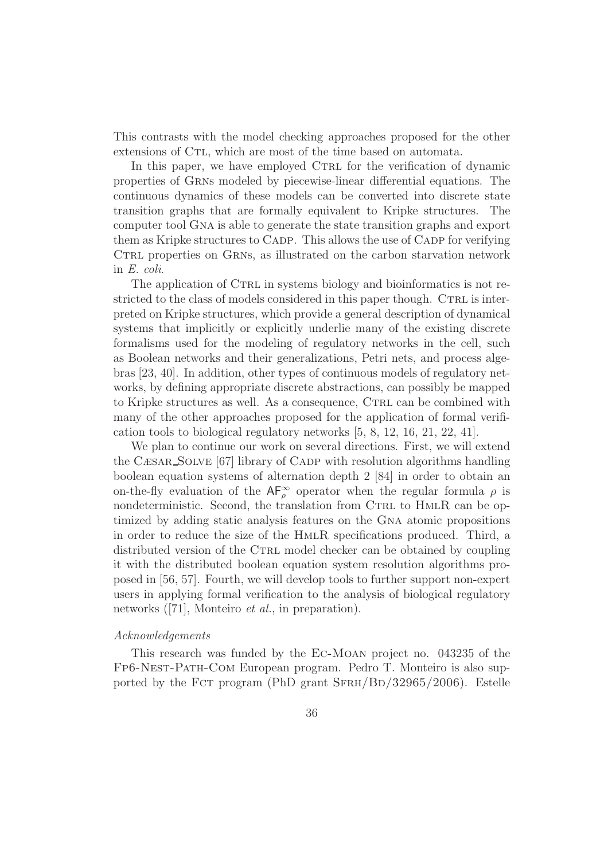This contrasts with the model checking approaches proposed for the other extensions of C<sub>TL</sub>, which are most of the time based on automata.

In this paper, we have employed CTRL for the verification of dynamic properties of Grns modeled by piecewise-linear differential equations. The continuous dynamics of these models can be converted into discrete state transition graphs that are formally equivalent to Kripke structures. The computer tool Gna is able to generate the state transition graphs and export them as Kripke structures to Cadp. This allows the use of Cadp for verifying CTRL properties on GRNs, as illustrated on the carbon starvation network in E. coli.

The application of CTRL in systems biology and bioinformatics is not restricted to the class of models considered in this paper though. CTRL is interpreted on Kripke structures, which provide a general description of dynamical systems that implicitly or explicitly underlie many of the existing discrete formalisms used for the modeling of regulatory networks in the cell, such as Boolean networks and their generalizations, Petri nets, and process algebras [23, 40]. In addition, other types of continuous models of regulatory networks, by defining appropriate discrete abstractions, can possibly be mapped to Kripke structures as well. As a consequence, CTRL can be combined with many of the other approaches proposed for the application of formal verification tools to biological regulatory networks [5, 8, 12, 16, 21, 22, 41].

We plan to continue our work on several directions. First, we will extend the Cæsar Solve [67] library of Cadp with resolution algorithms handling boolean equation systems of alternation depth 2 [84] in order to obtain an on-the-fly evaluation of the  $AF_{\rho}^{\infty}$  operator when the regular formula  $\rho$  is nondeterministic. Second, the translation from CTRL to HMLR can be optimized by adding static analysis features on the Gna atomic propositions in order to reduce the size of the HmlR specifications produced. Third, a distributed version of the CTRL model checker can be obtained by coupling it with the distributed boolean equation system resolution algorithms proposed in [56, 57]. Fourth, we will develop tools to further support non-expert users in applying formal verification to the analysis of biological regulatory networks ([71], Monteiro *et al.*, in preparation).

#### Acknowledgements

This research was funded by the Ec-Moan project no. 043235 of the Fp6-Nest-Path-Com European program. Pedro T. Monteiro is also supported by the FCT program (PhD grant  $SFRH/BD/32965/2006$ ). Estelle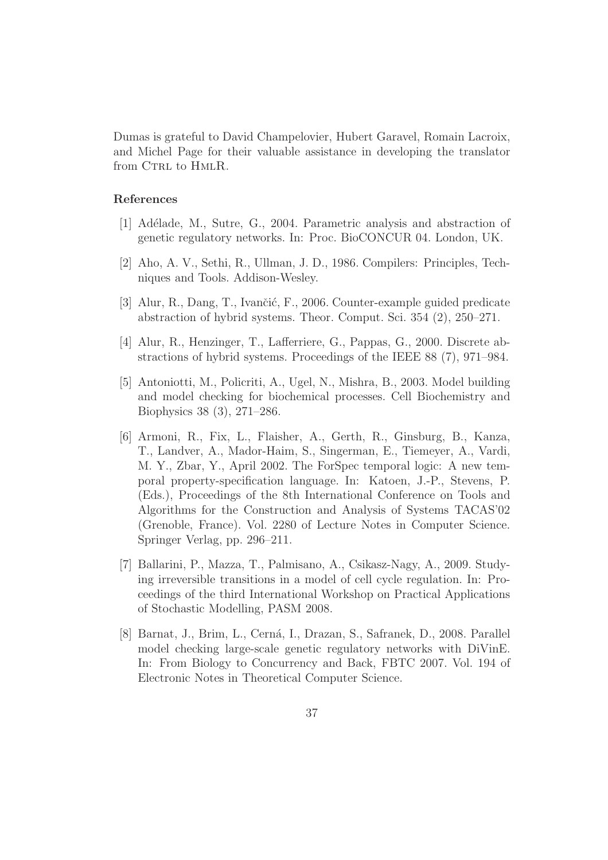Dumas is grateful to David Champelovier, Hubert Garavel, Romain Lacroix, and Michel Page for their valuable assistance in developing the translator from CTRL to HMLR.

# References

- [1] Ad´elade, M., Sutre, G., 2004. Parametric analysis and abstraction of genetic regulatory networks. In: Proc. BioCONCUR 04. London, UK.
- [2] Aho, A. V., Sethi, R., Ullman, J. D., 1986. Compilers: Principles, Techniques and Tools. Addison-Wesley.
- [3] Alur, R., Dang, T., Ivančić, F., 2006. Counter-example guided predicate abstraction of hybrid systems. Theor. Comput. Sci. 354 (2), 250–271.
- [4] Alur, R., Henzinger, T., Lafferriere, G., Pappas, G., 2000. Discrete abstractions of hybrid systems. Proceedings of the IEEE 88 (7), 971–984.
- [5] Antoniotti, M., Policriti, A., Ugel, N., Mishra, B., 2003. Model building and model checking for biochemical processes. Cell Biochemistry and Biophysics 38 (3), 271–286.
- [6] Armoni, R., Fix, L., Flaisher, A., Gerth, R., Ginsburg, B., Kanza, T., Landver, A., Mador-Haim, S., Singerman, E., Tiemeyer, A., Vardi, M. Y., Zbar, Y., April 2002. The ForSpec temporal logic: A new temporal property-specification language. In: Katoen, J.-P., Stevens, P. (Eds.), Proceedings of the 8th International Conference on Tools and Algorithms for the Construction and Analysis of Systems TACAS'02 (Grenoble, France). Vol. 2280 of Lecture Notes in Computer Science. Springer Verlag, pp. 296–211.
- [7] Ballarini, P., Mazza, T., Palmisano, A., Csikasz-Nagy, A., 2009. Studying irreversible transitions in a model of cell cycle regulation. In: Proceedings of the third International Workshop on Practical Applications of Stochastic Modelling, PASM 2008.
- [8] Barnat, J., Brim, L., Cerná, I., Drazan, S., Safranek, D., 2008. Parallel model checking large-scale genetic regulatory networks with DiVinE. In: From Biology to Concurrency and Back, FBTC 2007. Vol. 194 of Electronic Notes in Theoretical Computer Science.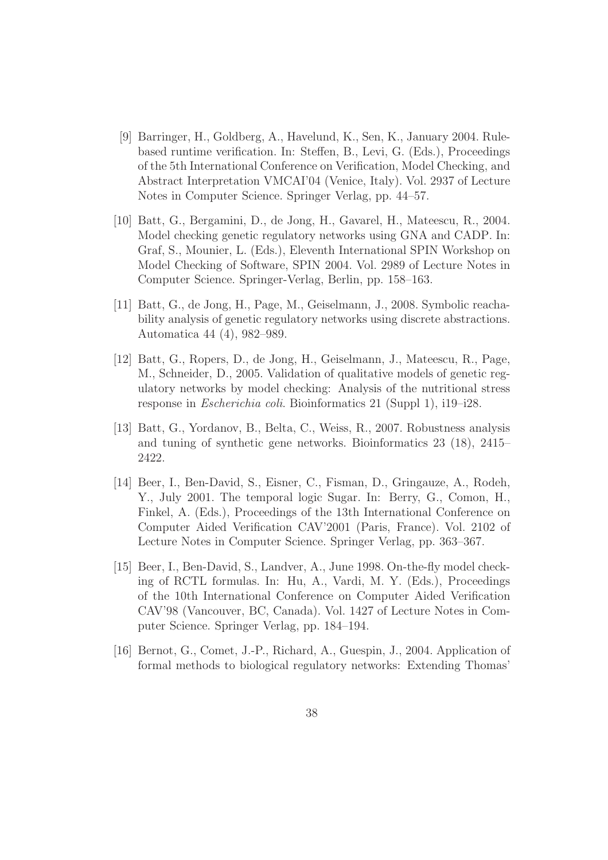- [9] Barringer, H., Goldberg, A., Havelund, K., Sen, K., January 2004. Rulebased runtime verification. In: Steffen, B., Levi, G. (Eds.), Proceedings of the 5th International Conference on Verification, Model Checking, and Abstract Interpretation VMCAI'04 (Venice, Italy). Vol. 2937 of Lecture Notes in Computer Science. Springer Verlag, pp. 44–57.
- [10] Batt, G., Bergamini, D., de Jong, H., Gavarel, H., Mateescu, R., 2004. Model checking genetic regulatory networks using GNA and CADP. In: Graf, S., Mounier, L. (Eds.), Eleventh International SPIN Workshop on Model Checking of Software, SPIN 2004. Vol. 2989 of Lecture Notes in Computer Science. Springer-Verlag, Berlin, pp. 158–163.
- [11] Batt, G., de Jong, H., Page, M., Geiselmann, J., 2008. Symbolic reachability analysis of genetic regulatory networks using discrete abstractions. Automatica 44 (4), 982–989.
- [12] Batt, G., Ropers, D., de Jong, H., Geiselmann, J., Mateescu, R., Page, M., Schneider, D., 2005. Validation of qualitative models of genetic regulatory networks by model checking: Analysis of the nutritional stress response in Escherichia coli. Bioinformatics 21 (Suppl 1), i19–i28.
- [13] Batt, G., Yordanov, B., Belta, C., Weiss, R., 2007. Robustness analysis and tuning of synthetic gene networks. Bioinformatics 23 (18), 2415– 2422.
- [14] Beer, I., Ben-David, S., Eisner, C., Fisman, D., Gringauze, A., Rodeh, Y., July 2001. The temporal logic Sugar. In: Berry, G., Comon, H., Finkel, A. (Eds.), Proceedings of the 13th International Conference on Computer Aided Verification CAV'2001 (Paris, France). Vol. 2102 of Lecture Notes in Computer Science. Springer Verlag, pp. 363–367.
- [15] Beer, I., Ben-David, S., Landver, A., June 1998. On-the-fly model checking of RCTL formulas. In: Hu, A., Vardi, M. Y. (Eds.), Proceedings of the 10th International Conference on Computer Aided Verification CAV'98 (Vancouver, BC, Canada). Vol. 1427 of Lecture Notes in Computer Science. Springer Verlag, pp. 184–194.
- [16] Bernot, G., Comet, J.-P., Richard, A., Guespin, J., 2004. Application of formal methods to biological regulatory networks: Extending Thomas'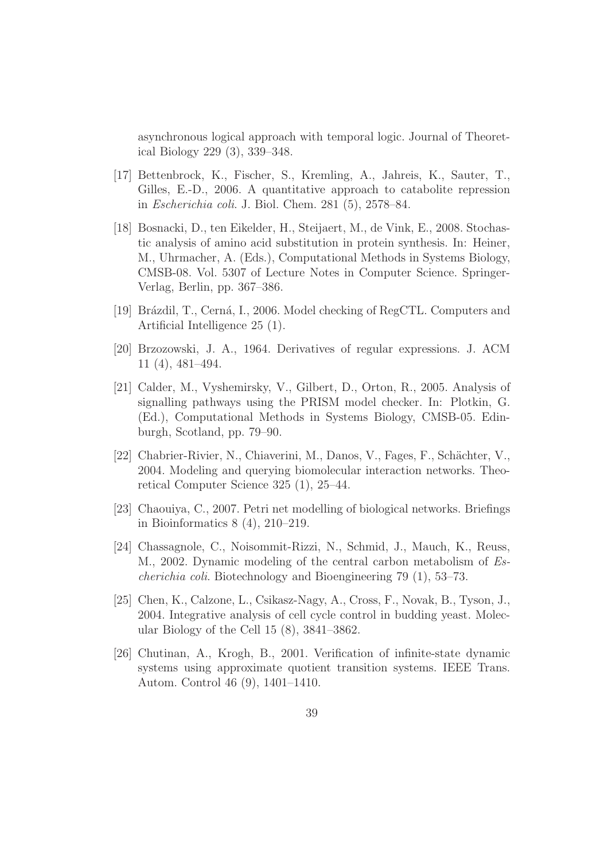asynchronous logical approach with temporal logic. Journal of Theoretical Biology 229 (3), 339–348.

- [17] Bettenbrock, K., Fischer, S., Kremling, A., Jahreis, K., Sauter, T., Gilles, E.-D., 2006. A quantitative approach to catabolite repression in Escherichia coli. J. Biol. Chem. 281 (5), 2578–84.
- [18] Bosnacki, D., ten Eikelder, H., Steijaert, M., de Vink, E., 2008. Stochastic analysis of amino acid substitution in protein synthesis. In: Heiner, M., Uhrmacher, A. (Eds.), Computational Methods in Systems Biology, CMSB-08. Vol. 5307 of Lecture Notes in Computer Science. Springer-Verlag, Berlin, pp. 367–386.
- [19] Brázdil, T., Cerná, I., 2006. Model checking of RegCTL. Computers and Artificial Intelligence 25 (1).
- [20] Brzozowski, J. A., 1964. Derivatives of regular expressions. J. ACM 11 (4), 481–494.
- [21] Calder, M., Vyshemirsky, V., Gilbert, D., Orton, R., 2005. Analysis of signalling pathways using the PRISM model checker. In: Plotkin, G. (Ed.), Computational Methods in Systems Biology, CMSB-05. Edinburgh, Scotland, pp. 79–90.
- [22] Chabrier-Rivier, N., Chiaverini, M., Danos, V., Fages, F., Schächter, V., 2004. Modeling and querying biomolecular interaction networks. Theoretical Computer Science 325 (1), 25–44.
- [23] Chaouiya, C., 2007. Petri net modelling of biological networks. Briefings in Bioinformatics 8 (4), 210–219.
- [24] Chassagnole, C., Noisommit-Rizzi, N., Schmid, J., Mauch, K., Reuss, M., 2002. Dynamic modeling of the central carbon metabolism of Escherichia coli. Biotechnology and Bioengineering 79 (1), 53–73.
- [25] Chen, K., Calzone, L., Csikasz-Nagy, A., Cross, F., Novak, B., Tyson, J., 2004. Integrative analysis of cell cycle control in budding yeast. Molecular Biology of the Cell 15 (8), 3841–3862.
- [26] Chutinan, A., Krogh, B., 2001. Verification of infinite-state dynamic systems using approximate quotient transition systems. IEEE Trans. Autom. Control 46 (9), 1401–1410.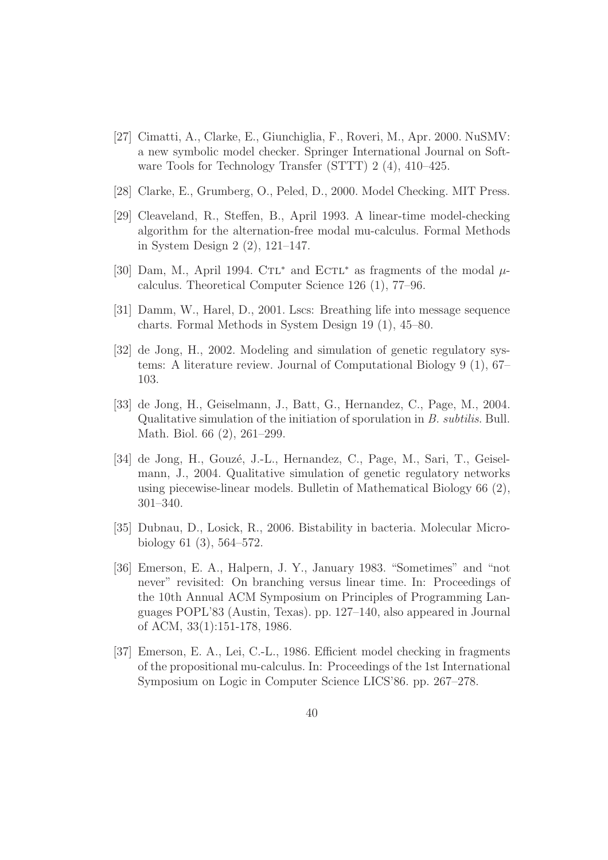- [27] Cimatti, A., Clarke, E., Giunchiglia, F., Roveri, M., Apr. 2000. NuSMV: a new symbolic model checker. Springer International Journal on Software Tools for Technology Transfer (STTT) 2 (4), 410–425.
- [28] Clarke, E., Grumberg, O., Peled, D., 2000. Model Checking. MIT Press.
- [29] Cleaveland, R., Steffen, B., April 1993. A linear-time model-checking algorithm for the alternation-free modal mu-calculus. Formal Methods in System Design 2 (2), 121–147.
- [30] Dam, M., April 1994. C $TL^*$  and  $ECTL^*$  as fragments of the modal  $\mu$ calculus. Theoretical Computer Science 126 (1), 77–96.
- [31] Damm, W., Harel, D., 2001. Lscs: Breathing life into message sequence charts. Formal Methods in System Design 19 (1), 45–80.
- [32] de Jong, H., 2002. Modeling and simulation of genetic regulatory systems: A literature review. Journal of Computational Biology 9 (1), 67– 103.
- [33] de Jong, H., Geiselmann, J., Batt, G., Hernandez, C., Page, M., 2004. Qualitative simulation of the initiation of sporulation in B. subtilis. Bull. Math. Biol. 66 (2), 261–299.
- [34] de Jong, H., Gouzé, J.-L., Hernandez, C., Page, M., Sari, T., Geiselmann, J., 2004. Qualitative simulation of genetic regulatory networks using piecewise-linear models. Bulletin of Mathematical Biology 66 (2), 301–340.
- [35] Dubnau, D., Losick, R., 2006. Bistability in bacteria. Molecular Microbiology 61 (3), 564–572.
- [36] Emerson, E. A., Halpern, J. Y., January 1983. "Sometimes" and "not never" revisited: On branching versus linear time. In: Proceedings of the 10th Annual ACM Symposium on Principles of Programming Languages POPL'83 (Austin, Texas). pp. 127–140, also appeared in Journal of ACM, 33(1):151-178, 1986.
- [37] Emerson, E. A., Lei, C.-L., 1986. Efficient model checking in fragments of the propositional mu-calculus. In: Proceedings of the 1st International Symposium on Logic in Computer Science LICS'86. pp. 267–278.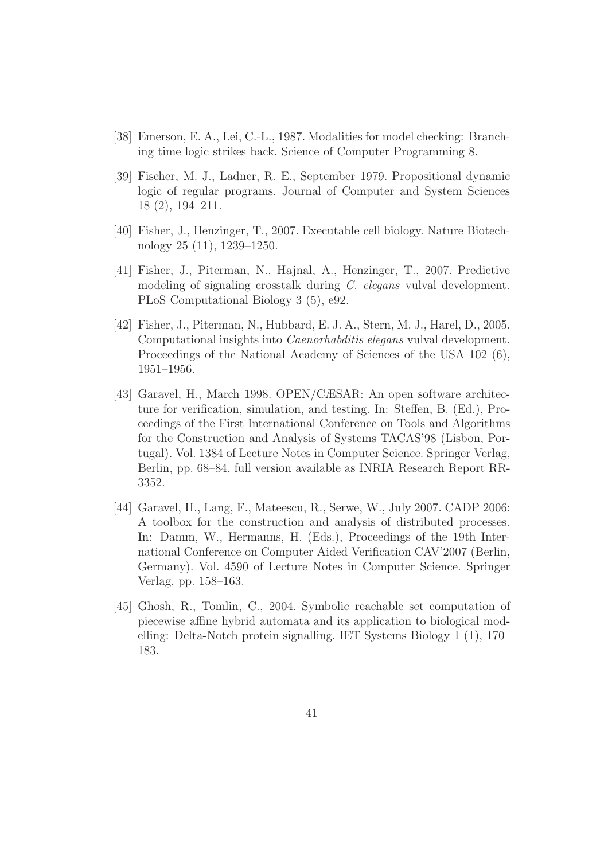- [38] Emerson, E. A., Lei, C.-L., 1987. Modalities for model checking: Branching time logic strikes back. Science of Computer Programming 8.
- [39] Fischer, M. J., Ladner, R. E., September 1979. Propositional dynamic logic of regular programs. Journal of Computer and System Sciences 18 (2), 194–211.
- [40] Fisher, J., Henzinger, T., 2007. Executable cell biology. Nature Biotechnology 25 (11), 1239–1250.
- [41] Fisher, J., Piterman, N., Hajnal, A., Henzinger, T., 2007. Predictive modeling of signaling crosstalk during C. elegans vulval development. PLoS Computational Biology 3 (5), e92.
- [42] Fisher, J., Piterman, N., Hubbard, E. J. A., Stern, M. J., Harel, D., 2005. Computational insights into Caenorhabditis elegans vulval development. Proceedings of the National Academy of Sciences of the USA 102 (6), 1951–1956.
- [43] Garavel, H., March 1998. OPEN/CÆSAR: An open software architecture for verification, simulation, and testing. In: Steffen, B. (Ed.), Proceedings of the First International Conference on Tools and Algorithms for the Construction and Analysis of Systems TACAS'98 (Lisbon, Portugal). Vol. 1384 of Lecture Notes in Computer Science. Springer Verlag, Berlin, pp. 68–84, full version available as INRIA Research Report RR-3352.
- [44] Garavel, H., Lang, F., Mateescu, R., Serwe, W., July 2007. CADP 2006: A toolbox for the construction and analysis of distributed processes. In: Damm, W., Hermanns, H. (Eds.), Proceedings of the 19th International Conference on Computer Aided Verification CAV'2007 (Berlin, Germany). Vol. 4590 of Lecture Notes in Computer Science. Springer Verlag, pp. 158–163.
- [45] Ghosh, R., Tomlin, C., 2004. Symbolic reachable set computation of piecewise affine hybrid automata and its application to biological modelling: Delta-Notch protein signalling. IET Systems Biology 1 (1), 170– 183.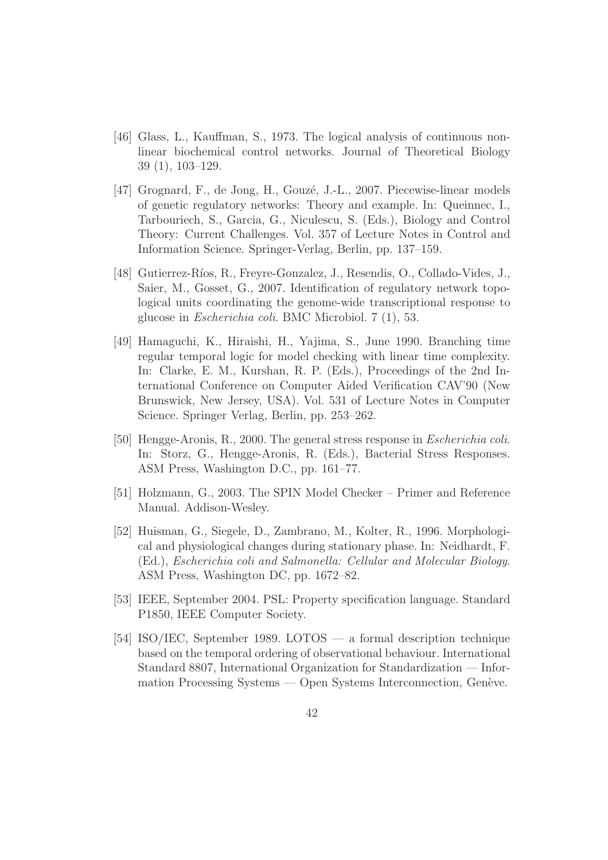- [46] Glass, L., Kauffman, S., 1973. The logical analysis of continuous nonlinear biochemical control networks. Journal of Theoretical Biology 39 (1), 103–129.
- [47] Grognard, F., de Jong, H., Gouzé, J.-L., 2007. Piecewise-linear models of genetic regulatory networks: Theory and example. In: Queinnec, I., Tarbouriech, S., Garcia, G., Niculescu, S. (Eds.), Biology and Control Theory: Current Challenges. Vol. 357 of Lecture Notes in Control and Information Science. Springer-Verlag, Berlin, pp. 137–159.
- [48] Gutierrez-Ríos, R., Freyre-Gonzalez, J., Resendis, O., Collado-Vides, J., Saier, M., Gosset, G., 2007. Identification of regulatory network topological units coordinating the genome-wide transcriptional response to glucose in Escherichia coli. BMC Microbiol. 7 (1), 53.
- [49] Hamaguchi, K., Hiraishi, H., Yajima, S., June 1990. Branching time regular temporal logic for model checking with linear time complexity. In: Clarke, E. M., Kurshan, R. P. (Eds.), Proceedings of the 2nd International Conference on Computer Aided Verification CAV'90 (New Brunswick, New Jersey, USA). Vol. 531 of Lecture Notes in Computer Science. Springer Verlag, Berlin, pp. 253–262.
- [50] Hengge-Aronis, R., 2000. The general stress response in Escherichia coli. In: Storz, G., Hengge-Aronis, R. (Eds.), Bacterial Stress Responses. ASM Press, Washington D.C., pp. 161–77.
- [51] Holzmann, G., 2003. The SPIN Model Checker Primer and Reference Manual. Addison-Wesley.
- [52] Huisman, G., Siegele, D., Zambrano, M., Kolter, R., 1996. Morphological and physiological changes during stationary phase. In: Neidhardt, F. (Ed.), Escherichia coli and Salmonella: Cellular and Molecular Biology. ASM Press, Washington DC, pp. 1672–82.
- [53] IEEE, September 2004. PSL: Property specification language. Standard P1850, IEEE Computer Society.
- [54] ISO/IEC, September 1989. LOTOS a formal description technique based on the temporal ordering of observational behaviour. International Standard 8807, International Organization for Standardization — Information Processing Systems — Open Systems Interconnection, Genève.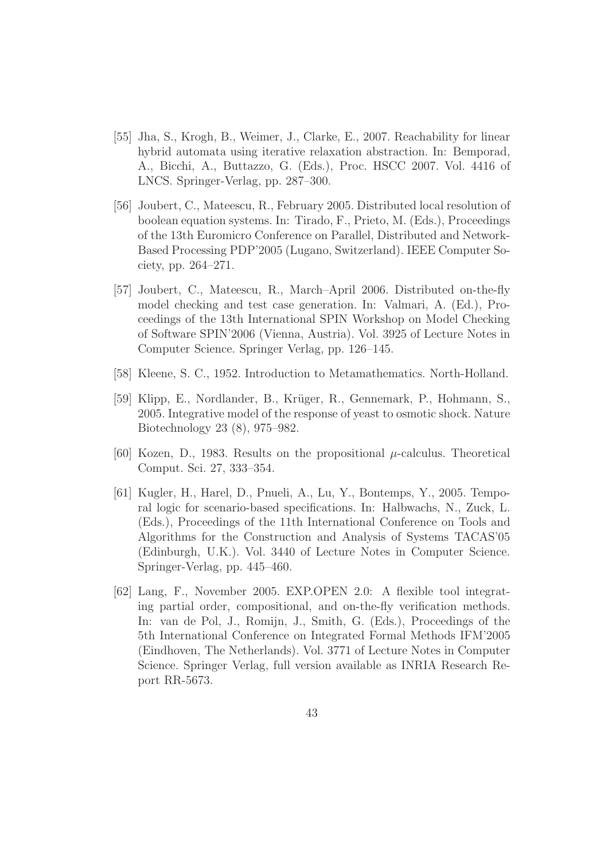- [55] Jha, S., Krogh, B., Weimer, J., Clarke, E., 2007. Reachability for linear hybrid automata using iterative relaxation abstraction. In: Bemporad, A., Bicchi, A., Buttazzo, G. (Eds.), Proc. HSCC 2007. Vol. 4416 of LNCS. Springer-Verlag, pp. 287–300.
- [56] Joubert, C., Mateescu, R., February 2005. Distributed local resolution of boolean equation systems. In: Tirado, F., Prieto, M. (Eds.), Proceedings of the 13th Euromicro Conference on Parallel, Distributed and Network-Based Processing PDP'2005 (Lugano, Switzerland). IEEE Computer Society, pp. 264–271.
- [57] Joubert, C., Mateescu, R., March–April 2006. Distributed on-the-fly model checking and test case generation. In: Valmari, A. (Ed.), Proceedings of the 13th International SPIN Workshop on Model Checking of Software SPIN'2006 (Vienna, Austria). Vol. 3925 of Lecture Notes in Computer Science. Springer Verlag, pp. 126–145.
- [58] Kleene, S. C., 1952. Introduction to Metamathematics. North-Holland.
- [59] Klipp, E., Nordlander, B., Krüger, R., Gennemark, P., Hohmann, S., 2005. Integrative model of the response of yeast to osmotic shock. Nature Biotechnology 23 (8), 975–982.
- [60] Kozen, D., 1983. Results on the propositional  $\mu$ -calculus. Theoretical Comput. Sci. 27, 333–354.
- [61] Kugler, H., Harel, D., Pnueli, A., Lu, Y., Bontemps, Y., 2005. Temporal logic for scenario-based specifications. In: Halbwachs, N., Zuck, L. (Eds.), Proceedings of the 11th International Conference on Tools and Algorithms for the Construction and Analysis of Systems TACAS'05 (Edinburgh, U.K.). Vol. 3440 of Lecture Notes in Computer Science. Springer-Verlag, pp. 445–460.
- [62] Lang, F., November 2005. EXP.OPEN 2.0: A flexible tool integrating partial order, compositional, and on-the-fly verification methods. In: van de Pol, J., Romijn, J., Smith, G. (Eds.), Proceedings of the 5th International Conference on Integrated Formal Methods IFM'2005 (Eindhoven, The Netherlands). Vol. 3771 of Lecture Notes in Computer Science. Springer Verlag, full version available as INRIA Research Report RR-5673.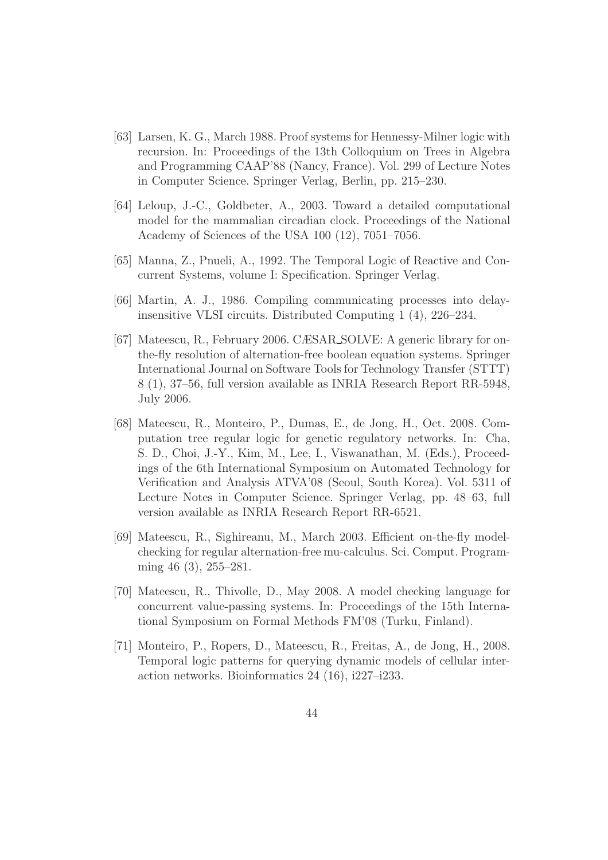- [63] Larsen, K. G., March 1988. Proof systems for Hennessy-Milner logic with recursion. In: Proceedings of the 13th Colloquium on Trees in Algebra and Programming CAAP'88 (Nancy, France). Vol. 299 of Lecture Notes in Computer Science. Springer Verlag, Berlin, pp. 215–230.
- [64] Leloup, J.-C., Goldbeter, A., 2003. Toward a detailed computational model for the mammalian circadian clock. Proceedings of the National Academy of Sciences of the USA 100 (12), 7051–7056.
- [65] Manna, Z., Pnueli, A., 1992. The Temporal Logic of Reactive and Concurrent Systems, volume I: Specification. Springer Verlag.
- [66] Martin, A. J., 1986. Compiling communicating processes into delayinsensitive VLSI circuits. Distributed Computing 1 (4), 226–234.
- [67] Mateescu, R., February 2006. CÆSAR SOLVE: A generic library for onthe-fly resolution of alternation-free boolean equation systems. Springer International Journal on Software Tools for Technology Transfer (STTT) 8 (1), 37–56, full version available as INRIA Research Report RR-5948, July 2006.
- [68] Mateescu, R., Monteiro, P., Dumas, E., de Jong, H., Oct. 2008. Computation tree regular logic for genetic regulatory networks. In: Cha, S. D., Choi, J.-Y., Kim, M., Lee, I., Viswanathan, M. (Eds.), Proceedings of the 6th International Symposium on Automated Technology for Verification and Analysis ATVA'08 (Seoul, South Korea). Vol. 5311 of Lecture Notes in Computer Science. Springer Verlag, pp. 48–63, full version available as INRIA Research Report RR-6521.
- [69] Mateescu, R., Sighireanu, M., March 2003. Efficient on-the-fly modelchecking for regular alternation-free mu-calculus. Sci. Comput. Programming 46 (3), 255–281.
- [70] Mateescu, R., Thivolle, D., May 2008. A model checking language for concurrent value-passing systems. In: Proceedings of the 15th International Symposium on Formal Methods FM'08 (Turku, Finland).
- [71] Monteiro, P., Ropers, D., Mateescu, R., Freitas, A., de Jong, H., 2008. Temporal logic patterns for querying dynamic models of cellular interaction networks. Bioinformatics 24 (16), i227–i233.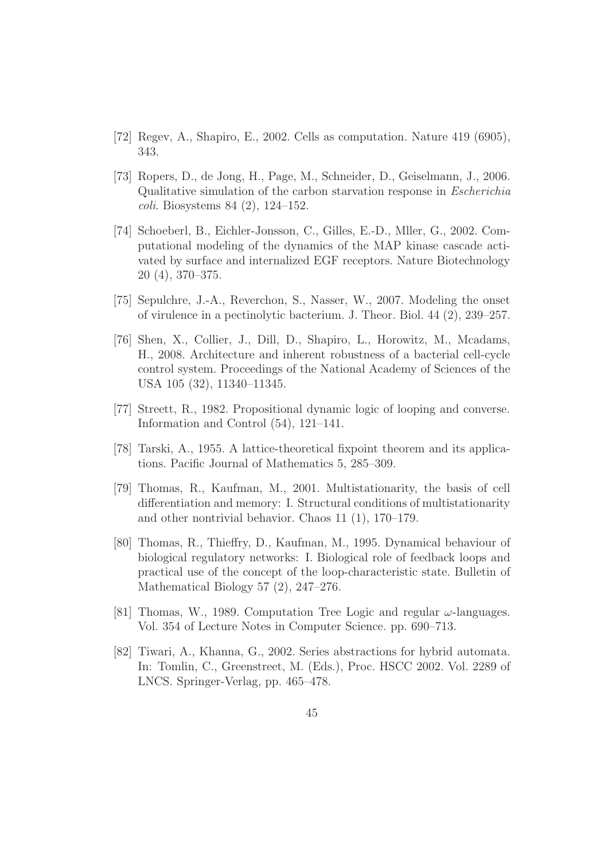- [72] Regev, A., Shapiro, E., 2002. Cells as computation. Nature 419 (6905), 343.
- [73] Ropers, D., de Jong, H., Page, M., Schneider, D., Geiselmann, J., 2006. Qualitative simulation of the carbon starvation response in Escherichia coli. Biosystems 84 (2), 124–152.
- [74] Schoeberl, B., Eichler-Jonsson, C., Gilles, E.-D., Mller, G., 2002. Computational modeling of the dynamics of the MAP kinase cascade activated by surface and internalized EGF receptors. Nature Biotechnology 20 (4), 370–375.
- [75] Sepulchre, J.-A., Reverchon, S., Nasser, W., 2007. Modeling the onset of virulence in a pectinolytic bacterium. J. Theor. Biol. 44 (2), 239–257.
- [76] Shen, X., Collier, J., Dill, D., Shapiro, L., Horowitz, M., Mcadams, H., 2008. Architecture and inherent robustness of a bacterial cell-cycle control system. Proceedings of the National Academy of Sciences of the USA 105 (32), 11340–11345.
- [77] Streett, R., 1982. Propositional dynamic logic of looping and converse. Information and Control (54), 121–141.
- [78] Tarski, A., 1955. A lattice-theoretical fixpoint theorem and its applications. Pacific Journal of Mathematics 5, 285–309.
- [79] Thomas, R., Kaufman, M., 2001. Multistationarity, the basis of cell differentiation and memory: I. Structural conditions of multistationarity and other nontrivial behavior. Chaos 11 (1), 170–179.
- [80] Thomas, R., Thieffry, D., Kaufman, M., 1995. Dynamical behaviour of biological regulatory networks: I. Biological role of feedback loops and practical use of the concept of the loop-characteristic state. Bulletin of Mathematical Biology 57 (2), 247–276.
- [81] Thomas, W., 1989. Computation Tree Logic and regular  $\omega$ -languages. Vol. 354 of Lecture Notes in Computer Science. pp. 690–713.
- [82] Tiwari, A., Khanna, G., 2002. Series abstractions for hybrid automata. In: Tomlin, C., Greenstreet, M. (Eds.), Proc. HSCC 2002. Vol. 2289 of LNCS. Springer-Verlag, pp. 465–478.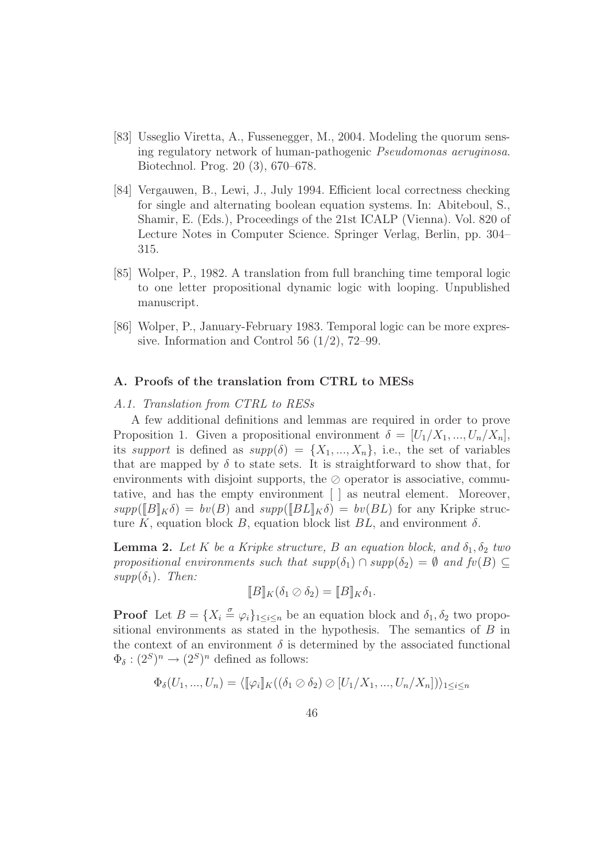- [83] Usseglio Viretta, A., Fussenegger, M., 2004. Modeling the quorum sensing regulatory network of human-pathogenic Pseudomonas aeruginosa. Biotechnol. Prog. 20 (3), 670–678.
- [84] Vergauwen, B., Lewi, J., July 1994. Efficient local correctness checking for single and alternating boolean equation systems. In: Abiteboul, S., Shamir, E. (Eds.), Proceedings of the 21st ICALP (Vienna). Vol. 820 of Lecture Notes in Computer Science. Springer Verlag, Berlin, pp. 304– 315.
- [85] Wolper, P., 1982. A translation from full branching time temporal logic to one letter propositional dynamic logic with looping. Unpublished manuscript.
- [86] Wolper, P., January-February 1983. Temporal logic can be more expressive. Information and Control 56  $(1/2)$ , 72–99.

# A. Proofs of the translation from CTRL to MESs

## A.1. Translation from CTRL to RESs

A few additional definitions and lemmas are required in order to prove Proposition 1. Given a propositional environment  $\delta = [U_1/X_1, ..., U_n/X_n],$ its support is defined as  $supp(\delta) = \{X_1, ..., X_n\}$ , i.e., the set of variables that are mapped by  $\delta$  to state sets. It is straightforward to show that, for environments with disjoint supports, the ⊘ operator is associative, commutative, and has the empty environment [ ] as neutral element. Moreover,  $supp([B]_K\delta) = bv(B)$  and  $supp([BL]_K\delta) = bv(BL)$  for any Kripke structure K, equation block B, equation block list  $BL$ , and environment  $\delta$ .

**Lemma 2.** Let K be a Kripke structure, B an equation block, and  $\delta_1, \delta_2$  two propositional environments such that  $supp(\delta_1) \cap supp(\delta_2) = \emptyset$  and  $fv(B) \subseteq$  $supp(\delta_1)$ . Then:

$$
[[B]]K(\delta_1 \oslash \delta_2) = [[B]]K\delta_1.
$$

**Proof** Let  $B = \{X_i \overset{\sigma}{=} \varphi_i\}_{1 \leq i \leq n}$  be an equation block and  $\delta_1, \delta_2$  two propositional environments as stated in the hypothesis. The semantics of  $B$  in the context of an environment  $\delta$  is determined by the associated functional  $\Phi_{\delta}: (2^S)^n \to (2^S)^n$  defined as follows:

$$
\Phi_{\delta}(U_1, ..., U_n) = \langle [\![\varphi_i]\!]_K ((\delta_1 \oslash \delta_2) \oslash [U_1/X_1, ..., U_n/X_n]) \rangle_{1 \leq i \leq n}
$$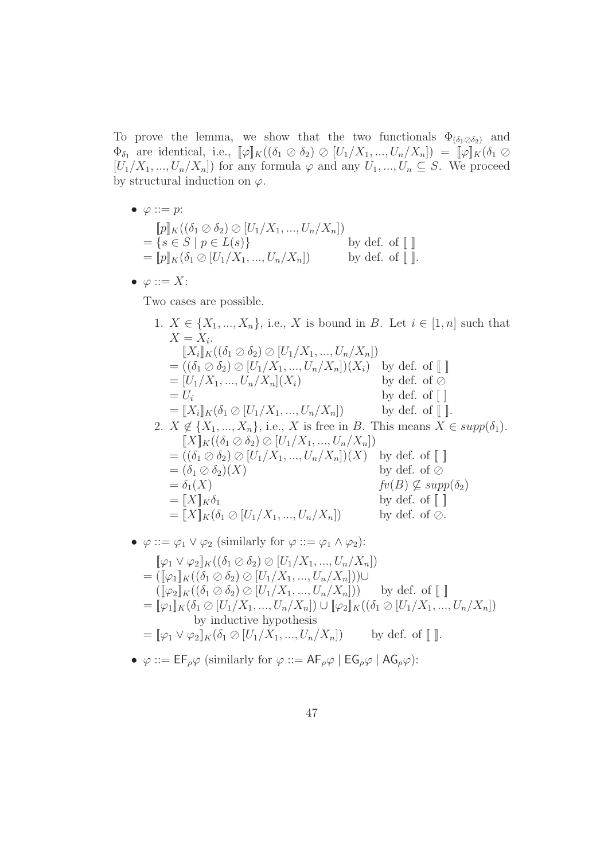To prove the lemma, we show that the two functionals  $\Phi_{(\delta_1 \otimes \delta_2)}$  and  $\Phi_{\delta_1}$  are identical, i.e.,  $[\![\varphi]\!]_K((\delta_1 \oslash \delta_2) \oslash [U_1/X_1, ..., U_n/X_n]) = [\![\varphi]\!]_K(\delta_1 \oslash$  $[U_1/X_1, ..., U_n/X_n]$  for any formula  $\varphi$  and any  $U_1, ..., U_n \subseteq S$ . We proceed by structural induction on  $\varphi$ .

- $\varphi ::= p$ :  $[\![p]\!]_K (\delta_1 \oslash \delta_2) \oslash [U_1/X_1, ..., U_n/X_n])$  $=\{s \in S \mid p \in L(s)\}\$  by def. of  $\llbracket \ \rrbracket$  $= \[\bar{p}]\]K(\delta_1 \oslash [U_1/X_1, ..., U_n/X_n])$  by def. of  $\[\ ]$ .
- $\varphi ::= X$ :

Two cases are possible.

- 1.  $X \in \{X_1, ..., X_n\}$ , i.e., X is bound in B. Let  $i \in [1, n]$  such that  $X=X_i$ .  $[[X_i]]_K((\delta_1 \oslash \delta_2) \oslash [U_1/X_1, ..., U_n/X_n])$  $= ((\delta_1 \oslash \delta_2) \oslash [U_1/X_1, ..., U_n/X_n])(X_i)$  by def. of  $\llbracket \ \ \rrbracket$  $=[U_1/X_1, ..., U_n/X_n](X_i)$  by def. of ⊘  $= U_i$  by def. of [ ]  $=[\![X_i]\!]_K(\delta_1 \oslash [U_1/X_1, ..., U_n/X_n])$  by def. of  $[\![$   $]\!]$ . 2.  $X \notin \{X_1, ..., X_n\}$ , i.e., X is free in B. This means  $X \in supp(\delta_1)$ .  $[X]_K((\delta_1 \oslash \delta_2) \oslash [U_1/X_1, ..., U_n/X_n])$  $= ((\delta_1 \oslash \delta_2) \oslash [U_1/X_1, ..., U_n/X_n])(X)$  by def. of  $\llbracket \ \ \rrbracket$  $=(\delta_1 \oslash \delta_2)(X)$  by def. of ⊘  $= \delta_1(X)$  fv(B)  $\subseteq supp(\delta_2)$  $= [X]_K \delta_1$  by def. of  $[$  $= \llbracket X \rrbracket_K(\delta_1 \oslash [U_1/X_1, ..., U_n/X_n])$  by def. of  $\oslash$ .
- $\varphi ::= \varphi_1 \vee \varphi_2$  (similarly for  $\varphi ::= \varphi_1 \wedge \varphi_2$ ):
	- $[\![\varphi_1 \vee \varphi_2]\!]_K((\delta_1 \oslash \delta_2) \oslash [U_1/X_1, ..., U_n/X_n])$  $= ([\![\varphi_1]\!]_K((\delta_1 \oslash \delta_2) \oslash [U_1/X_1, ..., U_n/X_n])) \cup$  $([\![\varphi_2]\!]_K((\delta_1 \oslash \delta_2) \oslash [U_1/X_1, ..., U_n/X_n]))$  by def. of  $[\![\ ]\!]$  $=[\![\varphi_1]\!]_K(\delta_1 \otimes [U_1/X_1, ..., U_n/X_n]) \cup [\![\varphi_2]\!]_K((\delta_1 \otimes [U_1/X_1, ..., U_n/X_n])$ by inductive hypothesis  $=\llbracket \varphi_1 \vee \varphi_2 \rrbracket_K(\delta_1 \oslash [U_1/X_1, ..., U_n/X_n])$  by def. of  $\llbracket \rrbracket$ .
- $\varphi ::= \mathsf{EF}_{\rho} \varphi$  (similarly for  $\varphi ::= \mathsf{AF}_{\rho} \varphi \mid \mathsf{EG}_{\rho} \varphi \mid \mathsf{AG}_{\rho} \varphi$ ):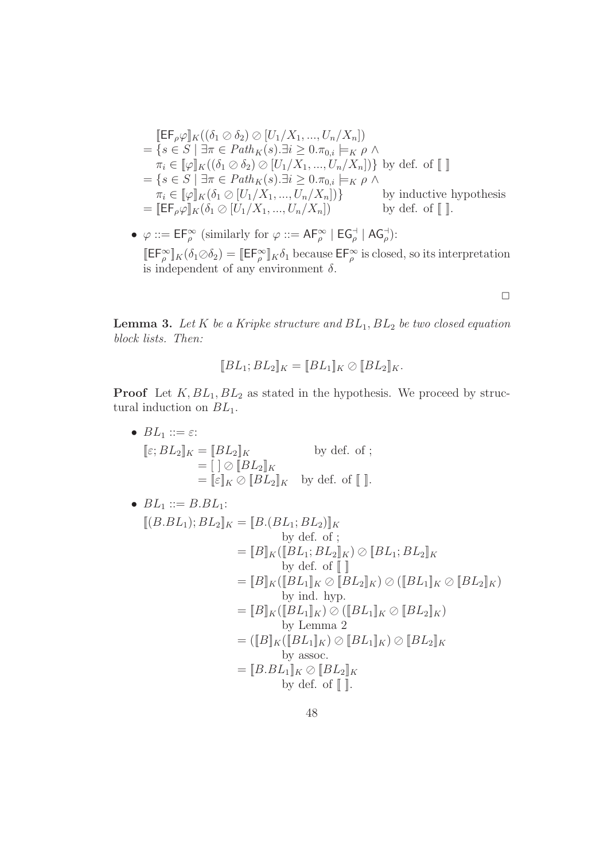$$
\begin{aligned}\n& \left[\mathsf{EF}_{\rho}\varphi\right]_{K}((\delta_{1}\oslash\delta_{2})\oslash[U_{1}/X_{1},...,U_{n}/X_{n}]) \\
&= \{s\in S \mid \exists\pi\in Path_{K}(s).\exists i\geq 0.\pi_{0,i}\models_{K}\rho \land \\
&\pi_{i}\in[\varphi]_{K}((\delta_{1}\oslash\delta_{2})\oslash[U_{1}/X_{1},...,U_{n}/X_{n}])\} \text{ by def. of } [\![\!] \\
&= \{s\in S \mid \exists\pi\in Path_{K}(s).\exists i\geq 0.\pi_{0,i}\models_{K}\rho \land \\
&\pi_{i}\in[\![\varphi]\!]_{K}(\delta_{1}\oslash[U_{1}/X_{1},...,U_{n}/X_{n}])\} \text{ by inductive hypothesis} \\
&= [\![\mathsf{EF}_{\rho}\varphi]\!]_{K}(\delta_{1}\oslash[U_{1}/X_{1},...,U_{n}/X_{n}]) \text{ by def. of } [\![\!].\n\end{aligned}
$$

•  $\varphi ::= \mathsf{EF}_{\rho}^{\infty}$  (similarly for  $\varphi ::= \mathsf{AF}_{\rho}^{\infty} \mid \mathsf{EG}_{\rho}^{\dashv} \mid \mathsf{AG}_{\rho}^{\dashv}$ ):  $[\![E\mathsf{F}_\rho^\infty]\!]_K(\delta_1\oslash\delta_2) = [\![E\mathsf{F}_\rho^\infty]\!]_K\delta_1$  because  $E\mathsf{F}_\rho^\infty$  is closed, so its interpretation is independent of any environment  $\delta$ .

 $\Box$ 

**Lemma 3.** Let K be a Kripke structure and  $BL_1, BL_2$  be two closed equation block lists. Then:

$$
[[BL_1; BL_2]]_K = [[BL_1]]_K \oslash [[BL_2]]_K.
$$

**Proof** Let  $K, BL_1, BL_2$  as stated in the hypothesis. We proceed by structural induction on  $BL_1$ .

•  $BL_1 ::= \varepsilon$ :  $[\![\varepsilon; BL_2]\!]_K = [\![BL_2]\!]_K$  by def. of ;  $= \left[ \begin{array}{c} \parallel \ \parallel \ \odot \end{array} \right]$   $\mathbb{E} L_2 \mathbb{I}_K$  $= [\![\varepsilon]\!]_K \oslash [\![\overline{B}L_2]\!]_K$  by def. of  $[\![\;]\!]$ . •  $BL_1 ::= B.BL_1$ :  $[(B.BL_1); BL_2]_K = [B.(BL_1; BL_2)]_K$ by def. of ;  $=[B]_K ([BL_1; BL_2]_K) \oslash [BL_1; BL_2]_K$ by def. of  $\llbracket \ \ \rbrack$  $=[B]_K ([BL_1]_K \oslash [BL_2]_K) \oslash ([BL_1]_K \oslash [BL_2]_K)$ by ind. hyp.  $=[B]_K ([BL_1]_K) \oslash ([BL_1]_K \oslash [BL_2]_K)$ by Lemma 2  $=([\![B]\!]_K ([\![BL_1]\!]_K) \oslash [\![BL_1]\!]_K) \oslash [\![BL_2]\!]_K$ by assoc.  $=[B.BL_1]_K \oslash [BL_2]_K$ by def. of  $\llbracket \cdot \rrbracket$ .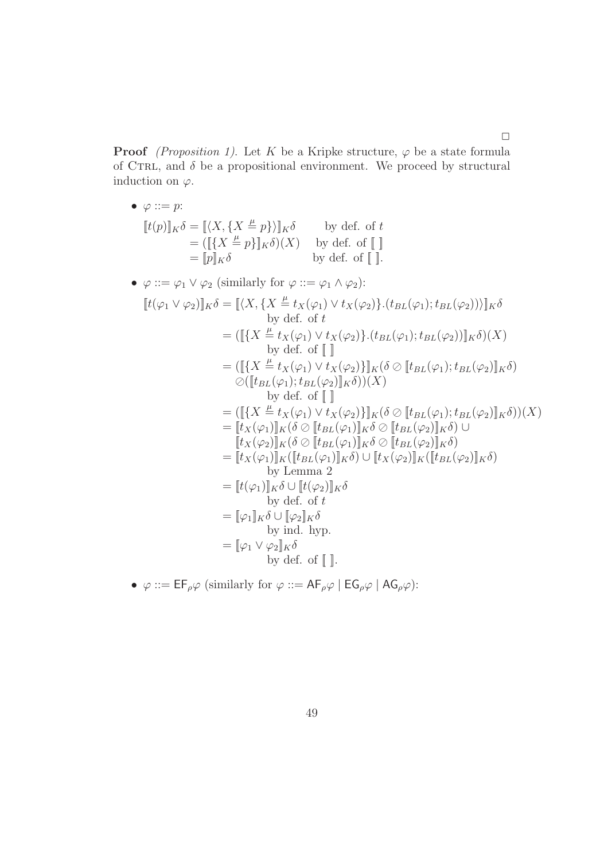**Proof** (Proposition 1). Let K be a Kripke structure,  $\varphi$  be a state formula of CTRL, and  $\delta$  be a propositional environment. We proceed by structural induction on  $\varphi$ .

 $\Box$ 

\n- \n
$$
\varphi ::= p:
$$
\n
$$
[t(p)]_K \delta = [(X, \{X \stackrel{\mu}{=} p\}]_K \delta \qquad \text{by def. of } t]
$$
\n
$$
= [p]_K \delta \qquad \text{by def. of } []
$$
\n
\n- \n
$$
\varphi ::= \varphi_1 \vee \varphi_2 \text{ (similarly for } \varphi ::= \varphi_1 \wedge \varphi_2):
$$
\n
$$
[t(\varphi_1 \vee \varphi_2)]_K \delta = [(X, \{X \stackrel{\mu}{=} t_X(\varphi_1) \vee t_X(\varphi_2)\} \cdot (t_{BL}(\varphi_1); t_{BL}(\varphi_2)))]_K \delta
$$
\n
$$
= ([\{X \stackrel{\mu}{=} t_X(\varphi_1) \vee t_X(\varphi_2)\} \cdot (t_{BL}(\varphi_1); t_{BL}(\varphi_2)))]_K \delta)(X)
$$
\n
$$
= ([[\{X \stackrel{\mu}{=} t_X(\varphi_1) \vee t_X(\varphi_2)\}]_K (\delta \otimes [t_{BL}(\varphi_1); t_{BL}(\varphi_2)]]_K \delta)
$$
\n
$$
\otimes ([t_{BL}(\varphi_1); t_{BL}(\varphi_2)]_K \delta)(X)
$$
\n
$$
= ([[\{X \stackrel{\mu}{=} t_X(\varphi_1) \vee t_X(\varphi_2)]_K \delta](X)]_K \delta \otimes [t_{BL}(\varphi_1); t_{BL}(\varphi_2)]_K \delta)(X)
$$
\n
$$
= [[t_X \stackrel{\mu}{=} t_X(\varphi_1) \vee t_X(\varphi_2)]_K \delta \otimes [t_{BL}(\varphi_1)]_K \delta \otimes [t_{BL}(\varphi_2)]_K \delta)(X)
$$
\n
$$
= [t_X(\varphi_1)]_K (\delta \otimes [t_{BL}(\varphi_1)]_K \delta \otimes [t_{BL}(\varphi_2)]_K \delta)
$$
\n
$$
= [t_X(\varphi_1)]_K (\delta \otimes [t_{BL}(\varphi_1)]_K \delta \otimes [t_{BL}(\varphi_2)]_K \delta)
$$
\n
$$
= [t_X(\varphi_1)]_K \delta \otimes [t_{BL}(\varphi_2)]_K \delta
$$
\n<

 $\bullet\ \varphi ::= \mathsf{EF}_{\rho}\varphi$  (similarly for  $\varphi ::= \mathsf{AF}_{\rho}\varphi \mid \mathsf{EG}_{\rho}\varphi \mid \mathsf{AG}_{\rho}\varphi)$  :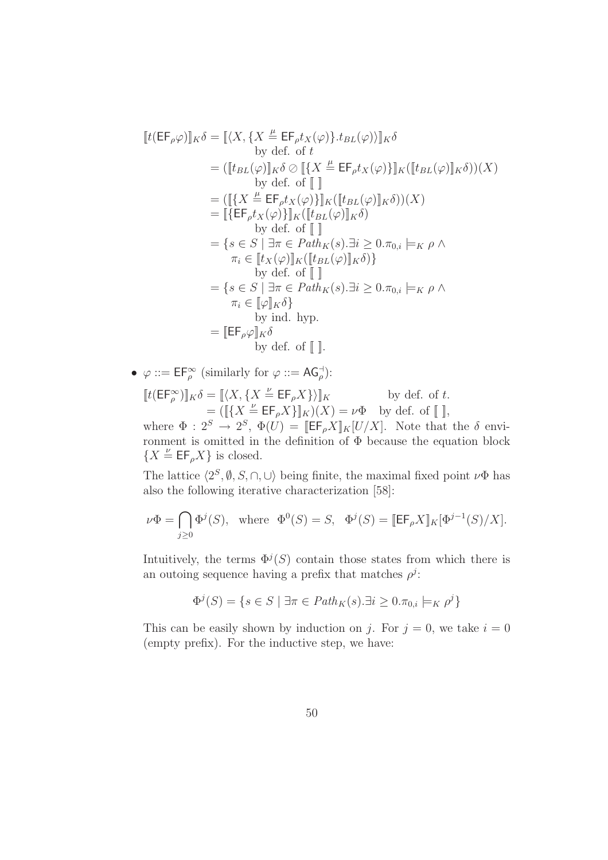$$
[t(EF_{\rho}\varphi)]_K\delta = [\langle X, \{X \stackrel{\mu}{=} EF_{\rho}t_X(\varphi)\} .t_{BL}(\varphi)\rangle]_K\delta
$$
  
by def. of  $t$   

$$
= ([t_{BL}(\varphi)]_K\delta \otimes [\{X \stackrel{\mu}{=} EF_{\rho}t_X(\varphi)\}]_K([t_{BL}(\varphi)]_K\delta))(X)
$$
  
by def. of  $[]$   

$$
= ([\{X \stackrel{\mu}{=} EF_{\rho}t_X(\varphi)\}]_K([t_{BL}(\varphi)]_K\delta))X
$$
  

$$
= [\{EF_{\rho}t_X(\varphi)\}]_K([t_{BL}(\varphi)]_K\delta)
$$
  
by def. of  $[]$   

$$
= \{s \in S \mid \exists \pi \in Path_K(s).\exists i \geq 0.\pi_{0,i} \models_K \rho \land \pi_i \in [t_X(\varphi)]_K([t_{BL}(\varphi)]_K\delta)\}
$$
  
by def. of  $[]$   

$$
= \{s \in S \mid \exists \pi \in Path_K(s).\exists i \geq 0.\pi_{0,i} \models_K \rho \land \pi_i \in [I_K\delta]\}
$$
  
by ind. hyp.  

$$
= [EF_{\rho}\varphi]_K\delta
$$
  
by def. of  $[]$ .

•  $\varphi ::= \mathsf{EF}_{\rho}^{\infty}$  (similarly for  $\varphi ::= \mathsf{AG}_{\rho}^{\dashv})$ :  $[[t(EF_\rho^\infty)]]_K\delta = [[\langle X, \{X \stackrel{\nu}{=} EF_\rho X\}\rangle]]_K$  by def. of t.  $=([\lbrace X \stackrel{\nu}{=} \mathsf{EF}_{\rho} X \rbrace]_{K})(X) = \nu \Phi$  by def. of  $[\ ]$ , where  $\Phi: 2^S \to 2^S$ ,  $\Phi(U) = [\mathsf{EF}_{\rho}X]_K[U/X]$ . Note that the  $\delta$  environment is omitted in the definition of  $\Phi$  because the equation block  ${X \overset{\nu}{=} \mathsf{EF}_{\rho}X}$  is closed.

The lattice  $\langle 2^S, \emptyset, S, \cap, \cup \rangle$  being finite, the maximal fixed point  $\nu\Phi$  has also the following iterative characterization [58]:

$$
\nu\Phi = \bigcap_{j\geq 0} \Phi^j(S), \text{ where } \Phi^0(S) = S, \quad \Phi^j(S) = [\![\mathsf{EF}_{\rho} X]\!]_K [\Phi^{j-1}(S)/X].
$$

Intuitively, the terms  $\Phi^{j}(S)$  contain those states from which there is an outoing sequence having a prefix that matches  $\rho^j$ :

$$
\Phi^{j}(S) = \{ s \in S \mid \exists \pi \in Path_K(s). \exists i \ge 0. \pi_{0,i} \models_K \rho^{j} \}
$$

This can be easily shown by induction on j. For  $j = 0$ , we take  $i = 0$ (empty prefix). For the inductive step, we have: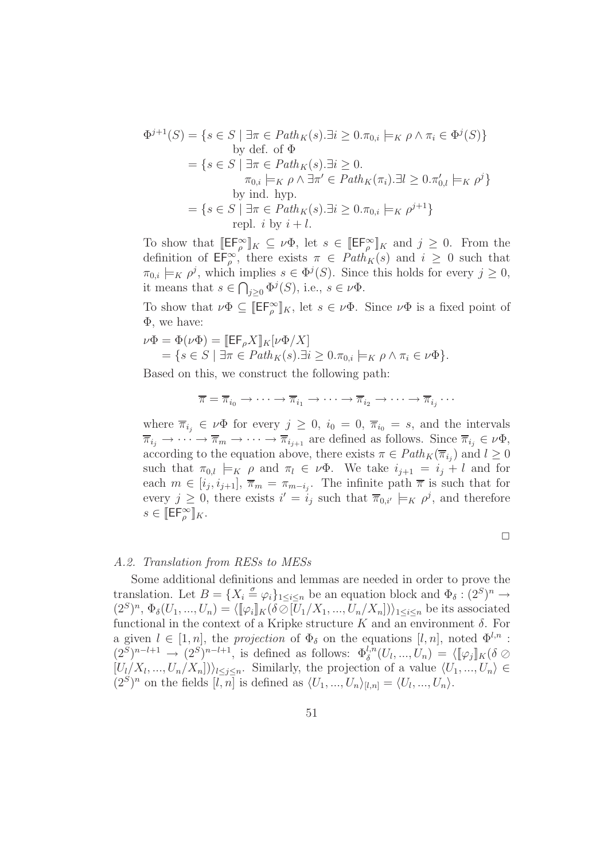$$
\Phi^{j+1}(S) = \{ s \in S \mid \exists \pi \in Path_K(s). \exists i \ge 0. \pi_{0,i} \models_K \rho \land \pi_i \in \Phi^j(S) \}
$$
  
by def. of  $\Phi$   

$$
= \{ s \in S \mid \exists \pi \in Path_K(s). \exists i \ge 0.
$$
  

$$
\pi_{0,i} \models_K \rho \land \exists \pi' \in Path_K(\pi_i). \exists l \ge 0. \pi'_{0,l} \models_K \rho^j \}
$$
  
by ind. hyp.  

$$
= \{ s \in S \mid \exists \pi \in Path_K(s). \exists i \ge 0. \pi_{0,i} \models_K \rho^{j+1} \}
$$
  
repl.  $i$  by  $i + l$ .

To show that  $[\![\mathsf{EF}_{\rho}^{\infty}]\!]_K \subseteq \nu\Phi$ , let  $s \in [\![\mathsf{EF}_{\rho}^{\infty}]\!]_K$  and  $j \geq 0$ . From the definition of  $\mathsf{EF}_{\rho}^{\infty}$ , there exists  $\pi \in \mathit{Path}_{K}(s)$  and  $i \geq 0$  such that  $\pi_{0,i} \models_K \rho^j$ , which implies  $s \in \Phi^j(S)$ . Since this holds for every  $j \geq 0$ , it means that  $s \in \bigcap_{j\geq 0} \Phi^j(S)$ , i.e.,  $s \in \nu \Phi$ .

To show that  $\nu\Phi \subseteq [\![E\mathsf{F}_\rho^\infty]\!]_K$ , let  $s \in \nu\Phi$ . Since  $\nu\Phi$  is a fixed point of Φ, we have:

$$
\nu\Phi = \Phi(\nu\Phi) = [\mathsf{EF}_{\rho}X]_K[\nu\Phi/X] \n= \{ s \in S \mid \exists \pi \in Path_K(s).\exists i \geq 0.\pi_{0,i} \models_K \rho \land \pi_i \in \nu\Phi \}.
$$

Based on this, we construct the following path:

$$
\overline{\pi} = \overline{\pi}_{i_0} \to \cdots \to \overline{\pi}_{i_1} \to \cdots \to \overline{\pi}_{i_2} \to \cdots \to \overline{\pi}_{i_j} \cdots
$$

where  $\overline{\pi}_{i_j} \in \nu \Phi$  for every  $j \geq 0$ ,  $i_0 = 0$ ,  $\overline{\pi}_{i_0} = s$ , and the intervals  $\overline{\pi}_{i_j} \to \cdots \to \overline{\pi}_m \to \cdots \to \overline{\pi}_{i_{j+1}}$  are defined as follows. Since  $\overline{\pi}_{i_j} \in \nu \Phi$ , according to the equation above, there exists  $\pi \in Path_K(\overline{\pi}_{i_j})$  and  $l \geq 0$ such that  $\pi_{0,l} \models_K \rho$  and  $\pi_l \in \nu\Phi$ . We take  $i_{j+1} = i_j + l$  and for each  $m \in [i_j, i_{j+1}], \overline{\pi}_m = \pi_{m-i_j}$ . The infinite path  $\overline{\pi}$  is such that for every  $j \geq 0$ , there exists  $i' = i_j$  such that  $\overline{\pi}_{0,i'} \models_K \rho^j$ , and therefore  $s \in \llbracket \mathsf{EF}_{\rho}^{\infty} \rrbracket_K.$ 

$$
\Box
$$

#### A.2. Translation from RESs to MESs

Some additional definitions and lemmas are needed in order to prove the translation. Let  $B = \{X_i \stackrel{\sigma}{=} \varphi_i\}_{1 \leq i \leq n}$  be an equation block and  $\Phi_{\delta} : (2^S)^n \to$  $(2^S)^n$ ,  $\Phi_{\delta}(U_1, ..., U_n) = \langle [\![\varphi_i]\!]_K(\delta \otimes [U_1/X_1, ..., U_n/X_n]) \rangle_{1 \leq i \leq n}$  be its associated functional in the context of a Kripke structure K and an environment  $\delta$ . For a given  $l \in [1, n]$ , the projection of  $\Phi_{\delta}$  on the equations  $[l, n]$ , noted  $\Phi^{l, n}$ :  $(2^S)^{n-l+1} \to (2^S)^{n-l+1}$ , is defined as follows:  $\Phi_{\delta}^{l,n}(U_l,...,U_n) = \langle [\![\varphi_j]\!]_K (\delta \oslash$  $[U_l/X_l,...,U_n/X_n])\rangle_{l\leq j\leq n}$ . Similarly, the projection of a value  $\langle U_1,...,U_n\rangle \in$  $(2<sup>S</sup>)<sup>n</sup>$  on the fields  $[l, n]$  is defined as  $\langle U_1, ..., U_n \rangle_{[l,n]} = \langle U_l, ..., U_n \rangle$ .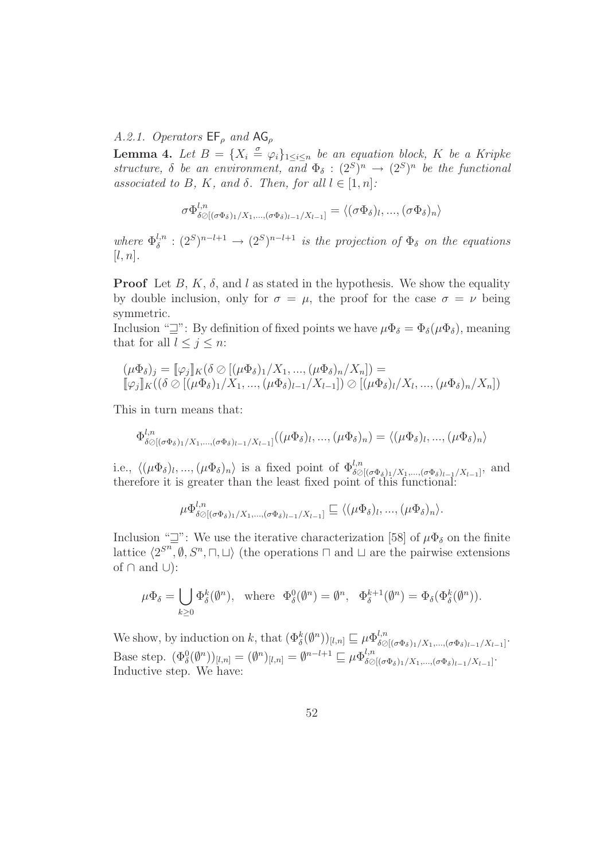A.2.1. Operators  $\mathsf{EF}_{\rho}$  and  $\mathsf{AG}_{\rho}$ 

**Lemma 4.** Let  $B = \{X_i \stackrel{\sigma}{=} \varphi_i\}_{1 \leq i \leq n}$  be an equation block, K be a Kripke structure,  $\delta$  be an environment, and  $\Phi_{\delta} : (2^S)^n \to (2^S)^n$  be the functional associated to B, K, and  $\delta$ . Then, for all  $l \in [1, n]$ :

$$
\sigma \Phi_{\delta \oslash [(\sigma \Phi_{\delta})_1 / X_1, \ldots, (\sigma \Phi_{\delta})_{l-1} / X_{l-1}]}^{l,n} = \langle (\sigma \Phi_{\delta})_l, \ldots, (\sigma \Phi_{\delta})_n \rangle
$$

where  $\Phi_{\delta}^{l,n}$  $\delta^{l,n} : (2^S)^{n-l+1} \to (2^S)^{n-l+1}$  is the projection of  $\Phi_{\delta}$  on the equations  $[l, n]$ .

**Proof** Let B, K,  $\delta$ , and l as stated in the hypothesis. We show the equality by double inclusion, only for  $\sigma = \mu$ , the proof for the case  $\sigma = \nu$  being symmetric.

Inclusion " $\exists$ ": By definition of fixed points we have  $\mu \Phi_{\delta} = \Phi_{\delta}(\mu \Phi_{\delta})$ , meaning that for all  $l \leq j \leq n$ :

$$
(\mu \Phi_{\delta})_j = [\![\varphi_j]\!]_K (\delta \oslash [(\mu \Phi_{\delta})_1 / X_1, ..., (\mu \Phi_{\delta})_n / X_n]) =
$$
  

$$
[\![\varphi_j]\!]_K ((\delta \oslash [(\mu \Phi_{\delta})_1 / X_1, ..., (\mu \Phi_{\delta})_{l-1} / X_{l-1}]) \oslash [(\mu \Phi_{\delta})_l / X_l, ..., (\mu \Phi_{\delta})_n / X_n])
$$

This in turn means that:

$$
\Phi_{\delta\oslash[(\sigma\Phi_{\delta})_1/X_1,\ldots,(\sigma\Phi_{\delta})_{l-1}/X_{l-1}]}^{l,n}((\mu\Phi_{\delta})_l,\ldots,(\mu\Phi_{\delta})_n)=\langle (\mu\Phi_{\delta})_l,\ldots,(\mu\Phi_{\delta})_n\rangle
$$

i.e.,  $\langle (\mu \Phi_{\delta})_l, ..., (\mu \Phi_{\delta})_n \rangle$  is a fixed point of  $\Phi_{\delta \oslash [(\sigma \Phi_{\delta})_1/X_1, ..., (\sigma \Phi_{\delta})_{l-1}/X_{l-1}]}^{l,n}$ , and therefore it is greater than the least fixed point of this functional:

$$
\mu \Phi_{\delta \oslash [(\sigma \Phi_{\delta})_1 / X_1, \ldots, (\sigma \Phi_{\delta})_{l-1} / X_{l-1}]}^{\mathfrak{l},n} \sqsubseteq \langle (\mu \Phi_{\delta})_l, \ldots, (\mu \Phi_{\delta})_n \rangle.
$$

Inclusion " $\exists$ ": We use the iterative characterization [58] of  $\mu \Phi_{\delta}$  on the finite lattice  $\langle 2^{S^n}, \emptyset, S^n, \sqcap, \sqcup \rangle$  (the operations  $\sqcap$  and  $\sqcup$  are the pairwise extensions of  $\cap$  and  $\cup$ ):

$$
\mu\Phi_{\delta} = \bigcup_{k\geq 0} \Phi_{\delta}^k(\emptyset^n), \text{ where } \Phi_{\delta}^0(\emptyset^n) = \emptyset^n, \Phi_{\delta}^{k+1}(\emptyset^n) = \Phi_{\delta}(\Phi_{\delta}^k(\emptyset^n)).
$$

We show, by induction on k, that  $(\Phi_{\delta}^{k}(\varnothing^{n}))_{[l,n]} \sqsubseteq \mu \Phi_{\delta \oslash}^{l,n}$  $\delta \oslash [(\sigma \Phi_{\delta})_1/X_1, ..., (\sigma \Phi_{\delta})_{l-1}/X_{l-1}]$  . Base step.  $(\Phi_{\delta}^{0}(\emptyset^n))_{[l,n]} = (\emptyset^n)_{[l,n]} = \emptyset^{n-l+1} \sqsubseteq \mu \Phi_{\delta \oslash}^{l,n}$  $\delta \oslash [(\sigma\Phi_{\delta})_1/X_1,...,(\sigma\Phi_{\delta})_{l-1}/X_{l-1}]$   $\cdot$ Inductive step. We have: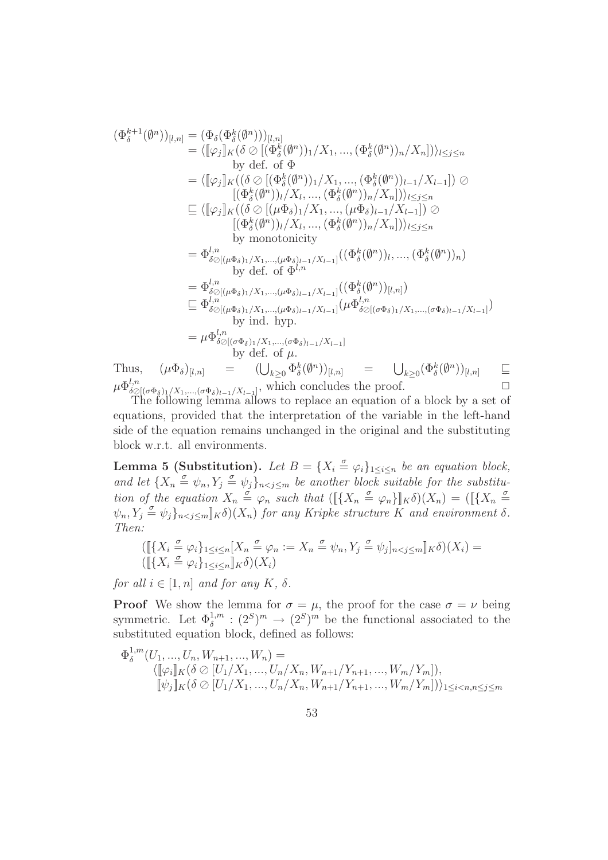$$
\begin{aligned}\n(\Phi_{\delta}^{k+1}(\emptyset^n))_{[l,n]} &= (\Phi_{\delta}(\Phi_{\delta}^{k}(\emptyset^n)))_{[l,n]} \\
&= \langle [\varphi_j]_K (\delta \oslash [(\Phi_{\delta}^{k}(\emptyset^n))_1 / X_1, ..., (\Phi_{\delta}^{k}(\emptyset^n))_n / X_n]) \rangle_{l \leq j \leq n} \\
&\text{by def. of } \Phi \\
&= \langle [\varphi_j]_K ((\delta \oslash [(\Phi_{\delta}^{k}(\emptyset^n))_1 / X_1, ..., (\Phi_{\delta}^{k}(\emptyset^n))_{l-1} / X_{l-1}]) \oslash \newline [\Phi_{\delta}^{k}(\emptyset^n)]_l / X_l, ..., (\Phi_{\delta}^{k}(\emptyset^n))_n / X_n] \rangle_{l \leq j \leq n} \\
&\text{and} \\
&\text{and} \\
&= \langle [\varphi_j]_K ((\delta \oslash [(\mu \Phi_{\delta})_1 / X_1, ..., (\mu \Phi_{\delta})_{l-1} / X_{l-1}]) \oslash \newline [\Phi_{\delta}^{k}(\emptyset^n)]_l / X_l, ..., (\Phi_{\delta}^{k}(\emptyset^n))_n / X_n] \rangle_{l \leq j \leq n} \\
&\text{by monotonicity} \\
&= \Phi_{\delta \oslash [(\mu \Phi_{\delta})_1 / X_1, ..., (\mu \Phi_{\delta})_{l-1} / X_{l-1}]} ((\Phi_{\delta}^{k}(\emptyset^n))_l, ..., (\Phi_{\delta}^{k}(\emptyset^n))_n) \\
&\text{by def. of } \Phi^{l,n} \\
&= \Phi_{\delta \oslash [(\mu \Phi_{\delta})_1 / X_1, ..., (\mu \Phi_{\delta})_{l-1} / X_{l-1}]} (\Phi_{\delta \oslash [(\sigma \Phi_{\delta})_1 / X_1, ..., (\sigma \Phi_{\delta})_{l-1} / X_{l-1}]} \\
&\text{by ind. hyp.} \\
&= \mu \Phi_{\delta \oslash [(\sigma \Phi_{\delta})_1 / X_1, ..., (\sigma \Phi_{\delta})_{l-1} / X_{l-1}]} \\
&\text{by def. of } \mu.\n\end{aligned}
$$
\nThus,\n
$$
\begin{aligned}\n(\mu \Phi_{\delta})_{[l,n]} &= (\bigcup_{k \geq 0} \Phi_{\delta}^{k}(\emptyset^n))_{[l,n]} \\
&= \mu \Phi_{\delta \oslash [\sigma \Phi_{
$$

 $\delta\mathcal{O}[(\sigma\Phi_{\delta})_1/X_1,\ldots,(\sigma\Phi_{\delta})_{l-1}/X_{l-1}],$  which concrudes the proof.<br>The following lemma allows to replace an equation of a block by a set of equations, provided that the interpretation of the variable in the left-hand side of the equation remains unchanged in the original and the substituting block w.r.t. all environments.

**Lemma 5 (Substitution).** Let  $B = \{X_i \stackrel{\sigma}{=} \varphi_i\}_{1 \leq i \leq n}$  be an equation block, and let  $\{X_n \stackrel{\sigma}{=} \psi_n, Y_j \stackrel{\sigma}{=} \psi_j\}_{n < j \leq m}$  be another block suitable for the substitution of the equation  $X_n \stackrel{\sigma}{=} \varphi_n$  such that  $([\{X_n \stackrel{\sigma}{=} \varphi_n\}]_K \delta)(X_n) = ([\{X_n \stackrel{\sigma}{=} \varphi_n\}]_K)$  $\psi_n, Y_j \triangleq \psi_j\}_{n \leq j \leq m}$   $\llbracket K \delta(x_n)$  for any Kripke structure K and environment  $\delta$ . Then:

$$
([\![{X_i \overset{\sigma}{=} \varphi_i}\!]_{1 \leq i \leq n} [X_n \overset{\sigma}{=} \varphi_n := X_n \overset{\sigma}{=} \psi_n, Y_j \overset{\sigma}{=} \psi_j]_{n < j \leq m} ]\!]_K \delta)(X_i) = ([\![{X_i \overset{\sigma}{=} \varphi_i}\!]_{1 \leq i \leq n} ]\!]_K \delta)(X_i)
$$

for all  $i \in [1, n]$  and for any  $K$ ,  $\delta$ .

**Proof** We show the lemma for  $\sigma = \mu$ , the proof for the case  $\sigma = \nu$  being symmetric. Let  $\Phi_{\delta}^{1,m} : (2^S)^m \to (2^S)^m$  be the functional associated to the substituted equation block, defined as follows:

$$
\Phi_{\delta}^{1,m}(U_1, ..., U_n, W_{n+1}, ..., W_n) =
$$
\n
$$
\langle [\![\varphi_i]\!]_K (\delta \otimes [U_1/X_1, ..., U_n/X_n, W_{n+1}/Y_{n+1}, ..., W_m/Y_m]),
$$
\n
$$
[\![\psi_j]\!]_K (\delta \otimes [U_1/X_1, ..., U_n/X_n, W_{n+1}/Y_{n+1}, ..., W_m/Y_m])\rangle_{1 \le i < n, n \le j \le m}
$$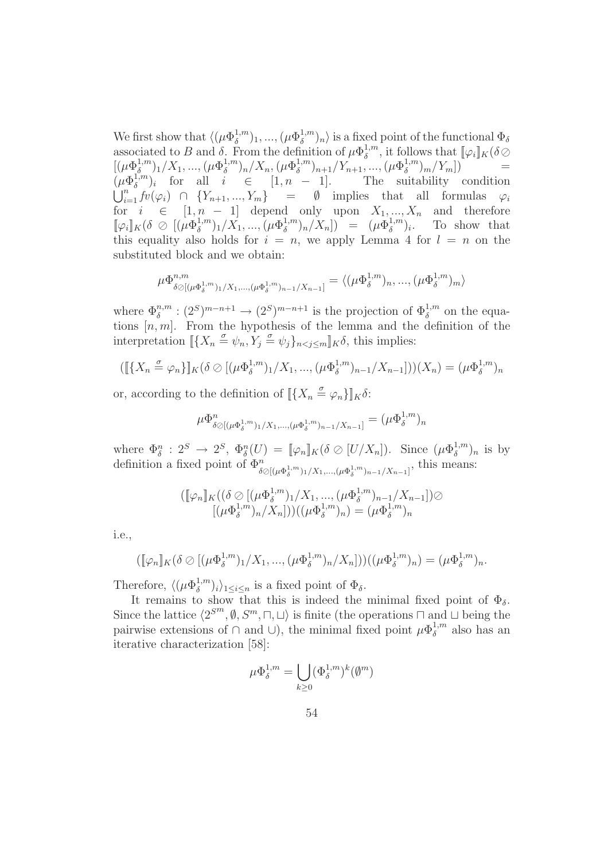We first show that  $\langle (\mu \Phi_{\delta}^{1,m})$  $\binom{1,m}{\delta}$ 1, ...,  $(\mu \Phi_{\delta}^{1,m})$  $\binom{1}{\delta}$  is a fixed point of the functional  $\Phi_{\delta}$ associated to B and  $\delta$ . From the definition of  $\mu \Phi_{\delta}^{1,m}$  $\delta^{1,m}$ , it follows that  $[\![\varphi_i]\!]_K(\delta \oslash$  $[(\mu\Phi_{\delta}^{1,m}% )^{1/2}](\theta)=\alpha\sum_{\delta}\Delta_{\delta}^{1/2}(\theta)$  $\binom{1,m}{\delta}$ <sub>1</sub>/X<sub>1</sub>, ..., ( $\mu \Phi_{\delta}^{1,m}$  $\binom{1,m}{\delta}$ n/X<sub>n</sub>, ( $\mu \Phi_{\delta}^{1,m}$  $\binom{1,m}{\delta}$ <sub>n+1</sub>/Y<sub>n+1</sub>, ..., ( $\mu \Phi_{\delta}^{1,m}$  $\binom{1,m}{\delta}m/Y_m$ ) =  $(\mu \Phi_\delta^{1,m}$  $\delta^{1,m}_{\delta}$  for all  $i \in [1, n - 1]$ . The suitability condition  $\bigcup_{i=1}^n f(v(\varphi_i) \cap \{Y_{n+1},...,Y_m\})$  = Ø implies that all formulas  $\varphi_i$ for  $i \in [1, n - 1]$  depend only upon  $X_1, ..., X_n$  and therefore  $[\![\varphi_i]\!]_K(\delta\otimes[(\mu\Phi_{\delta}^{1,m}% )\!]_K)$  $(\mu \Phi_{\delta}^{1,m})_1/X_1, ..., (\mu \Phi_{\delta}^{1,m})_1$  $(\mu \Phi_{\delta}^{1,m})_n / X_n]$ ) =  $(\mu \Phi_{\delta}^{1,m})$  $\delta^{1,m}_{\delta}$ )<sub>i</sub>. To show that this equality also holds for  $i = n$ , we apply Lemma 4 for  $l = n$  on the substituted block and we obtain:

$$
\mu \Phi_{\delta \oslash [(\mu \Phi_{\delta}^{1,m})_1 / X_1, \dots, (\mu \Phi_{\delta}^{1,m})_{n-1} / X_{n-1}]}^{m} = \langle (\mu \Phi_{\delta}^{1,m})_n, \dots, (\mu \Phi_{\delta}^{1,m})_m \rangle
$$

where  $\Phi_{\delta}^{n,m}$ :  $(2^S)^{m-n+1} \to (2^S)^{m-n+1}$  is the projection of  $\Phi_{\delta}^{1,m}$  on the equations  $[n, m]$ . From the hypothesis of the lemma and the definition of the interpretation  $\llbracket \{X_n \stackrel{\sigma}{=} \psi_n, Y_j \stackrel{\sigma}{=} \psi_j \}_{n < j \le m} \rrbracket_K \delta$ , this implies:

$$
([\![\{X_n \stackrel{\sigma}{=} \varphi_n\}]\!]_K(\delta \oslash [(\mu \Phi_{\delta}^{1,m})_1 / X_1, ..., (\mu \Phi_{\delta}^{1,m})_{n-1} / X_{n-1}]))(X_n) = (\mu \Phi_{\delta}^{1,m})_n
$$

or, according to the definition of  $\llbracket \{X_n \stackrel{\sigma}{=} \varphi_n\} \rrbracket_K \delta$ :

$$
\mu \Phi_{\delta \oslash [(\mu \Phi_{\delta}^{1,m})_1 / X_1, \dots, (\mu \Phi_{\delta}^{1,m})_{n-1} / X_{n-1}]}^{n} = (\mu \Phi_{\delta}^{1,m})_n
$$

where  $\Phi_{\delta}^{n} : 2^{S} \to 2^{S}$ ,  $\Phi_{\delta}^{n}(U) = [\![\varphi_{n}]\!]_{K} (\delta \oslash [U/X_{n}])$ . Since  $(\mu \Phi_{\delta}^{1,m})$  $\binom{1,m}{\delta}$ <sub>n</sub> is by definition a fixed point of  $\Phi_{\delta\varnothing[(\mu\Phi_{\delta}^{1,m})_1/X_1,\ldots,(\mu\Phi_{\delta}^{1,m})_{n-1}/X_{n-1}]}^{\mathfrak{m}}$ , this means:

$$
([\![\varphi_n]\!]_K((\delta \oslash [(\mu \Phi_{\delta}^{1,m})_1 / X_1, ..., (\mu \Phi_{\delta}^{1,m})_{n-1} / X_{n-1}]) \oslash [(\mu \Phi_{\delta}^{1,m})_n / X_n]))((\mu \Phi_{\delta}^{1,m})_n) = (\mu \Phi_{\delta}^{1,m})_n
$$

i.e.,

$$
([\![\varphi_n]\!]_K(\delta \oslash [(\mu \Phi_{\delta}^{1,m})_1 / X_1, ..., (\mu \Phi_{\delta}^{1,m})_n / X_n]))((\mu \Phi_{\delta}^{1,m})_n) = (\mu \Phi_{\delta}^{1,m})_n.
$$

Therefore,  $\langle (\mu \Phi_\delta^{1,m})$  $\binom{1,m}{\delta}$ <sub>i</sub>)<sub>1≤i≤n</sub> is a fixed point of  $\Phi_{\delta}$ .

It remains to show that this is indeed the minimal fixed point of  $\Phi_{\delta}$ . Since the lattice  $\langle 2^{S^m}, \emptyset, S^m, \sqcap, \sqcup \rangle$  is finite (the operations  $\sqcap$  and  $\sqcup$  being the pairwise extensions of  $\cap$  and  $\cup$ ), the minimal fixed point  $\mu \Phi_{\delta}^{1,m}$  $\delta^{1,m}$  also has an iterative characterization [58]:

$$
\mu\Phi_\delta^{1,m}=\bigcup_{k\geq 0}(\Phi_\delta^{1,m})^k(\emptyset^m)
$$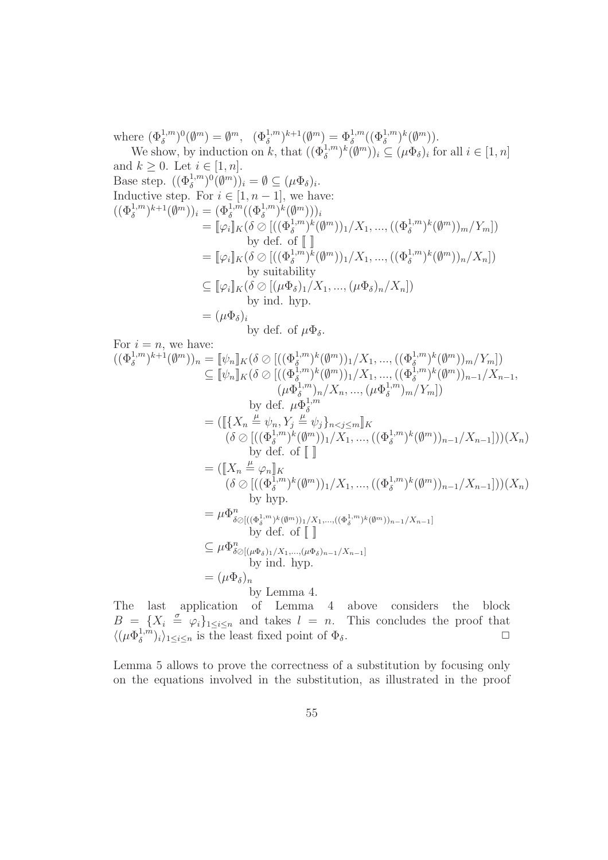where  $(\Phi_{\delta}^{1,m})^0(\emptyset^m) = \emptyset^m$ ,  $(\Phi_{\delta}^{1,m})^{k+1}(\emptyset^m) = \Phi_{\delta}^{1,m}((\Phi_{\delta}^{1,m})^k(\emptyset^m))$ .

We show, by induction on k, that  $((\Phi_{\delta}^{1,m})^k(\emptyset^m))_i \subseteq (\mu \Phi_{\delta})_i$  for all  $i \in [1, n]$ and  $k \geq 0$ . Let  $i \in [1, n]$ . Base step.  $((\Phi_{\delta}^{1,m})^0(\emptyset^m))_i = \emptyset \subseteq (\mu\Phi_{\delta})_i$ . Inductive step. For  $i \in [1, n-1]$ , we have:  $((\Phi_{\delta}^{1,m})^{k+1}(\emptyset^m))_i = (\Phi_{\delta}^{1,m}((\Phi_{\delta}^{1,m})^k(\emptyset^m)))_i$  $= [\![\varphi_i]\!]_K (\delta \oslash [((\Phi_{\delta}^{1,m})^k(\emptyset^m))_1/X_1, ..., ((\Phi_{\delta}^{1,m})^k(\emptyset^m))_m/Y_m])$ by def. of  $\llbracket \ \rrbracket$ =  $[\![\varphi_i]\!]_K(\delta \oslash [((\Phi_{\delta}^{1,m})^k(\emptyset^m))_1/X_1, ..., ((\Phi_{\delta}^{1,m})^k(\emptyset^m))_n/X_n])$ by suitability  $\subseteq [\![\varphi_i]\!]_K(\delta \oslash [(\mu\Phi_{\delta})_1/X_1, ..., (\mu\Phi_{\delta})_n/X_n])$ by ind. hyp.  $= (\mu \Phi_{\delta})_i$ by def. of  $\mu \Phi_{\delta}$ . For  $i = n$ , we have:  $((\Phi_{\delta}^{1,m})^{k+1}(\emptyset^m))_n = [\![\psi_n]\!]_K (\delta \oslash [((\Phi_{\delta}^{1,m})^k(\emptyset^m))_1/X_1, ..., ((\Phi_{\delta}^{1,m})^k(\emptyset^m))_m/Y_m])$  $\subseteq [\![\psi_n]\!]_K (\delta \oslash [((\Phi_{\delta}^{1,m})^k(\emptyset^m))_1/X_1, ..., ((\Phi_{\delta}^{1,m})^k(\emptyset^m))_{n-1}/X_{n-1},$  $(\mu \Phi_{\delta}^{1,m}$  $(\mu \Phi_{\delta}^{1,m})_n / X_n, ..., (\mu \Phi_{\delta}^{1,m})$  $\binom{1,m}{\delta}m/Y_m$ ]) by def.  $\mu \Phi_{\delta}^{1,m}$ δ  $=([\![\{X_{n}\overset{\mu}{=}\psi_{n},Y_{j}\overset{\mu}{=}\psi_{j}\}_{n< j\leq m}]\!]_{K}$  $(\delta \oslash [((\Phi_{\delta}^{1,m})^k(\emptyset^m))_1/X_1, ..., ((\Phi_{\delta}^{1,m})^k(\emptyset^m))_{n-1}/X_{n-1}]))(X_n)$ by def. of  $\llbracket \ \ \rrbracket$  $=([\![X_n\stackrel{\mu}{=} \varphi_n]\!]_K$  $(\delta \oslash [((\Phi_{\delta}^{1,m})^k(\emptyset^m))_1/X_1, ..., ((\Phi_{\delta}^{1,m})^k(\emptyset^m))_{n-1}/X_{n-1}]))(X_n)$ by hyp.  $= \mu \Phi_{\delta \oslash [((\Phi_{\delta}^{1,m})^k(\emptyset^m))_1/X_1,\ldots, ((\Phi_{\delta}^{1,m})^k(\emptyset^m))_{n-1}/X_{n-1}]}$ by def. of [[ ]]  $\subseteq \mu \Phi_{\delta \oslash [(\mu \Phi_{\delta})_1 / X_1, ..., (\mu \Phi_{\delta})_{n-1} / X_{n-1}]}^n$ by ind. hyp.  $= (\mu \Phi_{\delta})_n$ by Lemma 4.

The last application of Lemma 4 above considers the block  $B = \{X_i \stackrel{\sigma}{=} \varphi_i\}_{1 \leq i \leq n}$  and takes  $l = n$ . This concludes the proof that  $\langle (\mu \Phi_\delta^{1,m}$  $\{\overline{\delta}^{1,m}\}_i\}_{1\leq i\leq n}$  is the least fixed point of  $\Phi_{\delta}$ .

Lemma 5 allows to prove the correctness of a substitution by focusing only on the equations involved in the substitution, as illustrated in the proof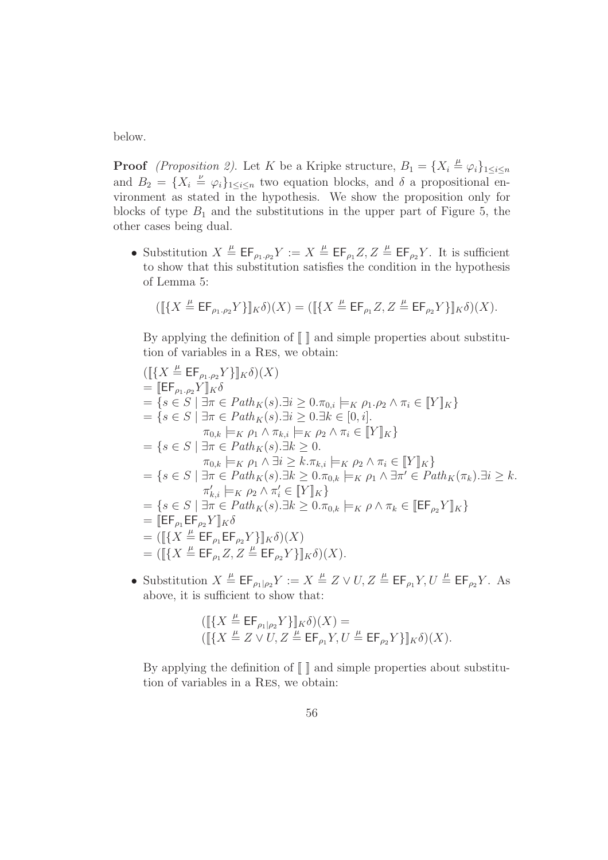below.

**Proof** (Proposition 2). Let K be a Kripke structure,  $B_1 = \{X_i \stackrel{\mu}{=} \varphi_i\}_{1 \leq i \leq n}$ and  $B_2 = \{X_i \stackrel{\nu}{=} \varphi_i\}_{1 \leq i \leq n}$  two equation blocks, and  $\delta$  a propositional environment as stated in the hypothesis. We show the proposition only for blocks of type  $B_1$  and the substitutions in the upper part of Figure 5, the other cases being dual.

• Substitution  $X \stackrel{\mu}{=} \mathsf{EF}_{\rho_1,\rho_2} Y := X \stackrel{\mu}{=} \mathsf{EF}_{\rho_1} Z, Z \stackrel{\mu}{=} \mathsf{EF}_{\rho_2} Y$ . It is sufficient to show that this substitution satisfies the condition in the hypothesis of Lemma 5:

$$
([\![\{X\stackrel{\mu}{=}\mathsf{EF}_{\rho_1,\rho_2}Y\}]\!]_K\delta)(X) =([\![\{X\stackrel{\mu}{=}\mathsf{EF}_{\rho_1}Z,Z\stackrel{\mu}{=}\mathsf{EF}_{\rho_2}Y\}]\!]_K\delta)(X).
$$

By applying the definition of  $\llbracket \cdot \rrbracket$  and simple properties about substitution of variables in a Res, we obtain:

$$
([\{X \stackrel{\mu}{=} \mathsf{EF}_{\rho_1,\rho_2} Y\}]_K \delta)(X)
$$
  
\n
$$
= [\mathsf{EF}_{\rho_1,\rho_2} Y]_K \delta
$$
  
\n
$$
= \{s \in S \mid \exists \pi \in Path_K(s). \exists i \ge 0. \pi_{0,i} \models_K \rho_1.\rho_2 \land \pi_i \in [Y]_K\}
$$
  
\n
$$
= \{s \in S \mid \exists \pi \in Path_K(s). \exists i \ge 0. \exists k \in [0, i].
$$
  
\n
$$
\pi_{0,k} \models_K \rho_1 \land \pi_{k,i} \models_K \rho_2 \land \pi_i \in [Y]_K\}
$$
  
\n
$$
= \{s \in S \mid \exists \pi \in Path_K(s). \exists k \ge 0.
$$
  
\n
$$
\pi_{0,k} \models_K \rho_1 \land \exists i \ge k.\pi_{k,i} \models_K \rho_2 \land \pi_i \in [Y]_K\}
$$
  
\n
$$
= \{s \in S \mid \exists \pi \in Path_K(s). \exists k \ge 0.\pi_{0,k} \models_K \rho_1 \land \exists \pi' \in Path_K(\pi_k). \exists i \ge k.
$$
  
\n
$$
\pi'_{k,i} \models_K \rho_2 \land \pi'_i \in [Y]_K\}
$$
  
\n
$$
= \{s \in S \mid \exists \pi \in Path_K(s). \exists k \ge 0.\pi_{0,k} \models_K \rho \land \pi_k \in [EF_{\rho_2} Y]_K\}
$$
  
\n
$$
= [[\{X \stackrel{\mu}{=} EF_{\rho_1} EF_{\rho_2} Y\}]_K \delta)(X)
$$
  
\n
$$
= ([[\{X \stackrel{\mu}{=} EF_{\rho_1} Z, Z \stackrel{\mu}{=} EF_{\rho_2} Y\}]_K \delta)(X).
$$

• Substitution  $X \stackrel{\mu}{=} \mathsf{EF}_{\rho_1|\rho_2} Y := X \stackrel{\mu}{=} Z \vee U, Z \stackrel{\mu}{=} \mathsf{EF}_{\rho_1} Y, U \stackrel{\mu}{=} \mathsf{EF}_{\rho_2} Y$ . As above, it is sufficient to show that:

$$
([\{\mathcal{X} \stackrel{\mu}{=} \mathsf{EF}_{\rho_1|\rho_2}Y\}\]_K\delta)(X) =
$$
  

$$
([\{\mathcal{X} \stackrel{\mu}{=} Z \vee U, Z \stackrel{\mu}{=} \mathsf{EF}_{\rho_1}Y, U \stackrel{\mu}{=} \mathsf{EF}_{\rho_2}Y\}\]_K\delta)(X).
$$

By applying the definition of  $\llbracket \ \rrbracket$  and simple properties about substitution of variables in a Res, we obtain: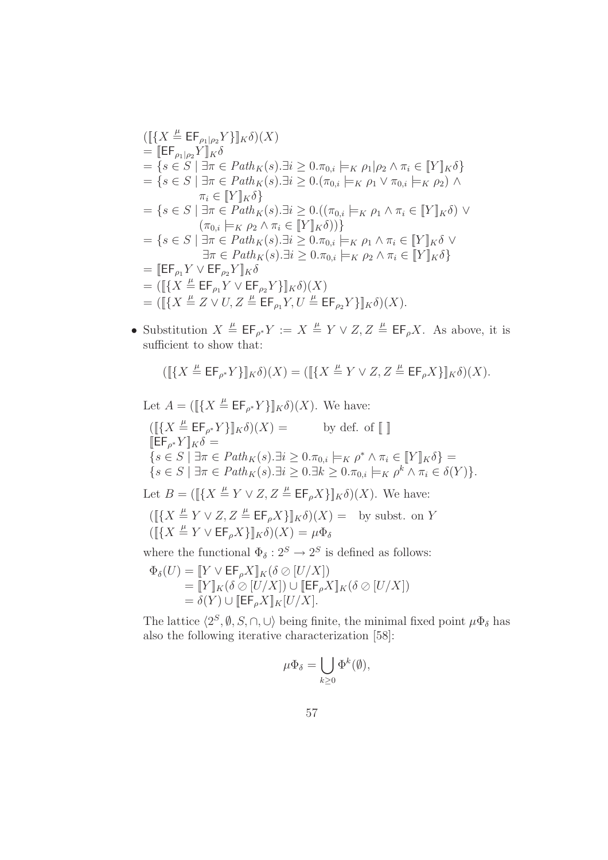$$
([\lbrace X \stackrel{\mu}{=} \mathsf{EF}_{\rho_1|\rho_2} Y \rbrace]_K \delta)(X)
$$
  
\n
$$
= [\mathsf{EF}_{\rho_1|\rho_2} Y]_K \delta
$$
  
\n
$$
= \lbrace s \in S \mid \exists \pi \in Path_K(s). \exists i \ge 0. \pi_{0,i} \models_K \rho_1|\rho_2 \land \pi_i \in [\![Y]\!]_K \delta \rbrace
$$
  
\n
$$
= \lbrace s \in S \mid \exists \pi \in Path_K(s). \exists i \ge 0. (\pi_{0,i} \models_K \rho_1 \lor \pi_{0,i} \models_K \rho_2) \land
$$
  
\n
$$
\pi_i \in [\![Y]\!]_K \delta \rbrace
$$
  
\n
$$
= \lbrace s \in S \mid \exists \pi \in Path_K(s). \exists i \ge 0. ((\pi_{0,i} \models_K \rho_1 \land \pi_i \in [\![Y]\!]_K \delta) \lor
$$
  
\n
$$
(\pi_{0,i} \models_K \rho_2 \land \pi_i \in [\![Y]\!]_K \delta)) \rbrace
$$
  
\n
$$
= \lbrace s \in S \mid \exists \pi \in Path_K(s). \exists i \ge 0. \pi_{0,i} \models_K \rho_1 \land \pi_i \in [\![Y]\!]_K \delta \lor
$$
  
\n
$$
\exists \pi \in Path_K(s). \exists i \ge 0. \pi_{0,i} \models_K \rho_2 \land \pi_i \in [\![Y]\!]_K \delta \rbrace
$$
  
\n
$$
= [\![\![E\mathsf{F}_{\rho_1} Y \lor \mathsf{EF}_{\rho_2} Y]\!]_K \delta
$$
  
\n
$$
= (\![\lbrace X \stackrel{\mu}{=} \mathsf{EF}_{\rho_1} Y \lor \mathsf{EF}_{\rho_2} Y \rbrace]\!]_K \delta)(X)
$$
  
\n
$$
= (\![\lbrace X \stackrel{\mu}{=} Z \lor U, Z \stackrel{\mu}{=} \mathsf{EF}_{\rho_1} Y, U \stackrel{\mu}{=} \mathsf{EF}_{\rho_2} Y \rbrace]\!]_K \delta)(X).
$$

• Substitution  $X \stackrel{\mu}{=} \mathsf{EF}_{\rho^*} Y := X \stackrel{\mu}{=} Y \vee Z, Z \stackrel{\mu}{=} \mathsf{EF}_{\rho} X$ . As above, it is sufficient to show that:

$$
([\![\{X\stackrel{\mu}{=}\mathsf{EF}_{\rho^*}Y\}]\!]_K\delta)(X)=([\![\{X\stackrel{\mu}{=}\overline{Y}\vee Z,Z\stackrel{\mu}{=}\mathsf{EF}_{\rho}X\}]\!]_K\delta)(X).
$$

Let  $A = (\llbracket \{ X \stackrel{\mu}{=} \mathsf{EF}_{\rho^*} Y \} \rrbracket_K \delta)(X)$ . We have:  $(\llbracket \{ X \stackrel{\mu}{=} \mathsf{EF}_{\rho}$ by def. of  $[\![\ ]\!]$  $[\mathsf{EF}_{\rho^*} Y]_K \delta =$  $\{s \in S \mid \exists \pi \in Path_K(s). \exists i \geq 0.\pi_{0,i} \models_K \rho^* \land \pi_i \in [\![Y]\!]_K \delta\} =$  $\{s \in S \mid \exists \pi \in Path_K(s). \exists i \geq 0. \exists k \geq 0. \pi_{0,i} \models_K \rho^k \land \pi_i \in \delta(Y)\}.$ Let  $B = (\llbracket \{ X \stackrel{\mu}{=} Y \vee Z, Z \stackrel{\mu}{=} \mathsf{EF}_{\rho} X \} \rrbracket_K \delta)(X)$ . We have:  $([\{X \stackrel{\mu}{=} Y \lor Z, Z \stackrel{\mu}{=} \mathsf{EF}_{\rho}X\}]_{K}\delta)(X) = \text{ by subst. on } Y$  $([\{X \stackrel{\mu}{=} Y \vee \mathsf{EF}_{\rho} X\}]_{K} \delta)(X) = \mu \Phi_{\delta}$ 

where the functional  $\Phi_{\delta}: 2^S \to 2^S$  is defined as follows:

$$
\begin{array}{l}\Phi_\delta(U) = \llbracket Y \vee \mathsf{EF}_\rho X \rrbracket_K (\delta \oslash [U/X]) \\ = \llbracket Y \rrbracket_K (\delta \oslash [U/X]) \cup \llbracket \mathsf{EF}_\rho X \rrbracket_K (\delta \oslash [U/X]) \\ = \delta(Y) \cup \llbracket \mathsf{EF}_\rho X \rrbracket_K [U/X].\end{array}
$$

The lattice  $\langle 2^S, \emptyset, S, \cap, \cup \rangle$  being finite, the minimal fixed point  $\mu \Phi_{\delta}$  has also the following iterative characterization [58]:

$$
\mu\Phi_{\delta}=\bigcup_{k\geq 0}\Phi^k(\emptyset),
$$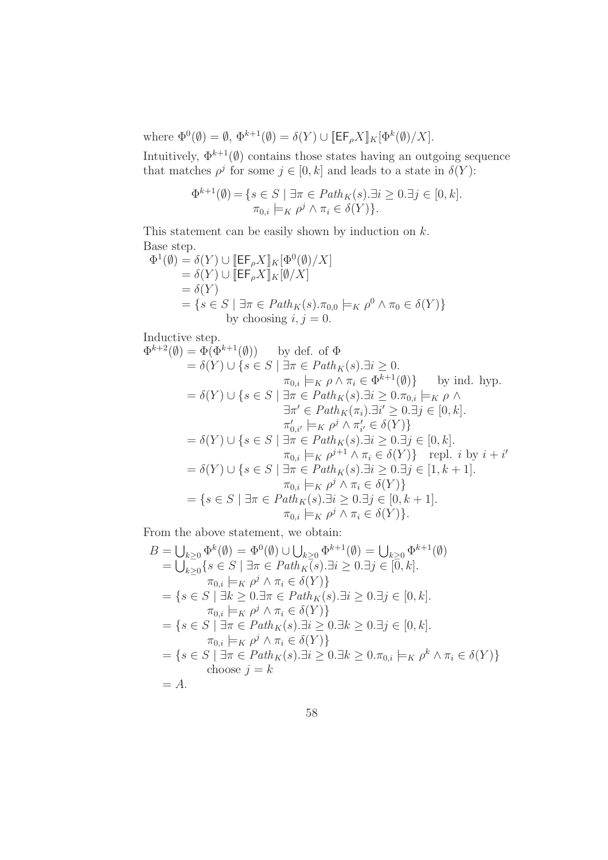where  $\Phi^0(\emptyset) = \emptyset$ ,  $\Phi^{k+1}(\emptyset) = \delta(Y) \cup [\mathsf{EF}_{\rho} X]_K[\Phi^k(\emptyset)/X].$ 

Intuitively,  $\Phi^{k+1}(\emptyset)$  contains those states having an outgoing sequence that matches  $\rho^j$  for some  $j \in [0, k]$  and leads to a state in  $\delta(Y)$ :

$$
\Phi^{k+1}(\emptyset) = \{ s \in S \mid \exists \pi \in Path_K(s). \exists i \ge 0. \exists j \in [0, k].
$$
  

$$
\pi_{0,i} \models_K \rho^j \land \pi_i \in \delta(Y) \}.
$$

This statement can be easily shown by induction on  $k$ . Base step.

$$
\Phi^1(\emptyset) = \delta(Y) \cup [\mathsf{EF}_{\rho} X]_K[\Phi^0(\emptyset)/X]
$$
  
=  $\delta(Y)$   $\cup [\mathsf{EF}_{\rho} X]_K[\emptyset/X]$   
=  $\delta(Y)$   
=  $\{s \in S \mid \exists \pi \in Path_K(s) . \pi_{0,0} \models_K \rho^0 \land \pi_0 \in \delta(Y)\}$   
by choosing  $i, j = 0$ .

Inductive step.

$$
\Phi^{k+2}(\emptyset) = \Phi(\Phi^{k+1}(\emptyset)) \text{ by def. of } \Phi
$$
  
\n
$$
= \delta(Y) \cup \{s \in S \mid \exists \pi \in Path_K(s). \exists i \ge 0.
$$
  
\n
$$
\pi_{0,i} \models_K \rho \land \pi_i \in \Phi^{k+1}(\emptyset) \} \text{ by ind. hyp.}
$$
  
\n
$$
= \delta(Y) \cup \{s \in S \mid \exists \pi \in Path_K(s). \exists i \ge 0. \pi_{0,i} \models_K \rho \land \exists \pi' \in Path_K(\pi_i). \exists i' \ge 0. \exists j \in [0, k].
$$
  
\n
$$
\pi'_{0,i'} \models_K \rho^j \land \pi'_{i'} \in \delta(Y) \}
$$
  
\n
$$
= \delta(Y) \cup \{s \in S \mid \exists \pi \in Path_K(s). \exists i \ge 0. \exists j \in [0, k].
$$
  
\n
$$
\pi_{0,i} \models_K \rho^{j+1} \land \pi_i \in \delta(Y) \} \text{ repl. } i \text{ by } i + i'
$$
  
\n
$$
= \delta(Y) \cup \{s \in S \mid \exists \pi \in Path_K(s). \exists i \ge 0. \exists j \in [1, k+1].
$$
  
\n
$$
\pi_{0,i} \models_K \rho^j \land \pi_i \in \delta(Y) \}
$$
  
\n
$$
= \{s \in S \mid \exists \pi \in Path_K(s). \exists i \ge 0. \exists j \in [0, k+1].
$$
  
\n
$$
\pi_{0,i} \models_K \rho^j \land \pi_i \in \delta(Y) \}.
$$

From the above statement, we obtain:

$$
B = \bigcup_{k \geq 0} \Phi^k(\emptyset) = \Phi^0(\emptyset) \cup \bigcup_{k \geq 0} \Phi^{k+1}(\emptyset) = \bigcup_{k \geq 0} \Phi^{k+1}(\emptyset)
$$
  
\n
$$
= \bigcup_{k \geq 0} \{ s \in S \mid \exists \pi \in Path_K(s). \exists i \geq 0. \exists j \in [0, k].
$$
  
\n
$$
\pi_{0,i} \models_K \rho^j \land \pi_i \in \delta(Y) \}
$$
  
\n
$$
= \{ s \in S \mid \exists k \geq 0. \exists \pi \in Path_K(s). \exists i \geq 0. \exists j \in [0, k].
$$
  
\n
$$
\pi_{0,i} \models_K \rho^j \land \pi_i \in \delta(Y) \}
$$
  
\n
$$
= \{ s \in S \mid \exists \pi \in Path_K(s). \exists i \geq 0. \exists k \geq 0. \exists j \in [0, k].
$$
  
\n
$$
\pi_{0,i} \models_K \rho^j \land \pi_i \in \delta(Y) \}
$$
  
\n
$$
= \{ s \in S \mid \exists \pi \in Path_K(s). \exists i \geq 0. \exists k \geq 0. \pi_{0,i} \models_K \rho^k \land \pi_i \in \delta(Y) \}
$$
  
\n
$$
= \{ s \in S \mid \exists \pi \in Path_K(s). \exists i \geq 0. \exists k \geq 0. \pi_{0,i} \models_K \rho^k \land \pi_i \in \delta(Y) \}
$$
  
\n
$$
= A.
$$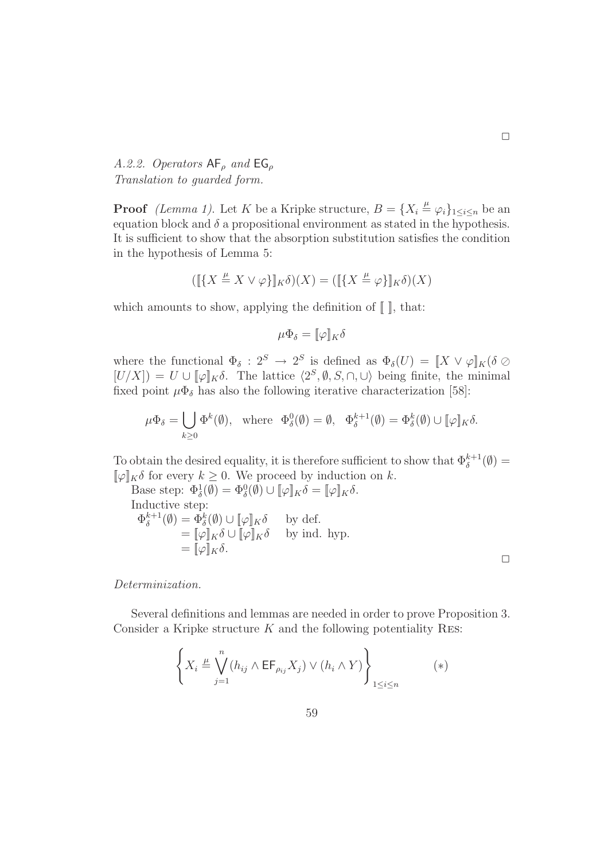A.2.2. Operators  $AF_\rho$  and  $EG_\rho$ Translation to guarded form.

**Proof** *(Lemma 1)*. Let K be a Kripke structure,  $B = \{X_i \stackrel{\mu}{=} \varphi_i\}_{1 \leq i \leq n}$  be an equation block and  $\delta$  a propositional environment as stated in the hypothesis. It is sufficient to show that the absorption substitution satisfies the condition in the hypothesis of Lemma 5:

$$
([\![{X \stackrel{\mu}{=} X \vee \varphi\}]\!]_K \delta)(X) = ([[\![{X \stackrel{\mu}{=} \varphi\}]\!]_K \delta)(X)
$$

which amounts to show, applying the definition of  $\llbracket \cdot \rrbracket$ , that:

$$
\mu \Phi_{\delta} = [\![\varphi]\!]_K \delta
$$

where the functional  $\Phi_{\delta}: 2^S \to 2^S$  is defined as  $\Phi_{\delta}(U) = [X \vee \varphi]_K (\delta \oslash$  $[U/X]$  =  $U \cup [\![\varphi]\!]_K \delta$ . The lattice  $\langle 2^S, \emptyset, S, \cap, \cup \rangle$  being finite, the minimal fixed point  $\mu \Phi_{\delta}$  has also the following iterative characterization [58]:

$$
\mu\Phi_{\delta} = \bigcup_{k\geq 0} \Phi^k(\emptyset), \text{ where } \Phi_{\delta}^0(\emptyset) = \emptyset, \Phi_{\delta}^{k+1}(\emptyset) = \Phi_{\delta}^k(\emptyset) \cup [\![\varphi]\!]_K\delta.
$$

To obtain the desired equality, it is therefore sufficient to show that  $\Phi_{\delta}^{k+1}(\emptyset) =$  $[\![\varphi]\!]_K \delta$  for every  $k \geq 0$ . We proceed by induction on k.

Base step:  $\Phi_{\delta}^1(\emptyset) = \Phi_{\delta}^0(\emptyset) \cup [\![\varphi]\!]_K \delta = [\![\varphi]\!]_K \delta.$ Inductive step:  $\Phi_{\delta}^{k+1}$  $\delta_{\delta}^{k+1}(\emptyset) = \Phi_{\delta}^{k}(\emptyset) \cup [\![\varphi]\!]_K \delta$  by def.  $=[\![\varphi]\!]_K \delta \cup [\![\varphi]\!]_K \delta$  by ind. hyp.  $= [\![\varphi]\!]_K \delta.$ 

 $\Box$ 

Determinization.

Several definitions and lemmas are needed in order to prove Proposition 3. Consider a Kripke structure  $K$  and the following potentiality RES:

$$
\left\{ X_i \stackrel{\mu}{=} \bigvee_{j=1}^n (h_{ij} \wedge \mathsf{EF}_{\rho_{ij}} X_j) \vee (h_i \wedge Y) \right\}_{1 \le i \le n} (*)
$$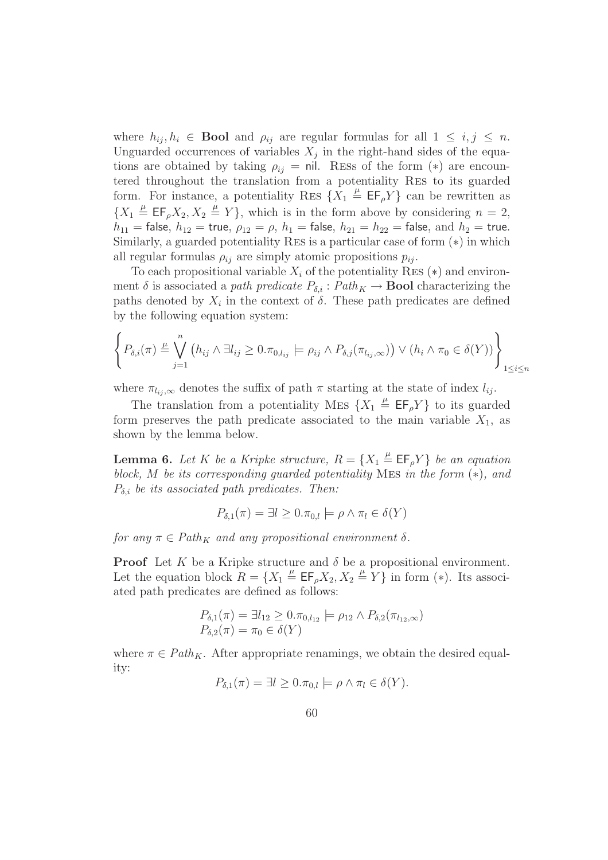where  $h_{ij}, h_i \in \textbf{Bool}$  and  $\rho_{ij}$  are regular formulas for all  $1 \leq i, j \leq n$ . Unguarded occurrences of variables  $X_j$  in the right-hand sides of the equations are obtained by taking  $\rho_{ij} = \text{nil.}$  RESS of the form  $(*)$  are encountered throughout the translation from a potentiality Res to its guarded form. For instance, a potentiality RES  $\{X_1 \stackrel{\mu}{=} \mathsf{EF}_\rho Y\}$  can be rewritten as  ${X_1 \triangleq \mathsf{EF}_\rho X_2, X_2 \triangleq Y}$ , which is in the form above by considering  $n = 2$ ,  $h_{11}$  = false,  $h_{12}$  = true,  $\rho_{12} = \rho$ ,  $h_1$  = false,  $h_{21} = h_{22}$  = false, and  $h_2$  = true. Similarly, a guarded potentiality Res is a particular case of form (∗) in which all regular formulas  $\rho_{ij}$  are simply atomic propositions  $p_{ij}$ .

To each propositional variable  $X_i$  of the potentiality RES  $(*)$  and environment  $\delta$  is associated a path predicate  $P_{\delta,i}$ :  $Path_K \to \textbf{Bool}$  characterizing the paths denoted by  $X_i$  in the context of  $\delta$ . These path predicates are defined by the following equation system:

$$
\left\{ P_{\delta,i}(\pi) \stackrel{\mu}{=} \bigvee_{j=1}^n \left( h_{ij} \wedge \exists l_{ij} \geq 0. \pi_{0,l_{ij}} \models \rho_{ij} \wedge P_{\delta,j}(\pi_{l_{ij},\infty}) \right) \vee \left( h_i \wedge \pi_0 \in \delta(Y) \right) \right\}_{1 \leq i \leq n}
$$

where  $\pi_{l_i,\infty}$  denotes the suffix of path  $\pi$  starting at the state of index  $l_{ij}$ .

The translation from a potentiality MES  $\{X_1 \stackrel{\mu}{=} \mathsf{EF}_\rho Y\}$  to its guarded form preserves the path predicate associated to the main variable  $X_1$ , as shown by the lemma below.

**Lemma 6.** Let K be a Kripke structure,  $R = \{X_1 \stackrel{\mu}{=} \mathsf{EF}_\rho Y\}$  be an equation block, M be its corresponding guarded potentiality MES in the form  $(*)$ , and  $P_{\delta,i}$  be its associated path predicates. Then:

$$
P_{\delta,1}(\pi) = \exists l \ge 0. \pi_{0,l} \models \rho \land \pi_l \in \delta(Y)
$$

for any  $\pi \in Path_K$  and any propositional environment  $\delta$ .

**Proof** Let K be a Kripke structure and  $\delta$  be a propositional environment. Let the equation block  $R = \{X_1 \stackrel{\mu}{=} \mathsf{EF}_\rho X_2, X_2 \stackrel{\mu}{=} Y\}$  in form (\*). Its associated path predicates are defined as follows:

$$
P_{\delta,1}(\pi) = \exists l_{12} \ge 0. \pi_{0,l_{12}} \models \rho_{12} \land P_{\delta,2}(\pi_{l_{12},\infty})
$$
  

$$
P_{\delta,2}(\pi) = \pi_0 \in \delta(Y)
$$

where  $\pi \in Path_K$ . After appropriate renamings, we obtain the desired equality:

$$
P_{\delta,1}(\pi) = \exists l \ge 0. \pi_{0,l} \models \rho \land \pi_l \in \delta(Y).
$$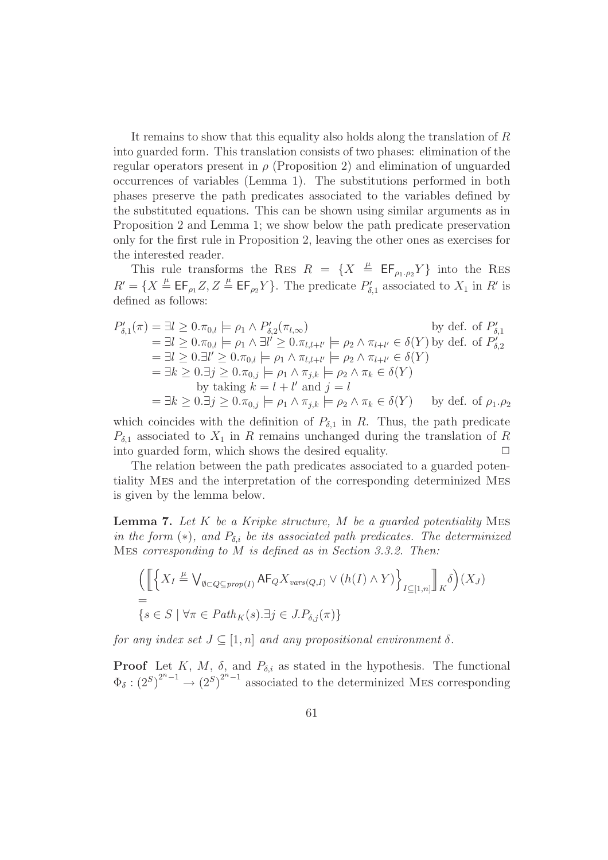It remains to show that this equality also holds along the translation of R into guarded form. This translation consists of two phases: elimination of the regular operators present in  $\rho$  (Proposition 2) and elimination of unguarded occurrences of variables (Lemma 1). The substitutions performed in both phases preserve the path predicates associated to the variables defined by the substituted equations. This can be shown using similar arguments as in Proposition 2 and Lemma 1; we show below the path predicate preservation only for the first rule in Proposition 2, leaving the other ones as exercises for the interested reader.

This rule transforms the RES  $R = \{X \stackrel{\mu}{=} \mathsf{EF}_{\rho_1,\rho_2}Y\}$  into the RES  $R' = \{X \stackrel{\mu}{=} \mathsf{EF}_{\rho_1} Z, Z \stackrel{\mu}{=} \mathsf{EF}_{\rho_2} Y\}.$  The predicate  $P'_{\delta,1}$  associated to  $X_1$  in  $R'$  is defined as follows:

$$
P'_{\delta,1}(\pi) = \exists l \ge 0. \pi_{0,l} \models \rho_1 \land P'_{\delta,2}(\pi_{l,\infty}) \qquad \text{by def. of } P'_{\delta,1}
$$
  
\n
$$
= \exists l \ge 0. \pi_{0,l} \models \rho_1 \land \exists l' \ge 0. \pi_{l,l+l'} \models \rho_2 \land \pi_{l+l'} \in \delta(Y) \text{ by def. of } P'_{\delta,2}
$$
  
\n
$$
= \exists l \ge 0. \exists l' \ge 0. \pi_{0,l} \models \rho_1 \land \pi_{l,l+l'} \models \rho_2 \land \pi_{l+l'} \in \delta(Y)
$$
  
\n
$$
= \exists k \ge 0. \exists j \ge 0. \pi_{0,j} \models \rho_1 \land \pi_{j,k} \models \rho_2 \land \pi_k \in \delta(Y)
$$
  
\nby taking  $k = l + l'$  and  $j = l$   
\n
$$
= \exists k \ge 0. \exists j \ge 0. \pi_{0,j} \models \rho_1 \land \pi_{j,k} \models \rho_2 \land \pi_k \in \delta(Y) \qquad \text{by def. of } \rho_1.\rho_2
$$

which coincides with the definition of  $P_{\delta,1}$  in R. Thus, the path predicate  $P_{\delta,1}$  associated to  $X_1$  in R remains unchanged during the translation of R into guarded form, which shows the desired equality.  $\Box$ 

The relation between the path predicates associated to a guarded potentiality Mes and the interpretation of the corresponding determinized Mes is given by the lemma below.

**Lemma 7.** Let  $K$  be a Kripke structure,  $M$  be a guarded potentiality MES in the form  $(*),$  and  $P_{\delta,i}$  be its associated path predicates. The determinized Mes corresponding to M is defined as in Section 3.3.2. Then:

$$
\left(\left[\left\{X_I \stackrel{\mu}{=} \bigvee_{\emptyset \subset Q \subseteq prop(I)} \mathsf{AF}_Q X_{vars(Q,I)} \vee (h(I) \wedge Y)\right\}_{I \subseteq [1,n]}\right]_K \delta\right)(X_J)
$$
\n
$$
= \{s \in S \mid \forall \pi \in Path_K(s). \exists j \in J. P_{\delta,j}(\pi)\}
$$

for any index set  $J \subseteq [1,n]$  and any propositional environment  $\delta$ .

**Proof** Let K, M,  $\delta$ , and  $P_{\delta,i}$  as stated in the hypothesis. The functional  $\Phi_{\delta}: (2^S)^{2^n-1} \to (2^S)^{2^n-1}$  associated to the determinized MES corresponding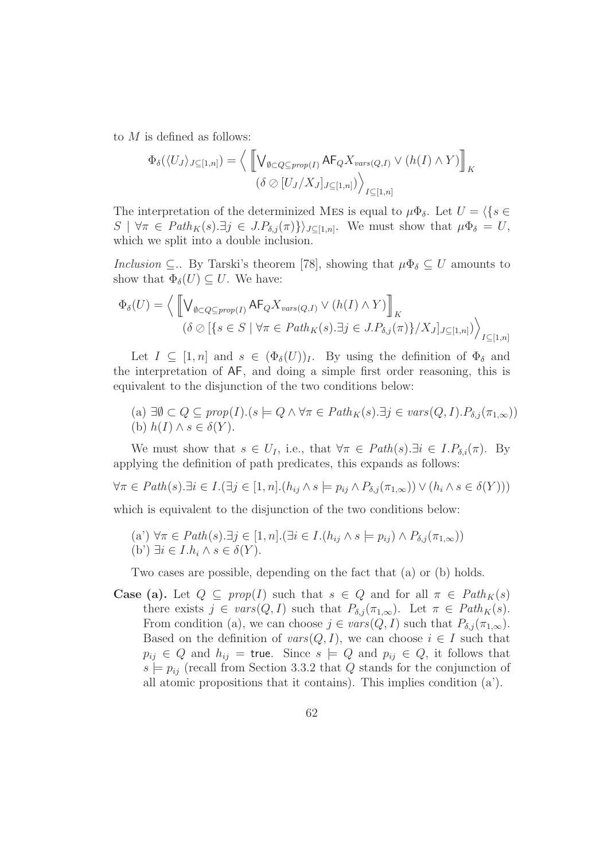to  $M$  is defined as follows:

$$
\Phi_{\delta}(\langle U_J \rangle_{J \subseteq [1,n]}) = \Big\langle \left[ \bigvee_{\emptyset \subset Q \subseteq prop(I)} \mathsf{AF}_{Q} X_{vars(Q,I)} \vee (h(I) \wedge Y) \right]_{K}
$$

$$
(\delta \oslash [U_J / X_J]_{J \subseteq [1,n]}) \Big\rangle_{I \subseteq [1,n]}
$$

The interpretation of the determinized MES is equal to  $\mu \Phi_{\delta}$ . Let  $U = \langle \{ s \in$  $S \mid \forall \pi \in Path_K(s).\exists j \in J.P_{\delta,j}(\pi) \rangle_{J \subseteq [1,n]}$ . We must show that  $\mu \Phi_{\delta} = U$ , which we split into a double inclusion.

Inclusion  $\subseteq$ .. By Tarski's theorem [78], showing that  $\mu \Phi_{\delta} \subseteq U$  amounts to show that  $\Phi_{\delta}(U) \subseteq U$ . We have:

$$
\Phi_{\delta}(U) = \Big\langle \left[ \bigvee_{\emptyset \subset Q \subseteq prop(I)} \mathsf{AF}_{Q} X_{vars(Q,I)} \vee (h(I) \wedge Y) \right]_{K}
$$

$$
(\delta \oslash [\{s \in S \mid \forall \pi \in Path_K(s). \exists j \in J. P_{\delta,j}(\pi) \} / X_J]_{J \subseteq [1,n]}) \Big\rangle_{I \subseteq [1,n]}
$$

Let  $I \subseteq [1, n]$  and  $s \in (\Phi_{\delta}(U))_I$ . By using the definition of  $\Phi_{\delta}$  and the interpretation of AF, and doing a simple first order reasoning, this is equivalent to the disjunction of the two conditions below:

(a) 
$$
\exists \emptyset \subset Q \subseteq prop(I).(s \models Q \land \forall \pi \in Path_K(s). \exists j \in vars(Q, I). P_{\delta,j}(\pi_{1,\infty}))
$$
  
(b)  $h(I) \land s \in \delta(Y)$ .

We must show that  $s \in U_I$ , i.e., that  $\forall \pi \in Path(s) \exists i \in I.P_{\delta,i}(\pi)$ . By applying the definition of path predicates, this expands as follows:

$$
\forall \pi \in Path(s). \exists i \in I. (\exists j \in [1, n]. (h_{ij} \wedge s \models p_{ij} \wedge P_{\delta,j}(\pi_{1,\infty})) \vee (h_i \wedge s \in \delta(Y)))
$$

which is equivalent to the disjunction of the two conditions below:

(a') 
$$
\forall \pi \in Path(s). \exists j \in [1, n]. (\exists i \in I.(h_{ij} \land s \models p_{ij}) \land P_{\delta,j}(\pi_{1,\infty}))
$$
  
(b')  $\exists i \in I.h_i \land s \in \delta(Y).$ 

Two cases are possible, depending on the fact that (a) or (b) holds.

**Case (a).** Let  $Q \subseteq prop(I)$  such that  $s \in Q$  and for all  $\pi \in Path_K(s)$ there exists  $j \in vars(Q, I)$  such that  $P_{\delta,j}(\pi_{1,\infty})$ . Let  $\pi \in Path_K(s)$ . From condition (a), we can choose  $j \in vars(Q, I)$  such that  $P_{\delta,j}(\pi_{1,\infty})$ . Based on the definition of  $vars(Q, I)$ , we can choose  $i \in I$  such that  $p_{ij} \in Q$  and  $h_{ij}$  = true. Since  $s \models Q$  and  $p_{ij} \in Q$ , it follows that  $s \models p_{ij}$  (recall from Section 3.3.2 that Q stands for the conjunction of all atomic propositions that it contains). This implies condition (a').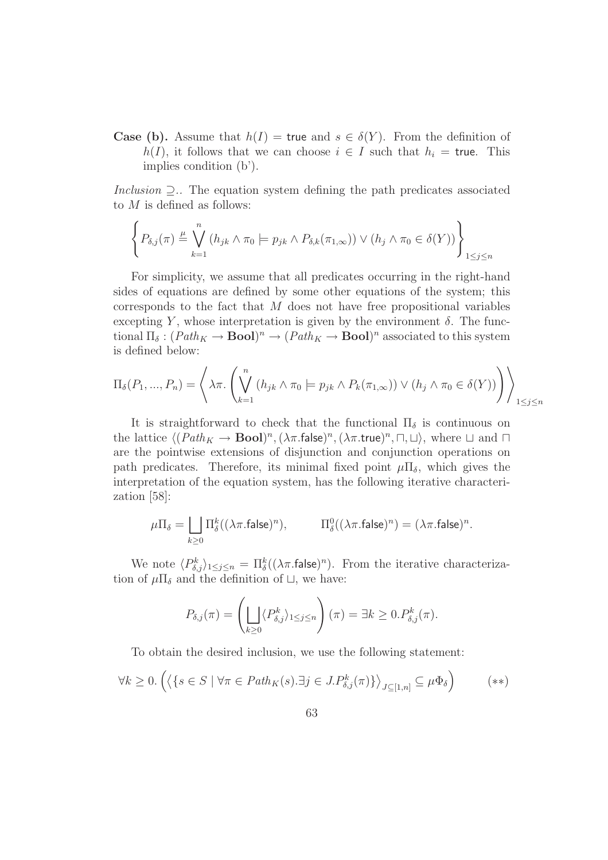**Case (b).** Assume that  $h(I) =$  true and  $s \in \delta(Y)$ . From the definition of  $h(I)$ , it follows that we can choose  $i \in I$  such that  $h_i = \text{true}$ . This implies condition (b').

Inclusion  $\supseteq$ .. The equation system defining the path predicates associated to  $M$  is defined as follows:

$$
\left\{ P_{\delta,j}(\pi) \stackrel{\mu}{=} \bigvee_{k=1}^n (h_{jk} \wedge \pi_0 \models p_{jk} \wedge P_{\delta,k}(\pi_{1,\infty})) \vee (h_j \wedge \pi_0 \in \delta(Y)) \right\}_{1 \le j \le n}
$$

For simplicity, we assume that all predicates occurring in the right-hand sides of equations are defined by some other equations of the system; this corresponds to the fact that  $M$  does not have free propositional variables excepting Y, whose interpretation is given by the environment  $\delta$ . The functional  $\Pi_{\delta} : (Path_K \to \mathbf{Bool})^n \to (Path_K \to \mathbf{Bool})^n$  associated to this system is defined below:

$$
\Pi_{\delta}(P_1, ..., P_n) = \left\langle \lambda \pi. \left( \bigvee_{k=1}^n (h_{jk} \wedge \pi_0 \models p_{jk} \wedge P_k(\pi_{1,\infty})) \vee (h_j \wedge \pi_0 \in \delta(Y)) \right) \right\rangle_{1 \le j \le n}
$$

It is straightforward to check that the functional  $\Pi_{\delta}$  is continuous on the lattice  $\langle (Path_K \to \text{Bool})^n, (\lambda \pi.\text{false})^n, (\lambda \pi.\text{true})^n, \Box, \Box \rangle$ , where  $\Box$  and  $\Box$ are the pointwise extensions of disjunction and conjunction operations on path predicates. Therefore, its minimal fixed point  $\mu \Pi_{\delta}$ , which gives the interpretation of the equation system, has the following iterative characterization [58]:

$$
\mu \Pi_{\delta} = \bigsqcup_{k \geq 0} \Pi_{\delta}^{k}((\lambda \pi . \mathsf{false})^{n}), \qquad \Pi_{\delta}^{0}((\lambda \pi . \mathsf{false})^{n}) = (\lambda \pi . \mathsf{false})^{n}.
$$

We note  $\langle P_{\delta,j}^k \rangle_{1 \leq j \leq n} = \prod_{\delta}^k ((\lambda \pi \cdot \text{false})^n)$ . From the iterative characterization of  $\mu\Pi_{\delta}$  and the definition of  $\Box$ , we have:

$$
P_{\delta,j}(\pi) = \left(\bigsqcup_{k\geq 0} \langle P_{\delta,j}^k \rangle_{1\leq j\leq n} \right)(\pi) = \exists k \geq 0. P_{\delta,j}^k(\pi).
$$

To obtain the desired inclusion, we use the following statement:

$$
\forall k \ge 0. \left( \left\langle \{ s \in S \mid \forall \pi \in Path_K(s). \exists j \in J. P^k_{\delta,j}(\pi) \} \right\rangle_{J \subseteq [1,n]} \subseteq \mu \Phi_{\delta} \right) \tag{**}
$$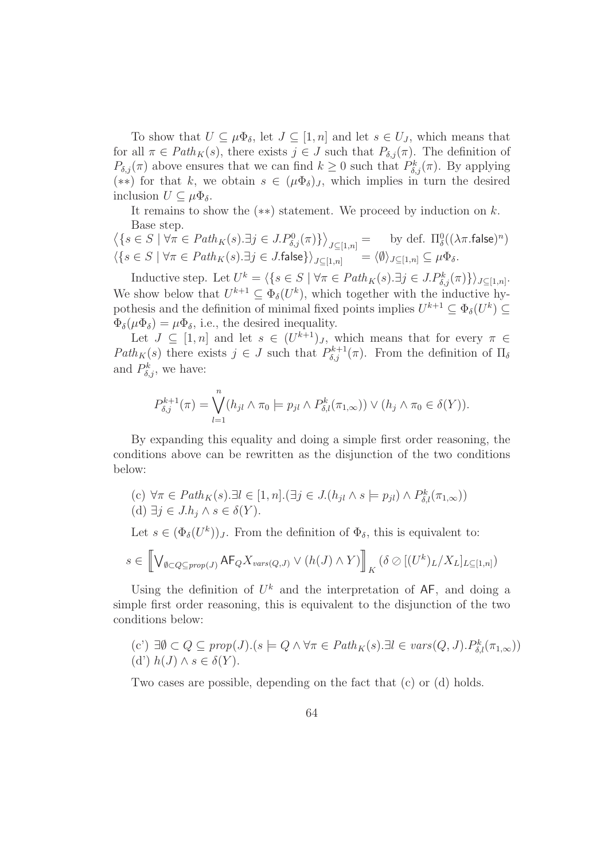To show that  $U \subseteq \mu \Phi_{\delta}$ , let  $J \subseteq [1, n]$  and let  $s \in U_J$ , which means that for all  $\pi \in Path_K(s)$ , there exists  $j \in J$  such that  $P_{\delta,j}(\pi)$ . The definition of  $P_{\delta,j}(\pi)$  above ensures that we can find  $k \geq 0$  such that  $P_{\delta,j}^k(\pi)$ . By applying (\*\*) for that k, we obtain  $s \in (\mu \Phi_{\delta})_J$ , which implies in turn the desired inclusion  $U \subseteq \mu \Phi_{\delta}$ .

It remains to show the  $(**)$  statement. We proceed by induction on k. Base step.

$$
\langle \{ s \in S \mid \forall \pi \in Path_K(s). \exists j \in J. P_{\delta,j}^0(\pi) \} \rangle_{J \subseteq [1,n]} = \text{by def. } \Pi_{\delta}^0((\lambda \pi.\text{false})^n)
$$

$$
\langle \{ s \in S \mid \forall \pi \in Path_K(s). \exists j \in J. \text{false} \} \rangle_{J \subseteq [1,n]} = \langle \emptyset \rangle_{J \subseteq [1,n]} \subseteq \mu \Phi_{\delta}.
$$

Inductive step. Let  $U^k = \langle \{ s \in S \mid \forall \pi \in Path_K(s). \exists j \in J.P^k_{\delta,j}(\pi) \} \rangle_{J \subseteq [1,n]}.$ We show below that  $U^{k+1} \subseteq \Phi_{\delta}(U^k)$ , which together with the inductive hypothesis and the definition of minimal fixed points implies  $U^{k+1} \subseteq \Phi_{\delta}(U^k) \subseteq$  $\Phi_{\delta}(\mu\Phi_{\delta}) = \mu\Phi_{\delta}$ , i.e., the desired inequality.

Let  $J \subseteq [1, n]$  and let  $s \in (U^{k+1})_J$ , which means that for every  $\pi \in$  $Path_K(s)$  there exists  $j \in J$  such that  $P_{\delta,j}^{k+1}(\pi)$ . From the definition of  $\Pi_{\delta,j}$ and  $P_{\delta,j}^k$ , we have:

$$
P_{\delta,j}^{k+1}(\pi) = \bigvee_{l=1}^n (h_{jl} \wedge \pi_0 \models p_{jl} \wedge P_{\delta,l}^k(\pi_{1,\infty})) \vee (h_j \wedge \pi_0 \in \delta(Y)).
$$

By expanding this equality and doing a simple first order reasoning, the conditions above can be rewritten as the disjunction of the two conditions below:

(c) 
$$
\forall \pi \in Path_K(s). \exists l \in [1, n]. (\exists j \in J.(h_{jl} \land s \models p_{jl}) \land P_{\delta,l}^k(\pi_{1,\infty}))
$$
  
(d)  $\exists j \in J.h_j \land s \in \delta(Y).$ 

Let  $s \in (\Phi_{\delta}(U^k))_J$ . From the definition of  $\Phi_{\delta}$ , this is equivalent to:

$$
s \in \left[ \bigvee_{\emptyset \subset Q \subseteq prop(J)} \mathsf{AF}_{Q} X_{vars(Q,J)} \vee (h(J) \wedge Y) \right]_{K} (\delta \otimes [(U^{k})_{L}/X_{L}]_{L \subseteq [1,n]})
$$

Using the definition of  $U^k$  and the interpretation of  $AF$ , and doing a simple first order reasoning, this is equivalent to the disjunction of the two conditions below:

(c') 
$$
\exists \emptyset \subset Q \subseteq prop(J)
$$
.  $(s \models Q \land \forall \pi \in Path_K(s). \exists l \in vars(Q, J). P_{\delta,l}^k(\pi_{1,\infty}))$   
(d')  $h(J) \land s \in \delta(Y)$ .

Two cases are possible, depending on the fact that (c) or (d) holds.